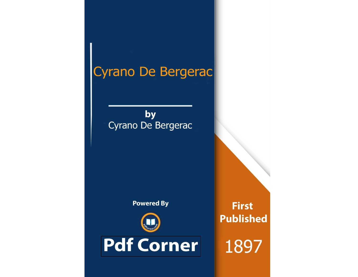# Cyrano De Bergerac

by Cyrano De Bergerac

**Powered By** 



**Pdf Corner** 

**First Published** 

1897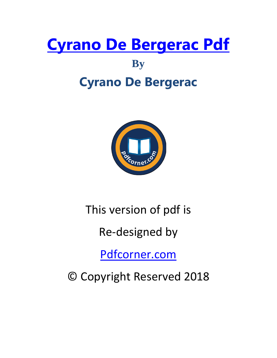# **[Cyrano De Bergerac Pdf](http://pdfcorner.com/download-cyrano-de-bergerac-novel-pdf-book/)**

# **By**

# **Cyrano De Bergerac**



# This version of pdf is

# Re-designed by

[Pdfcorner.com](http://pdfcorner.com/)

© Copyright Reserved 2018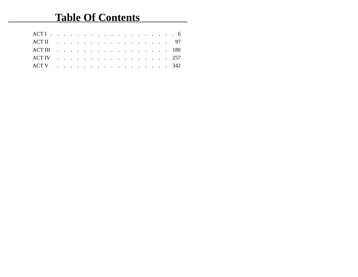# **Table Of Contents**

| ACT II 97  |  |  |  |  |  |  |  |  |  |
|------------|--|--|--|--|--|--|--|--|--|
|            |  |  |  |  |  |  |  |  |  |
| ACT IV 257 |  |  |  |  |  |  |  |  |  |
| ACT V 342  |  |  |  |  |  |  |  |  |  |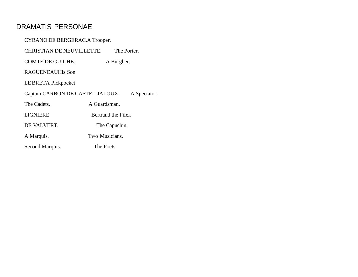# DRAMATIS PERSONAE

| CYRANO DE BERGERAC.A Trooper.                    |  |  |  |  |  |  |  |  |
|--------------------------------------------------|--|--|--|--|--|--|--|--|
| <b>CHRISTIAN DE NEUVILLETTE.</b><br>The Porter.  |  |  |  |  |  |  |  |  |
| A Burgher.                                       |  |  |  |  |  |  |  |  |
| RAGUENEAUHis Son.                                |  |  |  |  |  |  |  |  |
| LE BRETA Pickpocket.                             |  |  |  |  |  |  |  |  |
| Captain CARBON DE CASTEL-JALOUX.<br>A Spectator. |  |  |  |  |  |  |  |  |
| A Guardsman.                                     |  |  |  |  |  |  |  |  |
| Bertrand the Fifer.                              |  |  |  |  |  |  |  |  |
| DE VALVERT.<br>The Capuchin.                     |  |  |  |  |  |  |  |  |
| Two Musicians.                                   |  |  |  |  |  |  |  |  |
| The Poets.                                       |  |  |  |  |  |  |  |  |
|                                                  |  |  |  |  |  |  |  |  |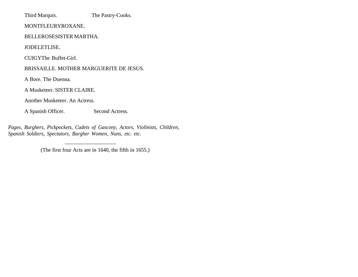Third Marquis. The Pastry-Cooks.

MONTFLEURYROXANE.

BELLEROSESISTER MARTHA.

JODELETLISE.

CUIGYThe Buffet-Girl.

BRISSAILLE. MOTHER MARGUERITE DE JESUS.

A Bore. The Duenna.

A Musketeer. SISTER CLAIRE.

Another Musketeer. An Actress.

A Spanish Officer. Second Actress.

—————————-

*Pages, Burghers, Pickpockets, Cadets of Gascony, Actors, Violinists, Children, Spanish Soldiers, Spectators, Burgher Women, Nuns, etc. etc.*

(The first four Acts are in 1640, the fifth in 1655.)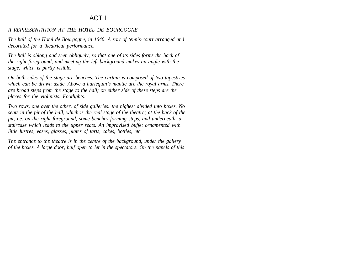# ACT I

#### *A REPRESENTATION AT THE HOTEL DE BOURGOGNE*

*The hall of the Hotel de Bourgogne, in 1640. A sort of tennis-court arranged and decorated for a theatrical performance.*

*The hall is oblong and seen obliquely, so that one of its sides forms the back of the right foreground, and meeting the left background makes an angle with the stage, which is partly visible.*

*On both sides of the stage are benches. The curtain is composed of two tapestries which can be drawn aside. Above a harlequin's mantle are the royal arms. There are broad steps from the stage to the hall; on either side of these steps are the places for the violinists. Footlights.*

*Two rows, one over the other, of side galleries: the highest divided into boxes. No seats in the pit of the hall, which is the real stage of the theatre; at the back of the pit, i.e. on the right foreground, some benches forming steps, and underneath, a staircase which leads to the upper seats. An improvised buffet ornamented with little lustres, vases, glasses, plates of tarts, cakes, bottles, etc.*

*The entrance to the theatre is in the centre of the background, under the gallery of the boxes. A large door, half open to let in the spectators. On the panels of this*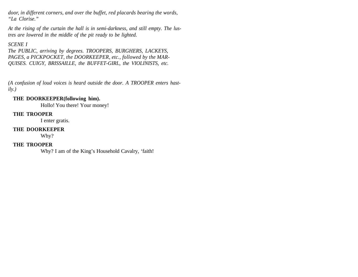*door, in different corners, and over the buffet, red placards bearing the words, "La Clorise."*

*At the rising of the curtain the hall is in semi-darkness, and still empty. The lustres are lowered in the middle of the pit ready to be lighted.*

#### *SCENE I*

*The PUBLIC, arriving by degrees. TROOPERS, BURGHERS, LACKEYS, PAGES, a PICKPOCKET, the DOORKEEPER, etc., followed by the MAR-QUISES. CUIGY, BRISSAILLE, the BUFFET-GIRL, the VIOLINISTS, etc.* 

*(A confusion of loud voices is heard outside the door. A TROOPER enters hastily.)* 

#### **THE DOORKEEPER(following him).**

Hollo! You there! Your money!

#### **THE TROOPER**

I enter gratis.

#### **THE DOORKEEPER**

Why?

# **THE TROOPER**

Why? I am of the King's Household Cavalry, 'faith!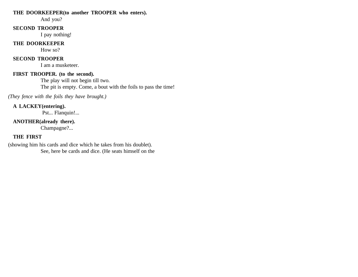#### **THE DOORKEEPER(to another TROOPER who enters).**

And you?

#### **SECOND TROOPER**

I pay nothing!

# **THE DOORKEEPER**

How so?

# **SECOND TROOPER**

I am a musketeer.

#### **FIRST TROOPER. (to the second).**

The play will not begin till two. The pit is empty. Come, a bout with the foils to pass the time!

*(They fence with the foils they have brought.)*

# **A LACKEY(entering).**

Pst... Flanquin!...

# **ANOTHER(already there).**

Champagne?...

# **THE FIRST**

(showing him his cards and dice which he takes from his doublet). See, here be cards and dice. (He seats himself on the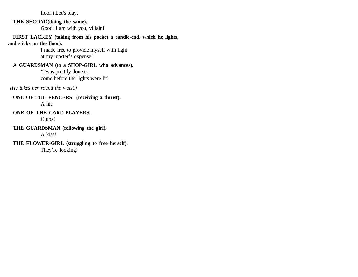floor.) Let's play.

# **THE SECOND(doing the same).**

Good; I am with you, villain!

**FIRST LACKEY (taking from his pocket a candle-end, which he lights, and sticks on the floor).** 

> I made free to provide myself with light at my master's expense!

# **A GUARDSMAN (to a SHOP-GIRL who advances).**

'Twas prettily done to come before the lights were lit!

 *(He takes her round the waist.)*

#### **ONE OF THE FENCERS (receiving a thrust).**  A hit!

**ONE OF THE CARD-PLAYERS.**  Clubs!

**THE GUARDSMAN (following the girl).**  A kiss!

**THE FLOWER-GIRL (struggling to free herself).**  They're looking!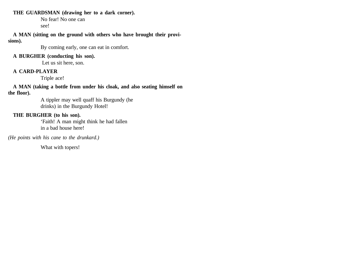#### **THE GUARDSMAN (drawing her to a dark corner).**

No fear! No one can see!

#### **A MAN (sitting on the ground with others who have brought their provisions).**

By coming early, one can eat in comfort.

#### **A BURGHER (conducting his son).**

Let us sit here, son.

# **A CARD-PLAYER**

Triple ace!

**A MAN (taking a bottle from under his cloak, and also seating himself on the floor).** 

> A tippler may well quaff his Burgundy (he drinks) in the Burgundy Hotel!

# **THE BURGHER (to his son).**

'Faith! A man might think he had fallen in a bad house here!

*(He points with his cane to the drunkard.)*

What with topers!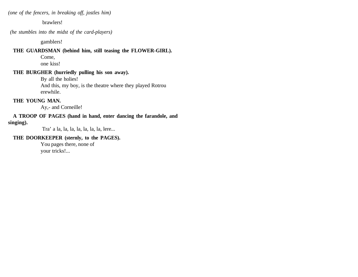*(one of the fencers, in breaking off, jostles him)*

brawlers!

 *(he stumbles into the midst of the card-players)*

gamblers!

#### **THE GUARDSMAN (behind him, still teasing the FLOWER-GIRL).**

Come,

one kiss!

#### **THE BURGHER (hurriedly pulling his son away).**

By all the holies!

And this, my boy, is the theatre where they played Rotrou erewhile.

#### **THE YOUNG MAN.**

Ay,- and Corneille!

#### **A TROOP OF PAGES (hand in hand, enter dancing the farandole, and singing).**

Tra' a la, la, la, la, la, la, la, lere...

#### **THE DOORKEEPER (sternly, to the PAGES).**

You pages there, none of your tricks!...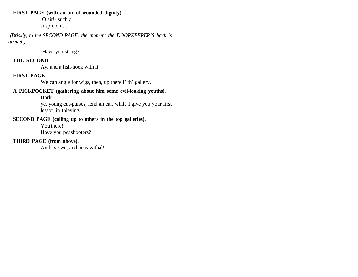#### **FIRST PAGE (with an air of wounded dignity).**

 O sir!- such a suspicion!...

 *(Briskly, to the SECOND PAGE, the moment the DOORKEEPER'S back is turned.)*

Have you string?

#### **THE SECOND**

Ay, and a fish-hook with it.

# **FIRST PAGE**

We can angle for wigs, then, up there i' th' gallery.

# **A PICKPOCKET (gathering about him some evil-looking youths).**

Hark

ye, young cut-purses, lend an ear, while I give you your first lesson in thieving.

# **SECOND PAGE (calling up to others in the top galleries).**

You there!

Have you peashooters?

# **THIRD PAGE (from above).**

Ay have we, and peas withal!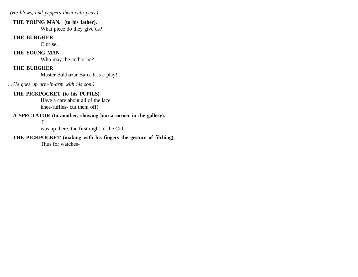*(He blows, and peppers them with peas.)*

#### **THE YOUNG MAN. (to his father).**

What piece do they give us?

#### **THE BURGHER**

Clorise.

# **THE YOUNG MAN.**

Who may the author be?

# **THE BURGHER**

Master Balthazar Baro. It is a play!..

*. (He goes up arm-in-arm with his son.)*

# **THE PICKPOCKET (to his PUPILS).**

Have a care about all of the lace knee-ruffles- cut them off!

# **A SPECTATOR (to another, showing him a corner in the gallery).**

I

was up there, the first night of the Cid.

# **THE PICKPOCKET (making with his fingers the gesture of filching).**

Thus for watches-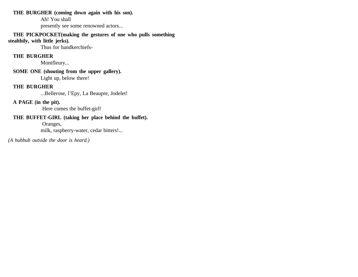# **THE BURGHER (coming down again with his son).**

Ah! You shall

presently see some renowned actors...

#### **THE PICKPOCKET(making the gestures of one who pulls something stealthily, with little jerks).**

Thus for handkerchiefs-

# **THE BURGHER**

Montfleury...

# **SOME ONE (shouting from the upper gallery).**  Light up, below there!

# **THE BURGHER**

...Bellerose, l'Epy, La Beaupre, Jodelet!

# **A PAGE (in the pit).**

Here comes the buffet-girl!

# **THE BUFFET-GIRL (taking her place behind the buffet).**

Oranges,

milk, raspberry-water, cedar bitters!...

*(A hubbub outside the door is heard.)*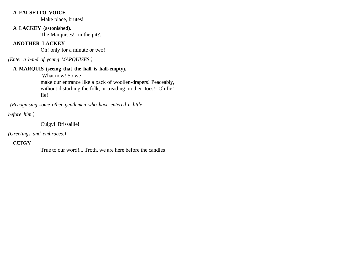#### **A FALSETTO VOICE**

Make place, brutes!

## **A LACKEY (astonished).**

The Marquises!- in the pit?...

# **ANOTHER LACKEY**

Oh! only for a minute or two!

*(Enter a band of young MARQUISES.)*

# **A MARQUIS (seeing that the hall is half-empty).**

 What now! So we make our entrance like a pack of woollen-drapers! Peaceably,

without disturbing the folk, or treading on their toes!- Oh fie! fie!

 *(Recognising some other gentlemen who have entered a little*

*before him.)*

Cuigy! Brissaille!

*(Greetings and embraces.)*

# **CUIGY**

True to our word!... Troth, we are here before the candles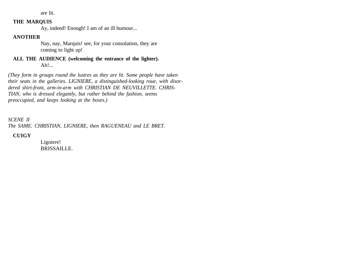are lit.

#### **THE MARQUIS**

Ay, indeed! Enough! I am of an ill humour...

# **ANOTHER**

Nay, nay, Marquis! see, for your consolation, they are coming to light up!

**ALL THE AUDIENCE (welcoming the entrance of the lighter).**  Ah!...

*(They form in groups round the lustres as they are lit. Some people have taken their seats in the galleries. LIGNIERE, a distinguished-looking roue, with disordered shirt-front, arm-in-arm with CHRISTIAN DE NEUVILLETTE. CHRIS-TIAN, who is dressed elegantly, but rather behind the fashion, seems preoccupied, and keeps looking at the boxes.)*

*SCENE II*

*The SAME. CHRISTIAN, LIGNIERE, then RAGUENEAU and LE BRET.* 

**CUIGY**

Ligniere! BRISSAILLE.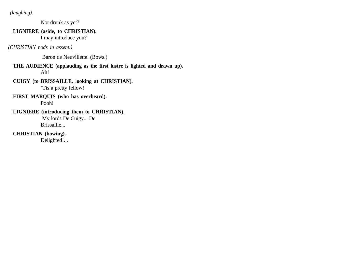*(laughing).* 

Not drunk as yet?

# **LIGNIERE (aside, to CHRISTIAN).**

I may introduce you?

*(CHRISTIAN nods in assent.)*

Baron de Neuvillette. (Bows.)

**THE AUDIENCE (applauding as the first lustre is lighted and drawn up).**  Ah!

- **CUIGY (to BRISSAILLE, looking at CHRISTIAN).**  'Tis a pretty fellow!
- **FIRST MARQUIS (who has overheard).**

Pooh!

**LIGNIERE (introducing them to CHRISTIAN).** My lords De Cuigy... De Brissaille...

**CHRISTIAN (bowing).** 

Delighted!...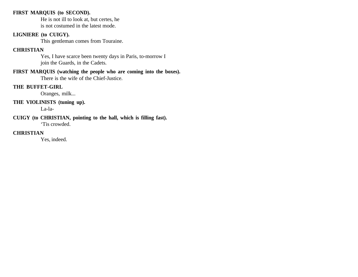#### **FIRST MARQUIS (to SECOND).**

He is not ill to look at, but certes, he is not costumed in the latest mode.

#### **LIGNIERE (to CUIGY).**

This gentleman comes from Touraine.

## **CHRISTIAN**

Yes, I have scarce been twenty days in Paris, to-morrow I join the Guards, in the Cadets.

#### **FIRST MARQUIS (watching the people who are coming into the boxes).** There is the wife of the Chief-Justice.

#### **THE BUFFET-GIRL**

Oranges, milk...

# **THE VIOLINISTS (tuning up).**

La-la-

#### **CUIGY (to CHRISTIAN, pointing to the hall, which is filling fast).** 'Tis crowded.

#### **CHRISTIAN**

Yes, indeed.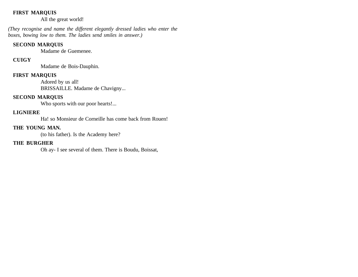#### **FIRST MARQUIS**

All the great world!

*(They recognise and name the different elegantly dressed ladies who enter the boxes, bowing low to them. The ladies send smiles in answer.)* 

#### **SECOND MARQUIS**

Madame de Guemenee.

# **CUIGY**

Madame de Bois-Dauphin.

#### **FIRST MARQUIS**

Adored by us all! BRISSAILLE. Madame de Chavigny...

#### **SECOND MARQUIS**

Who sports with our poor hearts!...

#### **LIGNIERE**

Ha! so Monsieur de Corneille has come back from Rouen!

# **THE YOUNG MAN.**

(to his father). Is the Academy here?

#### **THE BURGHER**

Oh ay- I see several of them. There is Boudu, Boissat,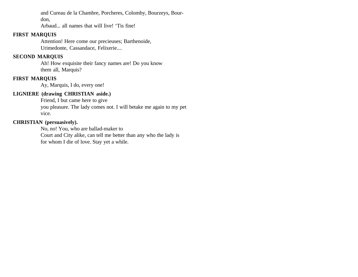and Cureau de la Chambre, Porcheres, Colomby, Bourzeys, Bourdon,

Arbaud... all names that will live! 'Tis fine!

# **FIRST MARQUIS**

Attention! Here come our precieuses; Barthenoide, Urimedonte, Cassandace, Felixerie....

# **SECOND MARQUIS**

Ah! How exquisite their fancy names are! Do you know them all, Marquis?

# **FIRST MARQUIS**

Ay, Marquis, I do, every one!

# **LIGNIERE (drawing CHRISTIAN aside.)**

Friend, I but came here to give you pleasure. The lady comes not. I will betake me again to my pet vice.

# **CHRISTIAN (persuasively).**

No, no! You, who are ballad-maker to

Court and City alike, can tell me better than any who the lady is for whom I die of love. Stay yet a while.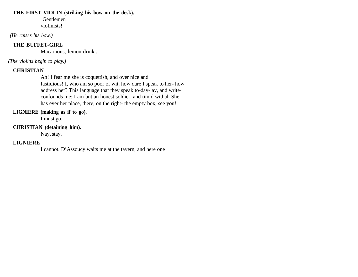#### **THE FIRST VIOLIN (striking his bow on the desk).**

 Gentlemen violinists!

 *(He raises his bow.)*

# **THE BUFFET-GIRL**

Macaroons, lemon-drink...

*(The violins begin to play.)* 

# **CHRISTIAN**

Ah! I fear me she is coquettish, and over nice and fastidious! I, who am so poor of wit, how dare I speak to her- how address her? This language that they speak to-day- ay, and writeconfounds me; I am but an honest soldier, and timid withal. She has ever her place, there, on the right- the empty box, see you!

#### **LIGNIERE (making as if to go).**

I must go.

# **CHRISTIAN (detaining him).**

Nay, stay.

# **LIGNIERE**

I cannot. D'Assoucy waits me at the tavern, and here one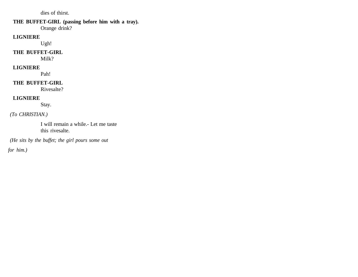dies of thirst.

# **THE BUFFET-GIRL (passing before him with a tray).**

Orange drink?

# **LIGNIERE**

Ugh!

# **THE BUFFET-GIRL**

Milk?

# **LIGNIERE**

Pah!

# **THE BUFFET-GIRL**

Rivesalte?

# **LIGNIERE**

Stay.

# *(To CHRISTIAN.)*

I will remain a while.- Let me taste this rivesalte.

 *(He sits by the buffet; the girl pours some out*

*for him.)*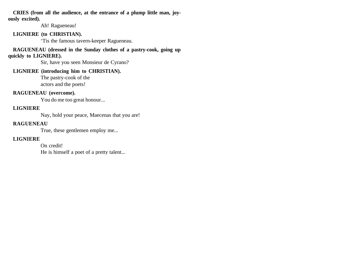**CRIES (from all the audience, at the entrance of a plump little man, joyously excited).** 

Ah! Ragueneau!

#### **LIGNIERE (to CHRISTIAN).**

'Tis the famous tavern-keeper Ragueneau.

**RAGUENEAU (dressed in the Sunday clothes of a pastry-cook, going up quickly to LIGNIERE).** 

Sir, have you seen Monsieur de Cyrano?

# **LIGNIERE (introducing him to CHRISTIAN).**

The pastry-cook of the actors and the poets!

# **RAGUENEAU (overcome).**

You do me too great honour...

# **LIGNIERE**

Nay, hold your peace, Maecenas that you are!

# **RAGUENEAU**

True, these gentlemen employ me...

# **LIGNIERE**

On credit! He is himself a poet of a pretty talent...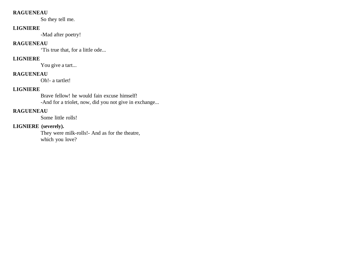#### **RAGUENEAU**

So they tell me.

#### **LIGNIERE**

-Mad after poetry!

# **RAGUENEAU**

'Tis true that, for a little ode...

# **LIGNIERE**

You give a tart...

# **RAGUENEAU**

Oh!- a tartlet!

# **LIGNIERE**

Brave fellow! he would fain excuse himself! -And for a triolet, now, did you not give in exchange...

# **RAGUENEAU**

Some little rolls!

# **LIGNIERE (severely).**

They were milk-rolls!- And as for the theatre, which you love?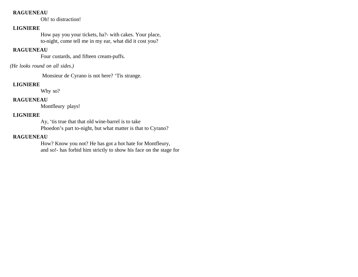#### **RAGUENEAU**

Oh! to distraction!

# **LIGNIERE**

How pay you your tickets, ha?- with cakes. Your place, to-night, come tell me in my ear, what did it cost you?

# **RAGUENEAU**

Four custards, and fifteen cream-puffs.

## *(He looks round on all sides.)*

Monsieur de Cyrano is not here? 'Tis strange.

# **LIGNIERE**

Why so?

# **RAGUENEAU**

Montfleury plays!

# **LIGNIERE**

Ay, 'tis true that that old wine-barrel is to take Phoedon's part to-night, but what matter is that to Cyrano?

# **RAGUENEAU**

How? Know you not? He has got a hot hate for Montfleury, and so!- has forbid him strictly to show his face on the stage for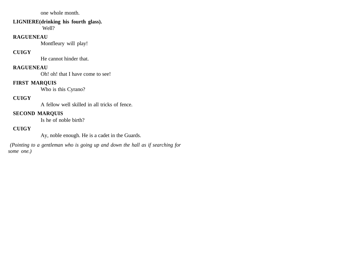one whole month.

#### **LIGNIERE(drinking his fourth glass).**

Well?

# **RAGUENEAU**

Montfleury will play!

# **CUIGY**

He cannot hinder that.

#### **RAGUENEAU**

Oh! oh! that I have come to see!

# **FIRST MARQUIS**

Who is this Cyrano?

# **CUIGY**

A fellow well skilled in all tricks of fence.

#### **SECOND MARQUIS**

Is he of noble birth?

# **CUIGY**

Ay, noble enough. He is a cadet in the Guards.

 *(Pointing to a gentleman who is going up and down the hall as if searching for some one.)*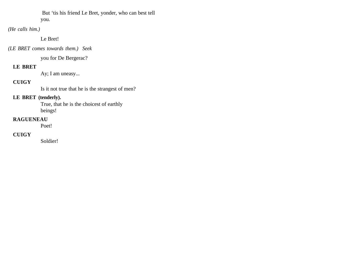But 'tis his friend Le Bret, yonder, who can best tell you.

*(He calls him.)* 

Le Bret!

*(LE BRET comes towards them.) Seek*

you for De Bergerac?

# **LE BRET**

Ay; I am uneasy...

# **CUIGY**

Is it not true that he is the strangest of men?

# **LE BRET (tenderly).**

True, that he is the choicest of earthly beings!

# **RAGUENEAU**

Poet!

# **CUIGY**

Soldier!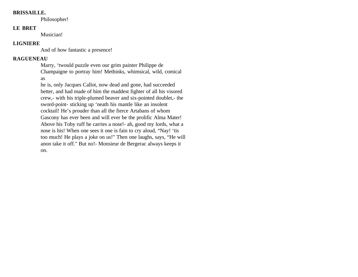#### **BRISSAILLE.**

Philosopher!

#### **LE BRET**

Musician!

#### **LIGNIERE**

And of how fantastic a presence!

# **RAGUENEAU**

Marry, 'twould puzzle even our grim painter Philippe de Champaigne to portray him! Methinks, whimsical, wild, comical as

he is, only Jacques Callot, now dead and gone, had succeeded better, and had made of him the maddest fighter of all his visored crew,- with his triple-plumed beaver and six-pointed doublet,- the sword-point- sticking up 'neath his mantle like an insolent cocktail! He's prouder than all the fierce Artabans of whom Gascony has ever been and will ever be the prolific Alma Mater! Above his Toby ruff he carries a nose!- ah, good my lords, what a nose is his! When one sees it one is fain to cry aloud, "Nay! 'tis too much! He plays a joke on us!" Then one laughs, says, "He will anon take it off." But no!- Monsieur de Bergerac always keeps it on.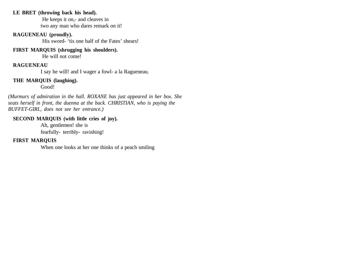#### **LE BRET (throwing back his head).**

 He keeps it on,- and cleaves in two any man who dares remark on it!

#### **RAGUENEAU (proudly).**

His sword- 'tis one half of the Fates' shears!

#### **FIRST MARQUIS (shrugging his shoulders).**

He will not come!

#### **RAGUENEAU**

I say he will! and I wager a fowl- a la Ragueneau.

#### **THE MARQUIS (laughing).**

Good!

*(Murmurs of admiration in the hall. ROXANE has just appeared in her box. She seats herself in front, the duenna at the back. CHRISTIAN, who is paying the BUFFET-GIRL, does not see her entrance.)*

#### **SECOND MARQUIS (with little cries of joy).**

Ah, gentlemen! she is fearfully- terribly- ravishing!

#### **FIRST MARQUIS**

When one looks at her one thinks of a peach smiling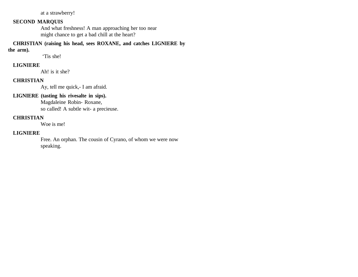at a strawberry!

# **SECOND MARQUIS**

And what freshness! A man approaching her too near might chance to get a bad chill at the heart?

**CHRISTIAN (raising his head, sees ROXANE, and catches LIGNIERE by the arm).**

'Tis she!

#### **LIGNIERE**

Ah! is it she?

#### **CHRISTIAN**

Ay, tell me quick,- I am afraid.

#### **LIGNIERE (tasting his rivesalte in sips).**

Magdaleine Robin- Roxane, so called! A subtle wit- a precieuse.

# **CHRISTIAN**

Woe is me!

#### **LIGNIERE**

Free. An orphan. The cousin of Cyrano, of whom we were now speaking.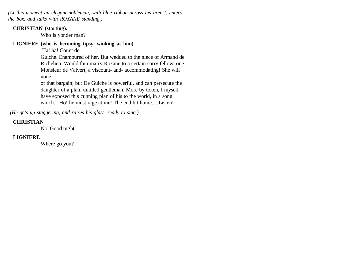*(At this moment an elegant nobleman, with blue ribbon across his breast, enters the box, and talks with ROXANE standing.)*

#### **CHRISTIAN (starting).**

Who is yonder man?

#### **LIGNIERE (who is becoming tipsy, winking at him).**

Ha! ha! Count de

Guiche. Enamoured of her. But wedded to the niece of Armand de Richelieu. Would fain marry Roxane to a certain sorry fellow, one Monsieur de Valvert, a viscount- and- accommodating! She will none

of that bargain; but De Guiche is powerful, and can persecute the daughter of a plain untitled gentleman. More by token, I myself have exposed this cunning plan of his to the world, in a song which... Ho! he must rage at me! The end hit home.... Listen!

 *(He gets up staggering, and raises his glass, ready to sing.)*

# **CHRISTIAN**

No. Good night.

# **LIGNIERE**

Where go you?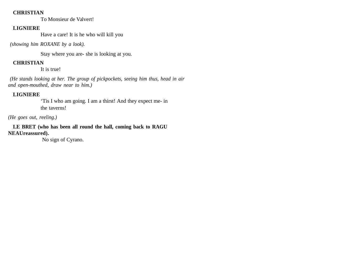#### **CHRISTIAN**

To Monsieur de Valvert!

# **LIGNIERE**

Have a care! It is he who will kill you

 *(showing him ROXANE by a look).* 

Stay where you are- she is looking at you.

# **CHRISTIAN**

It is true!

 *(He stands looking at her. The group of pickpockets, seeing him thus, head in air and open-mouthed, draw near to him.)*

# **LIGNIERE**

'Tis I who am going. I am a thirst! And they expect me- in the taverns!

# *(He goes out, reeling.)*

**LE BRET (who has been all round the hall, coming back to RAGU NEAUreassured).**

No sign of Cyrano.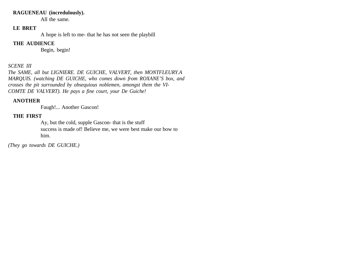#### **RAGUENEAU (incredulously).**

All the same.

# **LE BRET**

A hope is left to me- that he has not seen the playbill

#### **THE AUDIENCE**

Begin, begin!

# *SCENE III*

*The SAME, all but LIGNIERE. DE GUICHE, VALVERT, then MONTFLEURY.A MARQUIS. (watching DE GUICHE, who comes down from ROXANE'S box, and crosses the pit surrounded by obsequious noblemen, amongst them the VI-COMTE DE VALVERT). He pays a fine court, your De Guiche!*

# **ANOTHER**

Faugh!... Another Gascon!

# **THE FIRST**

Ay, but the cold, supple Gascon- that is the stuff success is made of! Believe me, we were best make our bow to him.

*(They go towards DE GUICHE.)*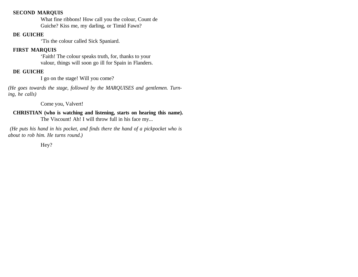#### **SECOND MARQUIS**

What fine ribbons! How call you the colour, Count de Guiche? Kiss me, my darling, or Timid Fawn?

#### **DE GUICHE**

'Tis the colour called Sick Spaniard.

#### **FIRST MARQUIS**

'Faith! The colour speaks truth, for, thanks to your valour, things will soon go ill for Spain in Flanders.

#### **DE GUICHE**

I go on the stage! Will you come?

*(He goes towards the stage, followed by the MARQUISES and gentlemen. Turning, he calls)*

Come you, Valvert!

**CHRISTIAN (who is watching and listening, starts on hearing this name).**  The Viscount! Ah! I will throw full in his face my...

 *(He puts his hand in his pocket, and finds there the hand of a pickpocket who is about to rob him. He turns round.)* 

Hey?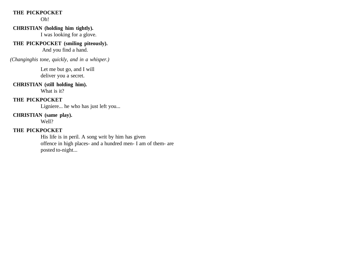#### **THE PICKPOCKET**

Oh!

#### **CHRISTIAN (holding him tightly).**

I was looking for a glove.

# **THE PICKPOCKET (smiling piteously).**

And you find a hand.

 *(Changinghis tone, quickly, and in a whisper.)* 

Let me but go, and I will deliver you a secret.

#### **CHRISTIAN (still holding him).**

What is it?

# **THE PICKPOCKET**

Ligniere... he who has just left you...

#### **CHRISTIAN (same play).**

Well?

# **THE PICKPOCKET**

His life is in peril. A song writ by him has given offence in high places- and a hundred men- I am of them- are posted to-night...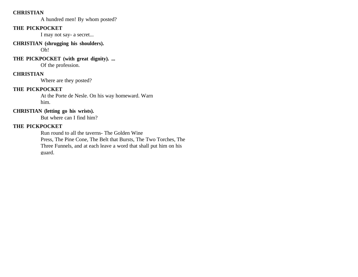#### **CHRISTIAN**

A hundred men! By whom posted?

### **THE PICKPOCKET**

I may not say- a secret...

#### **CHRISTIAN (shrugging his shoulders).**

Oh!

# **THE PICKPOCKET (with great dignity). ...**

Of the profession.

# **CHRISTIAN**

Where are they posted?

# **THE PICKPOCKET**

At the Porte de Nesle. On his way homeward. Warn him.

# **CHRISTIAN (letting go his wrists).**

But where can I find him?

# **THE PICKPOCKET**

Run round to all the taverns- The Golden Wine

Press, The Pine Cone, The Belt that Bursts, The Two Torches, The Three Funnels, and at each leave a word that shall put him on his guard.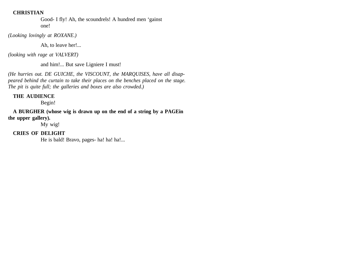#### **CHRISTIAN**

Good- I fly! Ah, the scoundrels! A hundred men 'gainst one!

*(Looking lovingly at ROXANE.)* 

Ah, to leave her!...

*(looking with rage at VALVERT)* 

and him!... But save Ligniere I must!

*(He hurries out. DE GUICHE, the VISCOUNT, the MARQUISES, have all disappeared behind the curtain to take their places on the benches placed on the stage. The pit is quite full; the galleries and boxes are also crowded.)* 

#### **THE AUDIENCE**

Begin!

**A BURGHER (whose wig is drawn up on the end of a string by a PAGEin the upper gallery).** 

My wig!

# **CRIES OF DELIGHT**

He is bald! Bravo, pages- ha! ha! ha!...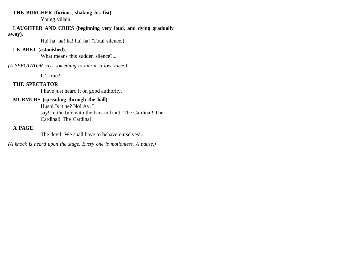#### **THE BURGHER (furious, shaking his fist).**

Young villain!

#### **LAUGHTER AND CRIES (beginning very loud, and dying gradually**

#### **away).**

Ha! ha! ha! ha! ha! ha! (Total silence.)

#### **LE BRET (astonished).**

What means this sudden silence?...

*(A SPECTATOR says something to him in a low voice.)* 

Is't true?

## **THE SPECTATOR**

I have just heard it on good authority.

## **MURMURS (spreading through the hall).**

Hush! Is it he? No! Ay, I say! In the box with the bars in front! The Cardinal! The Cardinal! The Cardinal

## **A PAGE**

The devil! We shall have to behave ourselves!...

*(A knock is heard upon the stage. Every one is motionless. A pause.)*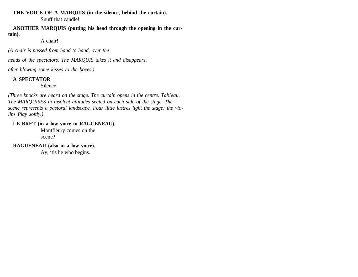**THE VOICE OF A MARQUIS (in the silence, behind the curtain).** Snuff that candle!

**ANOTHER MARQUIS (putting his head through the opening in the curtain).** 

A chair!

*(A chair is passed from hand to hand, over the*

*heads of the spectators. The MARQUIS takes it and disappears,*

*after blowing some kisses to the boxes.)*

## **A SPECTATOR**

Silence!

*(Three knocks are heard on the stage. The curtain opens in the centre. Tableau. The MARQUISES in insolent attitudes seated on each side of the stage. The scene represents a pastoral landscape. Four little lustres light the stage; the violins Play softly.)*

## **LE BRET (in a low voice to RAGUENEAU).**

Montfleury comes on the scene?

**RAGUENEAU (also in a low voice).** 

Ay, 'tis he who begins.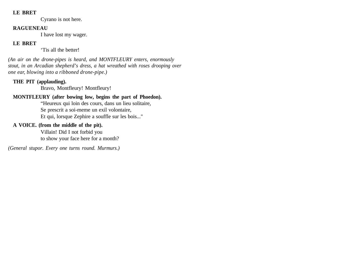#### **LE BRET**

Cyrano is not here.

#### **RAGUENEAU**

I have lost my wager.

## **LE BRET**

'Tis all the better!

*(An air on the drone-pipes is heard, and MONTFLEURY enters, enormously stout, in an Arcadian shepherd's dress, a hat wreathed with roses drooping over one ear, blowing into a ribboned drone-pipe.)* 

# **THE PIT (applauding).**

Bravo, Montfleury! Montfleury!

# **MONTFLEURY (after bowing low, begins the part of Phoedon).**

"Heureux qui loin des cours, dans un lieu solitaire, Se prescrit a soi-meme un exil volontaire, Et qui, lorsque Zephire a souffle sur les bois..."

# **A VOICE. (from the middle of the pit).**

Villain! Did I not forbid you to show your face here for a month?

*(General stupor. Every one turns round. Murmurs.)*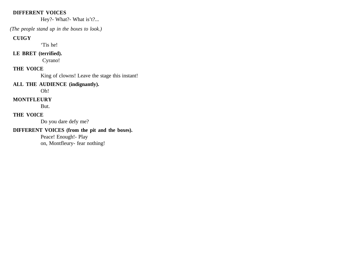#### **DIFFERENT VOICES**

Hey?- What?- What is't?...

 *(The people stand up in the boxes to look.)*

#### **CUIGY**

'Tis he!

# **LE BRET (terrified).**

Cyrano!

# **THE VOICE**

King of clowns! Leave the stage this instant!

# **ALL THE AUDIENCE (indignantly).**

Oh!

# **MONTFLEURY**

But.

# **THE VOICE**

Do you dare defy me?

# **DIFFERENT VOICES (from the pit and the boxes).**

Peace! Enough!- Play on, Montfleury- fear nothing!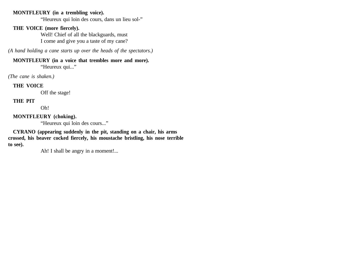#### **MONTFLEURY (in a trembling voice).**

"Heureux qui loin des cours, dans un lieu sol-"

#### **THE VOICE (more fiercely).**

Well! Chief of all the blackguards, must I come and give you a taste of my cane?

*(A hand holding a cane starts up over the heads of the spectators.)*

# **MONTFLEURY (in a voice that trembles more and more).**

"Heureux qui..."

*(The cane is shaken.)*

#### **THE VOICE**

Off the stage!

## **THE PIT**

Oh!

## **MONTFLEURY (choking).**

"Heureux qui loin des cours..."

**CYRANO (appearing suddenly in the pit, standing on a chair, his arms crossed, his beaver cocked fiercely, his moustache bristling, his nose terrible to see).** 

Ah! I shall be angry in a moment!...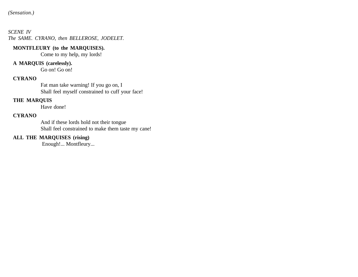#### *SCENE IV The SAME. CYRANO, then BELLEROSE, JODELET.*

#### **MONTFLEURY (to the MARQUISES).**

Come to my help, my lords!

# **A MARQUIS (carelessly).**

Go on! Go on!

## **CYRANO**

Fat man take warning! If you go on, I Shall feel myself constrained to cuff your face!

## **THE MARQUIS**

Have done!

## **CYRANO**

And if these lords hold not their tongue Shall feel constrained to make them taste my cane!

#### **ALL THE MARQUISES (rising)**

Enough!... Montfleury...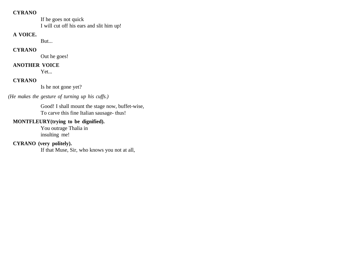#### **CYRANO**

If he goes not quick I will cut off his ears and slit him up!

#### **A VOICE.**

But...

#### **CYRANO**

Out he goes!

# **ANOTHER VOICE**

Yet...

# **CYRANO**

Is he not gone yet?

# *(He makes the gesture of turning up his cuffs.)*

Good! I shall mount the stage now, buffet-wise, To carve this fine Italian sausage- thus!

# **MONTFLEURY(trying to be dignified).**

You outrage Thalia in insulting me!

# **CYRANO (very politely).**

If that Muse, Sir, who knows you not at all,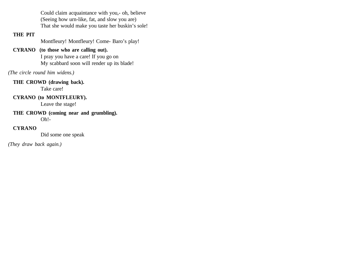Could claim acquaintance with you,- oh, believe (Seeing how urn-like, fat, and slow you are) That she would make you taste her buskin's sole!

## **THE PIT**

Montfleury! Montfleury! Come- Baro's play!

# **CYRANO (to those who are calling out).**

I pray you have a care! If you go on My scabbard soon will render up its blade!

*(The circle round him widens.)* 

# **THE CROWD (drawing back).**

Take care!

# **CYRANO (to MONTFLEURY).**

Leave the stage!

# **THE CROWD (coming near and grumbling).**  Oh!-

# **CYRANO**

Did some one speak

*(They draw back again.)*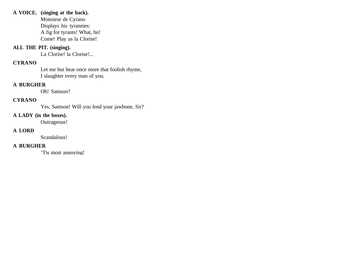#### **A VOICE. (singing at the back).**

Monsieur de Cyrano Displays his tyrannies: A fig for tyrants! What, ho! Come! Play us la Clorise!

## **ALL THE PIT. (singing).**

La Clorise! la Clorise!...

## **CYRANO**

Let me but hear once more that foolish rhyme, I slaughter every man of you.

## **A BURGHER**

Oh! Samson?

## **CYRANO**

Yes, Samson! Will you lend your jawbone, Sir?

# **A LADY (in the boxes).**

Outrageous!

# **A LORD**

Scandalous!

# **A BURGHER**

'Tis most annoying!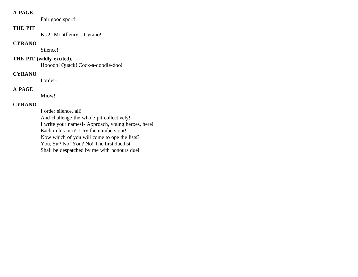### **A PAGE**

Fair good sport!

### **THE PIT**

Kss!- Montfleury... Cyrano!

## **CYRANO**

Silence!

# **THE PIT (wildly excited).**

Hooooh! Quack! Cock-a-doodle-doo!

# **CYRANO**

I order-

# **A PAGE**

Miow!

# **CYRANO**

I order silence, all! And challenge the whole pit collectively!- I write your names!- Approach, young heroes, here! Each in his turn! I cry the numbers out!- Now which of you will come to ope the lists? You, Sir? No! You? No! The first duellist Shall be despatched by me with honours due!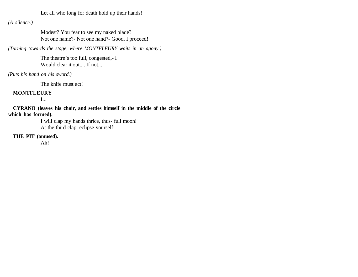Let all who long for death hold up their hands!

*(A silence.)*

Modest? You fear to see my naked blade? Not one name?- Not one hand?- Good, I proceed!

*(Turning towards the stage, where MONTFLEURY waits in an agony.)*

The theatre's too full, congested,- I Would clear it out.... If not...

*(Puts his hand on his sword.)*

The knife must act!

## **MONTFLEURY**

I...

**CYRANO (leaves his chair, and settles himself in the middle of the circle which has formed).**

I will clap my hands thrice, thus- full moon! At the third clap, eclipse yourself!

**THE PIT (amused).** 

Ah!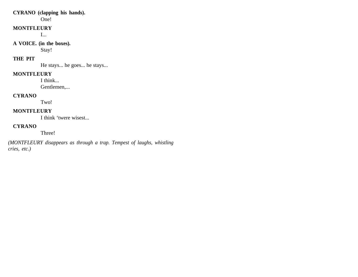#### **CYRANO (clapping his hands).**

One!

#### **MONTFLEURY**

I...

## **A VOICE. (in the boxes).**

Stay!

# **THE PIT**

He stays... he goes... he stays...

## **MONTFLEURY**

I think...

Gentlemen,...

#### **CYRANO**

Two!

# **MONTFLEURY**

I think 'twere wisest...

# **CYRANO**

Three!

*(MONTFLEURY disappears as through a trap. Tempest of laughs, whistling cries, etc.)*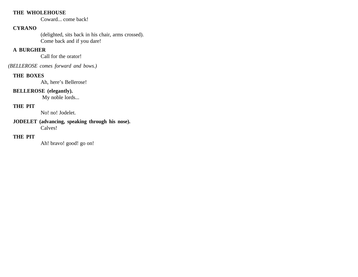#### **THE WHOLEHOUSE**

Coward... come back!

## **CYRANO**

(delighted, sits back in his chair, arms crossed). Come back and if you dare!

#### **A BURGHER**

Call for the orator!

*(BELLEROSE comes forward and bows.)* 

#### **THE BOXES**

Ah, here's Bellerose!

## **BELLEROSE (elegantly).**

My noble lords...

# **THE PIT**

No! no! Jodelet.

#### **JODELET (advancing, speaking through his nose).**  Calves!

## **THE PIT**

Ah! bravo! good! go on!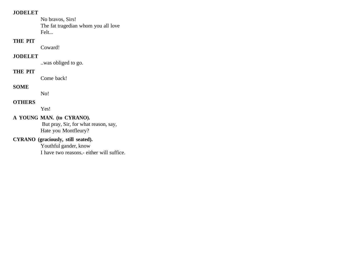#### **JODELET**

No bravos, Sirs! The fat tragedian whom you all love Felt...

## **THE PIT**

Coward!

#### **JODELET**

..was obliged to go.

# **THE PIT**

Come back!

## **SOME**

No!

#### **OTHERS**

Yes!

# **A YOUNG MAN. (to CYRANO).**

 But pray, Sir, for what reason, say, Hate you Montfleury?

# **CYRANO (graciously, still seated).**

Youthful gander, know I have two reasons,- either will suffice.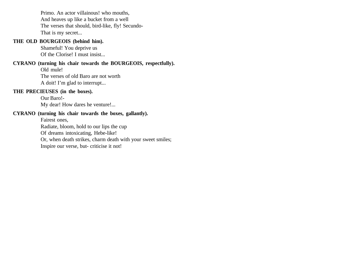Primo. An actor villainous! who mouths, And heaves up like a bucket from a well The verses that should, bird-like, fly! Secundo-That is my secret...

#### **THE OLD BOURGEOIS (behind him).**

Shameful! You deprive us Of the Clorise! I must insist...

**CYRANO (turning his chair towards the BOURGEOIS, respectfully).**

Old mule! The verses of old Baro are not worth A doit! I'm glad to interrupt...

#### **THE PRECIEUSES (in the boxes).**

Our Baro!- My dear! How dares he venture!...

#### **CYRANO (turning his chair towards the boxes, gallantly).**

Fairest ones,

Radiate, bloom, hold to our lips the cup

Of dreams intoxicating, Hebe-like!

Or, when death strikes, charm death with your sweet smiles;

Inspire our verse, but- criticise it not!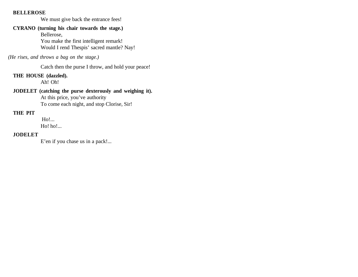#### **BELLEROSE**

We must give back the entrance fees!

# **CYRANO (turning his chair towards the stage.)**

Bellerose, You make the first intelligent remark! Would I rend Thespis' sacred mantle? Nay!

#### *(He rises, and throws a bag on the stage.)*

Catch then the purse I throw, and hold your peace!

## **THE HOUSE (dazzled).**

Ah! Oh!

## **JODELET (catching the purse dexterously and weighing it).**

At this price, you've authority To come each night, and stop Clorise, Sir!

### **THE PIT**

 Ho!... Ho! ho!...

#### **JODELET**

E'en if you chase us in a pack!...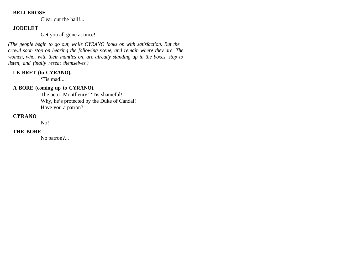#### **BELLEROSE**

Clear out the hall!...

## **JODELET**

Get you all gone at once!

*(The people begin to go out, while CYRANO looks on with satisfaction. But the crowd soon stop on hearing the following scene, and remain where they are. The women, who, with their mantles on, are already standing up in the boxes, stop to listen, and finally reseat themselves.)*

## **LE BRET (to CYRANO).**

'Tis mad!...

## **A BORE (coming up to CYRANO).**

The actor Montfleury! 'Tis shameful! Why, he's protected by the Duke of Candal! Have you a patron?

#### **CYRANO**

No!

#### **THE BORE**

No patron?...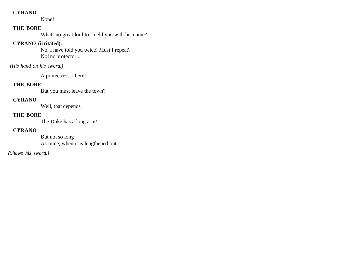#### **CYRANO**

None!

## **THE BORE**

What! no great lord to shield you with his name?

# **CYRANO (irritated).**

No, I have told you twice! Must I repeat? No! no protector...

## *(His hand on his sword.)*

A protectress... here!

#### **THE BORE**

But you must leave the town?

## **CYRANO**

Well, that depends

#### **THE BORE**

The Duke has a long arm!

#### **CYRANO**

But not so long As mine, when it is lengthened out...

*(Shows his sword.)*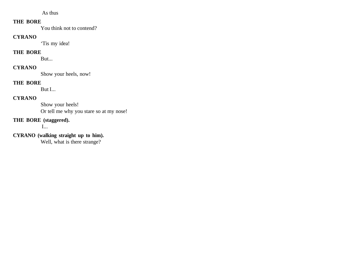As thus

#### **THE BORE**

You think not to contend?

# **CYRANO**

'Tis my idea!

# **THE BORE**

But...

# **CYRANO**

Show your heels, now!

#### **THE BORE**

But I...

# **CYRANO**

Show your heels! Or tell me why you stare so at my nose!

# **THE BORE (staggered).**

I...

# **CYRANO (walking straight up to him).**

Well, what is there strange?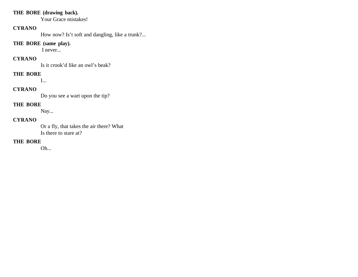#### **THE BORE (drawing back).**

Your Grace mistakes!

#### **CYRANO**

How now? Is't soft and dangling, like a trunk?...

#### **THE BORE (same play).**

I never...

# **CYRANO**

Is it crook'd like an owl's beak?

## **THE BORE**

I...

# **CYRANO**

Do you see a wart upon the tip?

# **THE BORE**

Nay...

# **CYRANO**

Or a fly, that takes the air there? What Is there to stare at?

#### **THE BORE**

Oh...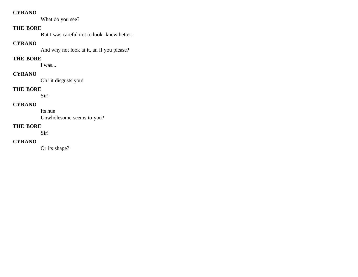#### **CYRANO**

What do you see?

# **THE BORE**

But I was careful not to look- knew better.

#### **CYRANO**

And why not look at it, an if you please?

## **THE BORE**

I was...

# **CYRANO**

Oh! it disgusts you!

# **THE BORE**

Sir!

## **CYRANO**

Its hue Unwholesome seems to you?

#### **THE BORE**

Sir!

# **CYRANO**

Or its shape?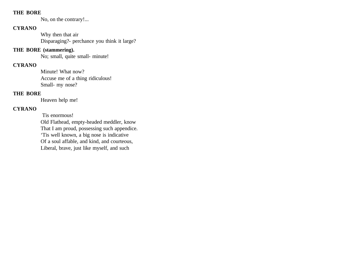#### **THE BORE**

No, on the contrary!...

## **CYRANO**

Why then that air Disparaging?- perchance you think it large?

#### **THE BORE (stammering).**

No; small, quite small- minute!

#### **CYRANO**

Minute! What now? Accuse me of a thing ridiculous! Small- my nose?

### **THE BORE**

Heaven help me!

## **CYRANO**

Tis enormous!

Old Flathead, empty-headed meddler, know That I am proud, possessing such appendice. 'Tis well known, a big nose is indicative Of a soul affable, and kind, and courteous, Liberal, brave, just like myself, and such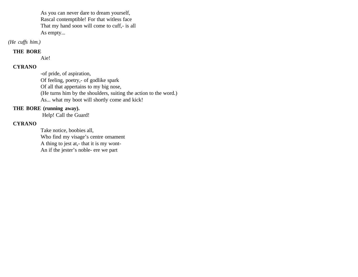As you can never dare to dream yourself, Rascal contemptible! For that witless face That my hand soon will come to cuff,- is all As empty...

*(He cuffs him.)*

#### **THE BORE**

Aie!

#### **CYRANO**

-of pride, of aspiration, Of feeling, poetry,- of godlike spark Of all that appertains to my big nose, (He turns him by the shoulders, suiting the action to the word.) As... what my boot will shortly come and kick!

## **THE BORE (running away).**

Help! Call the Guard!

## **CYRANO**

Take notice, boobies all, Who find my visage's centre ornament A thing to jest at,- that it is my wont-An if the jester's noble- ere we part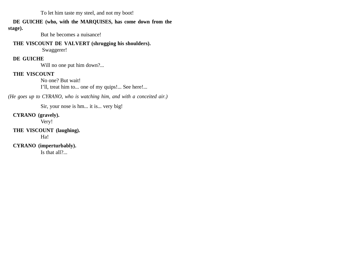To let him taste my steel, and not my boot!

#### **DE GUICHE (who, with the MARQUISES, has come down from the**

**stage).**

But he becomes a nuisance!

#### **THE VISCOUNT DE VALVERT (shrugging his shoulders).**

Swaggerer!

# **DE GUICHE**

Will no one put him down?...

# **THE VISCOUNT**

No one? But wait! I'll, treat him to... one of my quips!... See here!...

*(He goes up to CYRANO, who is watching him, and with a conceited air.)*

Sir, your nose is hm... it is... very big!

**CYRANO (gravely).** 

Very!

#### **THE VISCOUNT (laughing).**  Ha!

**CYRANO (imperturbably).**  Is that all?...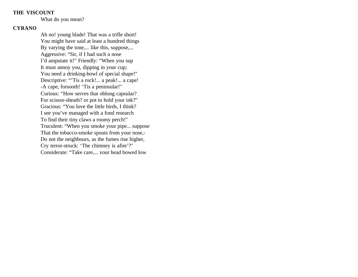What do you mean?

#### **CYRANO**

Ah no! young blade! That was a trifle short! You might have said at least a hundred things By varying the tone,... like this, suppose,... Aggressive: "Sir, if I had such a nose I'd amputate it!" Friendly: "When you sup It must annoy you, dipping in your cup; You need a drinking-bowl of special shape!" Descriptive: "'Tis a rock!... a peak!... a cape! -A cape, forsooth! 'Tis a peninsular!" Curious: "How serves that oblong capsular? For scissor-sheath? or pot to hold your ink?" Gracious: "You love the little birds, I think? I see you've managed with a fond research To find their tiny claws a roomy perch!" Truculent: "When you smoke your pipe... suppose That the tobacco-smoke spouts from your nose,- Do not the neighbours, as the fumes rise higher, Cry terror-struck: 'The chimney is afire'?" Considerate: "Take care,... your head bowed low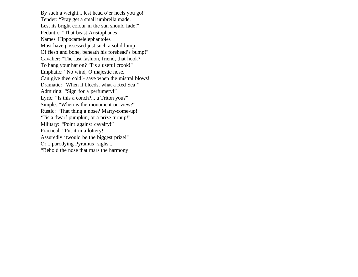By such a weight... lest head o'er heels you go!" Tender: "Pray get a small umbrella made, Lest its bright colour in the sun should fade!" Pedantic: "That beast Aristophanes Names Hippocamelelephantoles Must have possessed just such a solid lump Of flesh and bone, beneath his forehead's bump!" Cavalier: "The last fashion, friend, that hook? To hang your hat on? 'Tis a useful crook!" Emphatic: "No wind, O majestic nose, Can give thee cold!- save when the mistral blows!" Dramatic: "When it bleeds, what a Red Sea!" Admiring: "Sign for a perfumery!" Lyric: "Is this a conch?... a Triton you?" Simple: "When is the monument on view?" Rustic: "That thing a nose? Marry-come-up! 'Tis a dwarf pumpkin, or a prize turnup!" Military: "Point against cavalry!" Practical: "Put it in a lottery! Assuredly 'twould be the biggest prize!" Or... parodying Pyramus' sighs... "Behold the nose that mars the harmony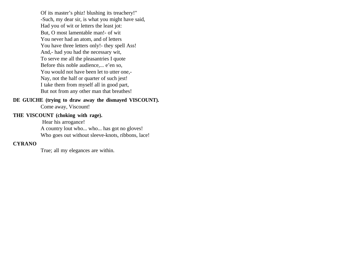Of its master's phiz! blushing its treachery!" -Such, my dear sir, is what you might have said, Had you of wit or letters the least jot: But, O most lamentable man!- of wit You never had an atom, and of letters You have three letters only!- they spell Ass! And,- had you had the necessary wit, To serve me all the pleasantries I quote Before this noble audience,... e'en so, You would not have been let to utter one,- Nay, not the half or quarter of such jest! I take them from myself all in good part, But not from any other man that breathes!

**DE GUICHE (trying to draw away the dismayed VISCOUNT).**

Come away, Viscount!

#### **THE VISCOUNT (choking with rage).**

 Hear his arrogance! A country lout who... who... has got no gloves! Who goes out without sleeve-knots, ribbons, lace!

#### **CYRANO**

True; all my elegances are within.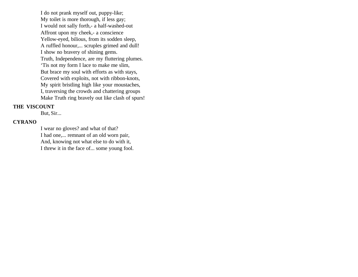I do not prank myself out, puppy-like; My toilet is more thorough, if less gay; I would not sally forth,- a half-washed-out Affront upon my cheek,- a conscience Yellow-eyed, bilious, from its sodden sleep, A ruffled honour,... scruples grimed and dull! I show no bravery of shining gems. Truth, Independence, are my fluttering plumes. 'Tis not my form I lace to make me slim, But brace my soul with efforts as with stays, Covered with exploits, not with ribbon-knots, My spirit bristling high like your moustaches, I, traversing the crowds and chattering groups Make Truth ring bravely out like clash of spurs!

#### **THE VISCOUNT**

But, Sir...

#### **CYRANO**

I wear no gloves? and what of that? I had one,... remnant of an old worn pair, And, knowing not what else to do with it, I threw it in the face of... some young fool.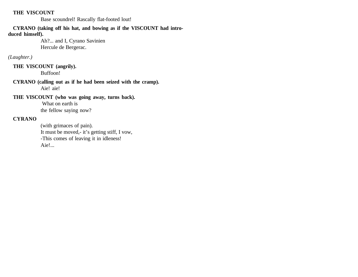Base scoundrel! Rascally flat-footed lout!

**CYRANO (taking off his hat, and bowing as if the VISCOUNT had introduced himself).**

> Ah?... and I, Cyrano Savinien Hercule de Bergerac.

## *(Laughter.)*

**THE VISCOUNT (angrily).**  Buffoon!

**CYRANO (calling out as if he had been seized with the cramp).** Aie! aie!

**THE VISCOUNT (who was going away, turns back).**

 What on earth is the fellow saying now?

#### **CYRANO**

(with grimaces of pain). It must be moved,- it's getting stiff, I vow, -This comes of leaving it in idleness! Aie!...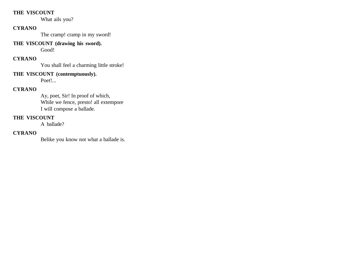What ails you?

#### **CYRANO**

The cramp! cramp in my sword!

# **THE VISCOUNT (drawing his sword).**

Good!

# **CYRANO**

You shall feel a charming little stroke!

# **THE VISCOUNT (contemptuously).**

Poet!...

# **CYRANO**

Ay, poet, Sir! In proof of which, While we fence, presto! all extempore I will compose a ballade.

# **THE VISCOUNT**

A ballade?

# **CYRANO**

Belike you know not what a ballade is.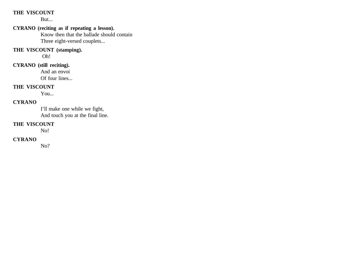But...

## **CYRANO (reciting as if repeating a lesson).**

Know then that the ballade should contain Three eight-versed couplets...

#### **THE VISCOUNT (stamping).**

Oh!

# **CYRANO (still reciting).**

And an envoi Of four lines...

## **THE VISCOUNT**

You...

#### **CYRANO**

I'll make one while we fight, And touch you at the final line.

#### **THE VISCOUNT**

No!

## **CYRANO**

No?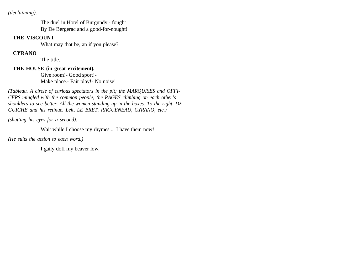*(declaiming).*

The duel in Hotel of Burgundy,- fought By De Bergerac and a good-for-nought!

#### **THE VISCOUNT**

What may that be, an if you please?

## **CYRANO**

The title.

# **THE HOUSE (in great excitement).**

Give room!- Good sport!- Make place.- Fair play!- No noise!

*(Tableau. A circle of curious spectators in the pit; the MARQUISES and OFFI-CERS mingled with the common people; the PAGES climbing on each other's shoulders to see better. All the women standing up in the boxes. To the right, DE GUICHE and his retinue. Left, LE BRET, RAGUENEAU, CYRANO, etc.)*

*(shutting his eyes for a second).*

Wait while I choose my rhymes.... I have them now!

*(He suits the action to each word.)*

I gaily doff my beaver low,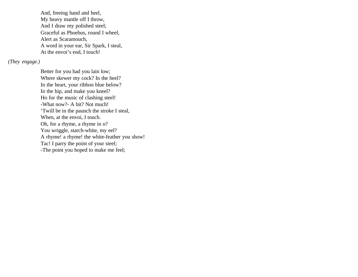And, freeing hand and heel, My heavy mantle off I throw, And I draw my polished steel; Graceful as Phoebus, round I wheel, Alert as Scaramouch, A word in your ear, Sir Spark, I steal, At the envoi's end, I touch!

*(They engage.)* 

Better for you had you lain low; Where skewer my cock? In the heel? In the heart, your ribbon blue below? In the hip, and make you kneel? Ho for the music of clashing steel! -What now?- A hit? Not much! 'Twill be in the paunch the stroke I steal, When, at the envoi, I touch. Oh, for a rhyme, a rhyme in o? You wriggle, starch-white, my eel? A rhyme! a rhyme! the white-feather you show! Tac! I parry the point of your steel; -The point you hoped to make me feel;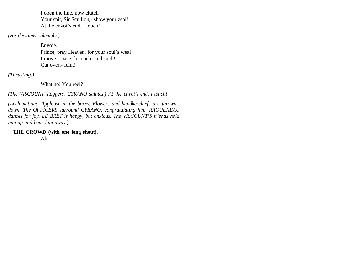I open the line, now clutch Your spit, Sir Scullion,- show your zeal! At the envoi's end, I touch!

*(He declaims solemnly.)* 

Envoie. Prince, pray Heaven, for your soul's weal! I move a pace- lo, such! and such! Cut over,- feint!

*(Thrusting.)*

What ho! You reel?

*(The VISCOUNT staggers. CYRANO salutes.) At the envoi's end, I touch!* 

*(Acclamations. Applause in the boxes. Flowers and handkerchiefs are thrown down. The OFFICERS surround CYRANO, congratulating him. RAGUENEAU dances for joy. LE BRET is happy, but anxious. The VISCOUNT'S friends hold him up and bear him away.)* 

**THE CROWD (with one long shout).** 

Ah!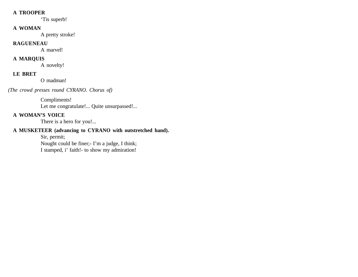#### **A TROOPER**

'Tis superb!

## **A WOMAN**

A pretty stroke!

#### **RAGUENEAU**

A marvel!

## **A MARQUIS**

A novelty!

# **LE BRET**

O madman!

*(The crowd presses round CYRANO. Chorus of)*

# Compliments!

Let me congratulate!... Quite unsurpassed!...

# **A WOMAN'S VOICE**

There is a hero for you!...

# **A MUSKETEER (advancing to CYRANO with outstretched hand).**

Sir, permit; Nought could be finer;- I'm a judge, I think; I stamped, i' faith!- to show my admiration!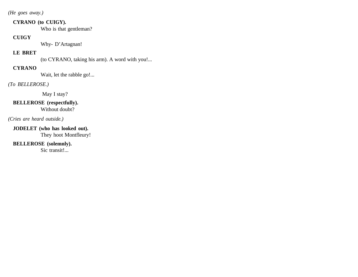*(He goes away.)*

### **CYRANO (to CUIGY).**

Who is that gentleman?

### **CUIGY**

Why- D'Artagnan!

# **LE BRET**

(to CYRANO, taking his arm). A word with you!...

# **CYRANO**

Wait, let the rabble go!...

# *(To BELLEROSE.)*

May I stay?

### **BELLEROSE (respectfully).**  Without doubt?

# *(Cries are heard outside.)*

**JODELET (who has looked out).**  They hoot Montfleury!

# **BELLEROSE (solemnly).**

Sic transit!...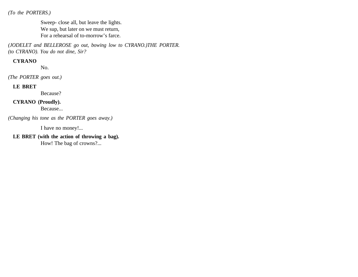*(To the PORTERS.)*

Sweep- close all, but leave the lights. We sup, but later on we must return, For a rehearsal of to-morrow's farce.

*(JODELET and BELLEROSE go out, bowing low to CYRANO.)THE PORTER. (to CYRANO). You do not dine, Sir?*

### **CYRANO**

No.

*(The PORTER goes out.)* 

### **LE BRET**

Because?

**CYRANO (Proudly).** 

Because...

*(Changing his tone as the PORTER goes away.)*

I have no money!...

**LE BRET (with the action of throwing a bag).**

How! The bag of crowns?...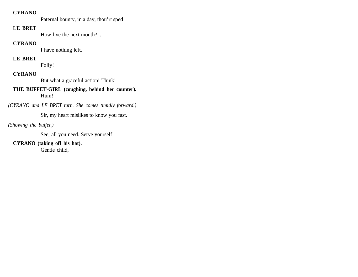### **CYRANO**

Paternal bounty, in a day, thou'rt sped!

# **LE BRET**

How live the next month?...

### **CYRANO**

I have nothing left.

# **LE BRET**

Folly!

# **CYRANO**

But what a graceful action! Think!

### **THE BUFFET-GIRL (coughing, behind her counter).**  Hum!

*(CYRANO and LE BRET turn. She comes timidly forward.)*

Sir, my heart mislikes to know you fast.

# *(Showing the buffet.)*

See, all you need. Serve yourself!

# **CYRANO (taking off his hat).**

Gentle child,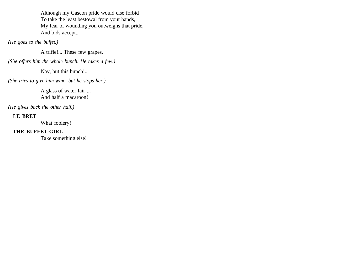Although my Gascon pride would else forbid To take the least bestowal from your hands, My fear of wounding you outweighs that pride, And bids accept...

*(He goes to the buffet.)*

A trifle!... These few grapes.

*(She offers him the whole bunch. He takes a few.)*

Nay, but this bunch!...

*(She tries to give him wine, but he stops her.)*

A glass of water fair!... And half a macaroon!

*(He gives back the other half.)*

# **LE BRET**

What foolery!

# **THE BUFFET-GIRL**

Take something else!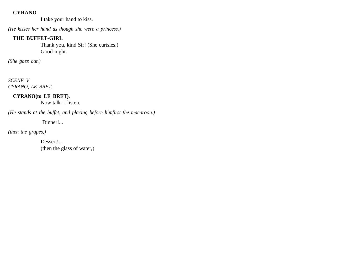### **CYRANO**

I take your hand to kiss.

*(He kisses her hand as though she were a princess.)*

# **THE BUFFET-GIRL**

Thank you, kind Sir! (She curtsies.) Good-night.

*(She goes out.)*

*SCENE V CYRANO, LE BRET.* 

**CYRANO(to LE BRET).** 

Now talk- I listen.

*(He stands at the buffet, and placing before himfirst the macaroon.)*

Dinner!...

*(then the grapes,)* 

Dessert!... (then the glass of water,)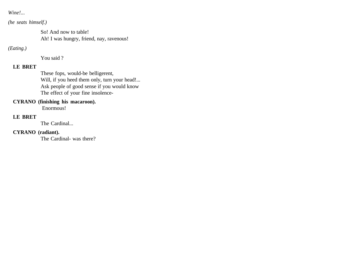*Wine!...*

*(he seats himself.)* 

So! And now to table! Ah! I was hungry, friend, nay, ravenous!

*(Eating.)* 

You said ?

# **LE BRET**

These fops, would-be belligerent, Will, if you heed them only, turn your head!... Ask people of good sense if you would know The effect of your fine insolence-

# **CYRANO (finishing his macaroon).**

Enormous!

# **LE BRET**

The Cardinal...

# **CYRANO (radiant).**

The Cardinal- was there?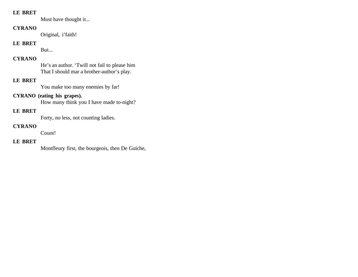### **LE BRET**

Must have thought it...

### **CYRANO**

Original, i'faith!

# **LE BRET**

But...

# **CYRANO**

He's an author. 'Twill not fail to please him That I should mar a brother-author's play.

# **LE BRET**

You make too many enemies by far!

# **CYRANO (eating his grapes).**

How many think you I have made to-night?

# **LE BRET**

Forty, no less, not counting ladies.

### **CYRANO**

Count!

# **LE BRET**

Montfleury first, the bourgeois, then De Guiche,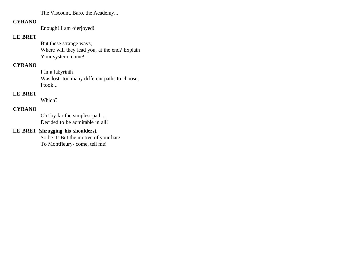The Viscount, Baro, the Academy...

### **CYRANO**

Enough! I am o'erjoyed!

# **LE BRET**

But these strange ways, Where will they lead you, at the end? Explain Your system-come!

# **CYRANO**

I in a labyrinth Was lost- too many different paths to choose; I took...

# **LE BRET**

Which?

# **CYRANO**

Oh! by far the simplest path... Decided to be admirable in all!

# **LE BRET (shrugging his shoulders).**

So be it! But the motive of your hate To Montfleury- come, tell me!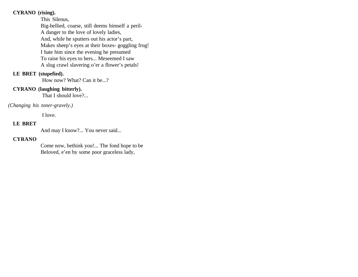### **CYRANO (rising).**

This Silenus, Big-bellied, coarse, still deems himself a peril-A danger to the love of lovely ladies, And, while he sputters out his actor's part, Makes sheep's eyes at their boxes- goggling frog! I hate him since the evening he presumed To raise his eyes to hers... Meseemed I saw A slug crawl slavering o'er a flower's petals!

### **LE BRET (stupefied).**

How now? What? Can it be...?

### **CYRANO (laughing bitterly).**

That I should love?...

### *(Changing his toner-gravely.)*

I love.

#### **LE BRET**

And may I know?... You never said...

### **CYRANO**

Come now, bethink you!... The fond hope to be Beloved, e'en by some poor graceless lady,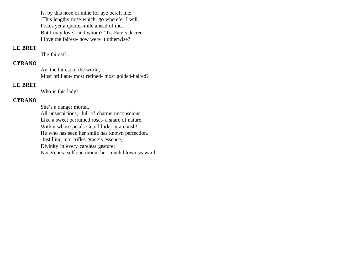Is, by this nose of mine for aye bereft me; -This lengthy nose which, go where'er I will, Pokes yet a quarter-mile ahead of me; But I may love,- and whom? 'Tis Fate's decree I love the fairest- how were 't otherwise?

### **LE BRET**

The fairest?...

#### **CYRANO**

Ay, the fairest of the world, Most brilliant- most refined- most golden-haired?

### **LE BRET**

Who is this lady?

# **CYRANO**

She's a danger mortal, All unsuspicious,- full of charms unconscious, Like a sweet perfumed rose,- a snare of nature, Within whose petals Cupid lurks in ambush! He who has seen her smile has known perfection, -Instilling into trifles grace's essence, Divinity in every careless gesture; Not Venus' self can mount her conch blown seaward,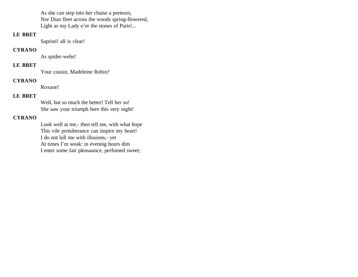As she can step into her chaise a porteurs, Nor Dian fleet across the woods spring-flowered, Light as my Lady o'er the stones of Paris!...

### **LE BRET**

Sapristi! all is clear!

#### **CYRANO**

As spider-webs!

# **LE BRET**

Your cousin, Madeleine Robin?

### **CYRANO**

Roxane!

### **LE BRET**

Well, but so much the better! Tell her so! She saw your triumph here this very night!

# **CYRANO**

Look well at me,- then tell me, with what hope This vile protuberance can inspire my heart! I do not lull me with illusions,- yet At times I'm weak: in evening hours dim I enter some fair pleasaunce, perfumed sweet;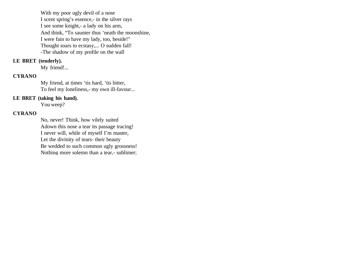With my poor ugly devil of a nose I scent spring's essence,- in the silver rays I see some knight,- a lady on his arm, And think, "To saunter thus 'neath the moonshine, I were fain to have my lady, too, beside!" Thought soars to ecstasy,... O sudden fall! -The shadow of my profile on the wall

#### **LE BRET (tenderly).**

My friend!...

### **CYRANO**

My friend, at times 'tis hard, 'tis bitter, To feel my loneliness,- my own ill-favour...

#### **LE BRET (taking his hand).**

You weep?

#### **CYRANO**

No, never! Think, how vilely suited Adown this nose a tear its passage tracing! I never will, while of myself I'm master, Let the divinity of tears- their beauty Be wedded to such common ugly grossness! Nothing more solemn than a tear,- sublimer;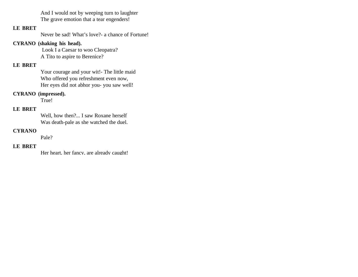And I would not by weeping turn to laughter The grave emotion that a tear engenders!

### **LE BRET**

Never be sad! What's love?- a chance of Fortune!

### **CYRANO (shaking his head).**

 Look I a Caesar to woo Cleopatra? A Tito to aspire to Berenice?

# **LE BRET**

Your courage and your wit!- The little maid Who offered you refreshment even now, Her eyes did not abhor you- you saw well!

### **CYRANO (impressed).**

True!

# **LE BRET**

Well, how then?... I saw Roxane herself Was death-pale as she watched the duel.

### **CYRANO**

Pale?

### **LE BRET**

Her heart, her fancy, are already caught!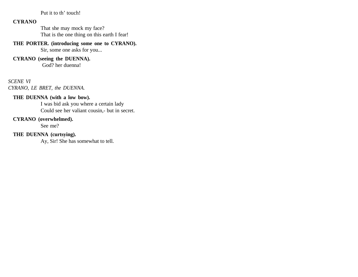Put it to th' touch!

### **CYRANO**

That she may mock my face? That is the one thing on this earth I fear!

### **THE PORTER. (introducing some one to CYRANO).**

Sir, some one asks for you...

### **CYRANO (seeing the DUENNA).**

God? her duenna!

#### *SCENE VI*

*CYRANO, LE BRET, the DUENNA.* 

### **THE DUENNA (with a low bow).**

I was bid ask you where a certain lady Could see her valiant cousin,- but in secret.

#### **CYRANO (overwhelmed).**

See me?

### **THE DUENNA (curtsying).**

Ay, Sir! She has somewhat to tell.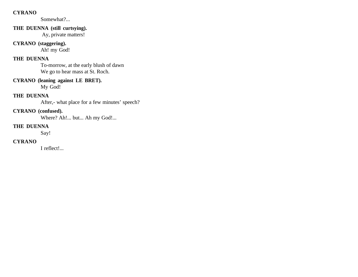### **CYRANO**

Somewhat?...

# **THE DUENNA (still curtsying).**

Ay, private matters!

# **CYRANO (staggering).**

Ah! my God!

# **THE DUENNA**

To-morrow, at the early blush of dawn We go to hear mass at St. Roch.

# **CYRANO (leaning against LE BRET).**

My God!

# **THE DUENNA**

After,- what place for a few minutes' speech?

# **CYRANO (confused).**

Where? Ah!... but... Ah my God!...

### **THE DUENNA**

Say!

### **CYRANO**

I reflect!...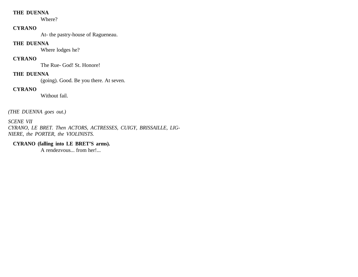### **THE DUENNA**

Where?

### **CYRANO**

At- the pastry-house of Ragueneau.

### **THE DUENNA**

Where lodges he?

### **CYRANO**

The Rue- God! St. Honore!

### **THE DUENNA**

(going). Good. Be you there. At seven.

# **CYRANO**

Without fail.

*(THE DUENNA goes out.)*

*SCENE VII CYRANO, LE BRET. Then ACTORS, ACTRESSES, CUIGY, BRISSAILLE, LIG-NIERE, the PORTER, the VIOLINISTS.*

# **CYRANO (falling into LE BRET'S arms).**

A rendezvous... from her!...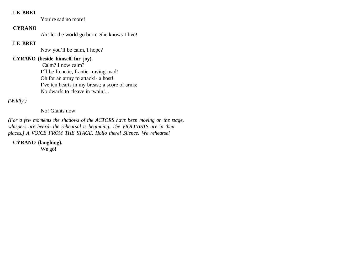#### **LE BRET**

You're sad no more!

### **CYRANO**

Ah! let the world go burn! She knows I live!

# **LE BRET**

Now you'll be calm, I hope?

# **CYRANO (beside himself for joy).**

 Calm? I now calm? I'll be frenetic, frantic- raving mad! Oh for an army to attack!- a host! I've ten hearts in my breast; a score of arms; No dwarfs to cleave in twain!...

*(Wildly.)*

No! Giants now!

*(For a few moments the shadows of the ACTORS have been moving on the stage, whispers are heard- the rehearsal is beginning. The VIOLINISTS are in their places.) A VOICE FROM THE STAGE. Hollo there! Silence! We rehearse!*

**CYRANO (laughing).** 

We go!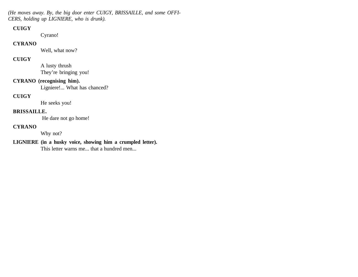*(He moves away. By, the big door enter CUIGY, BRISSAILLE, and some OFFI-CERS, holding up LIGNIERE, who is drunk).* 

### **CUIGY**

Cyrano!

### **CYRANO**

Well, what now?

# **CUIGY**

A lusty thrush They're bringing you!

## **CYRANO (recognising him).**

Ligniere!... What has chanced?

### **CUIGY**

He seeks you!

### **BRISSAILLE.**

He dare not go home!

### **CYRANO**

Why not?

# **LIGNIERE (in a husky voice, showing him a crumpled letter).**

This letter warns me... that a hundred men...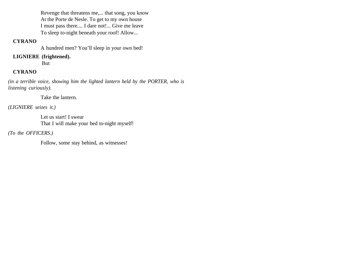Revenge that threatens me,... that song, you know At the Porte de Nesle. To get to my own house I must pass there.... I dare not!... Give me leave To sleep to-night beneath your roof! Allow...

### **CYRANO**

A hundred men? You'll sleep in your own bed!

# **LIGNIERE (frightened).**

But

# **CYRANO**

*(in a terrible voice, showing him the lighted lantern held by the PORTER, who is listening curiously).*

Take the lantern.

*(LIGNIERE seizes it.)*

Let us start! I swear That I will make your bed to-night myself!

*(To the OFFICERS.)*

Follow, some stay behind, as witnesses!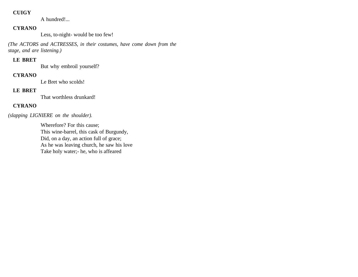### **CUIGY**

A hundred!...

# **CYRANO**

Less, to-night- would be too few!

*(The ACTORS and ACTRESSES, in their costumes, have come down from the stage, and are listening.)* 

### **LE BRET**

But why embroil yourself?

### **CYRANO**

Le Bret who scolds!

# **LE BRET**

That worthless drunkard!

# **CYRANO**

*(slapping LIGNIERE on the shoulder).*

Wherefore? For this cause; This wine-barrel, this cask of Burgundy, Did, on a day, an action full of grace; As he was leaving church, he saw his love Take holy water;- he, who is affeared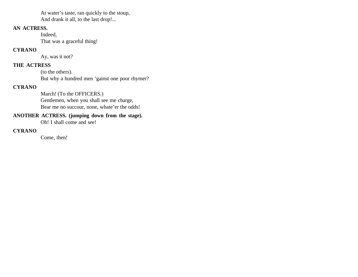At water's taste, ran quickly to the stoup, And drank it all, to the last drop!...

### **AN ACTRESS.**

Indeed, That was a graceful thing!

# **CYRANO**

Ay, was it not?

# **THE ACTRESS**

(to the others). But why a hundred men 'gainst one poor rhymer?

# **CYRANO**

March! (To the OFFICERS.) Gentlemen, when you shall see me charge, Bear me no succour, none, whate'er the odds!

# **ANOTHER ACTRESS. (jumping down from the stage).**

Oh! I shall come and see!

# **CYRANO**

Come, then!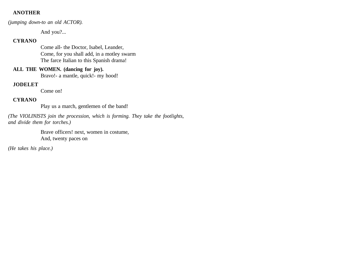### **ANOTHER**

*(jumping down-to an old ACTOR).* 

And you?...

### **CYRANO**

Come all- the Doctor, Isabel, Leander, Come, for you shall add, in a motley swarm The farce Italian to this Spanish drama!

### **ALL THE WOMEN. (dancing for joy).**

Bravo!- a mantle, quick!- my hood!

### **JODELET**

Come on!

### **CYRANO**

Play us a march, gentlemen of the band!

*(The VIOLINISTS join the procession, which is forming. They take the footlights, and divide them for torches.)*

> Brave officers! next, women in costume, And, twenty paces on

*(He takes his place.)*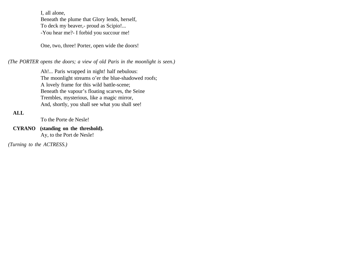I, all alone, Beneath the plume that Glory lends, herself, To deck my beaver,- proud as Scipio!... -You hear me?- I forbid you succour me!

One, two, three! Porter, open wide the doors!

*(The PORTER opens the doors; a view of old Paris in the moonlight is seen.)* 

Ah!... Paris wrapped in night! half nebulous: The moonlight streams o'er the blue-shadowed roofs; A lovely frame for this wild battle-scene; Beneath the vapour's floating scarves, the Seine Trembles, mysterious, like a magic mirror, And, shortly, you shall see what you shall see!

# **ALL**

To the Porte de Nesle!

**CYRANO (standing on the threshold).** Ay, to the Port de Nesle!

*(Turning to the ACTRESS.)*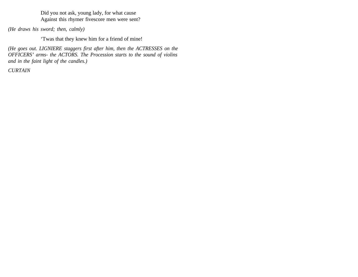Did you not ask, young lady, for what cause Against this rhymer fivescore men were sent?

*(He draws his sword; then, calmly)*

'Twas that they knew him for a friend of mine!

*(He goes out. LIGNIERE staggers first after him, then the ACTRESSES on the OFFICERS' arms- the ACTORS. The Procession starts to the sound of violins and in the faint light of the candles.)*

*CURTAIN*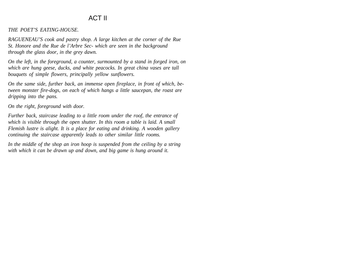# ACT II

*THE POET'S EATING-HOUSE.*

*RAGUENEAU'S cook and pastry shop. A large kitchen at the corner of the Rue St. Honore and the Rue de l'Arbre Sec- which are seen in the background through the glass door, in the grey dawn.*

*On the left, in the foreground, a counter, surmounted by a stand in forged iron, on which are hung geese, ducks, and white peacocks. In great china vases are tall bouquets of simple flowers, principally yellow sunflowers.*

*On the same side, further back, an immense open fireplace, in front of which, between monster fire-dogs, on each of which hangs a little saucepan, the roast are dripping into the pans.*

*On the right, foreground with door.*

*Further back, staircase leading to a little room under the roof, the entrance of which is visible through the open shutter. In this room a table is laid. A small Flemish lustre is alight. It is a place for eating and drinking. A wooden gallery continuing the staircase apparently leads to other similar little rooms.*

*In the middle of the shop an iron hoop is suspended from the ceiling by a string with which it can be drawn up and down, and big game is hung around it.*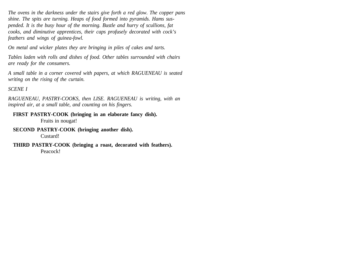*The ovens in the darkness under the stairs give forth a red glow. The copper pans shine. The spits are turning. Heaps of food formed into pyramids. Hams suspended. It is the busy hour of the morning. Bustle and hurry of scullions, fat cooks, and diminutive apprentices, their caps profusely decorated with cock's feathers and wings of guinea-fowl.*

*On metal and wicker plates they are bringing in piles of cakes and tarts.*

*Tables laden with rolls and dishes of food. Other tables surrounded with chairs are ready for the consumers.*

*A small table in a corner covered with papers, at which RAGUENEAU is seated writing on the rising of the curtain.*

*SCENE I* 

*RAGUENEAU, PASTRY-COOKS, then LISE. RAGUENEAU is writing, with an inspired air, at a small table, and counting on his fingers.* 

### **FIRST PASTRY-COOK (bringing in an elaborate fancy dish).**

Fruits in nougat!

#### **SECOND PASTRY-COOK (bringing another dish).**

Custard!

**THIRD PASTRY-COOK (bringing a roast, decorated with feathers).** Peacock!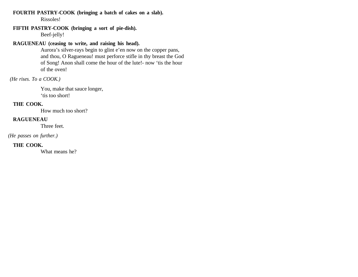**FOURTH PASTRY-COOK (bringing a batch of cakes on a slab).** Rissoles!

# **FIFTH PASTRY-COOK (bringing a sort of pie-dish).**

Beef-jelly!

# **RAGUENEAU (ceasing to write, and raising his head).**

Aurora's silver-rays begin to glint e'en now on the copper pans, and thou, O Ragueneau! must perforce stifle in thy breast the God of Song! Anon shall come the hour of the lute!- now 'tis the hour of the oven!

 *(He rises. To a COOK.)* 

You, make that sauce longer, 'tis too short!

# **THE COOK.**

How much too short?

# **RAGUENEAU**

Three feet.

*(He passes on further.)*

# **THE COOK.**

What means he?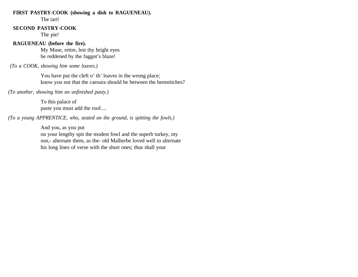#### **FIRST PASTRY-COOK (showing a dish to RAGUENEAU).**

The tart!

### **SECOND PASTRY-COOK**

The pie!

### **RAGUENEAU (before the fire).**

My Muse, retire, lest thy bright eyes be reddened by the faggot's blaze!

 *(To a COOK, showing him some loaves.)* 

You have put the cleft o' th' loaves in the wrong place; know you not that the caesura should be between the hemstitches?

*(To another, showing him an unfinished pasty.)* 

To this palace of paste you must add the roof....

*(To a young APPRENTICE, who, seated on the ground, is spitting the fowls.)* 

And you, as you put on your lengthy spit the modest fowl and the superb turkey, my son,- alternate them, as the- old Malherbe loved well to alternate his long lines of verse with the short ones; thus shall your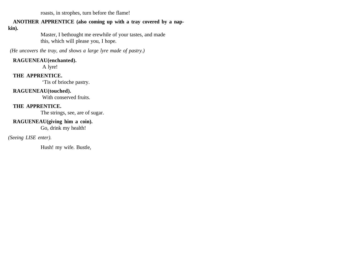roasts, in strophes, turn before the flame!

# **ANOTHER APPRENTICE (also coming up with a tray covered by a nap-**

**kin).** 

Master, I bethought me erewhile of your tastes, and made this, which will please you, I hope.

 *(He uncovers the tray, and shows a large lyre made of pastry.)*

### **RAGUENEAU(enchanted).**

A lyre!

### **THE APPRENTICE.**

'Tis of brioche pastry.

# **RAGUENEAU(touched).**

With conserved fruits.

# **THE APPRENTICE.**

The strings, see, are of sugar.

# **RAGUENEAU(giving him a coin).**

Go, drink my health!

# *(Seeing LISE enter).*

Hush! my wife. Bustle,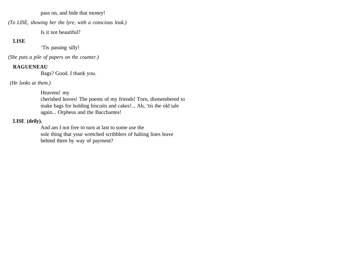pass on, and hide that money!

*(To LISE, showing her the lyre, with a conscious look.)* 

Is it not beautiful?

# **LISE**

'Tis passing silly!

*(She puts a pile of papers on the counter.)*

# **RAGUENEAU**

Bags? Good. I thank you.

 *(He looks at them.)* 

Heavens! my

cherished leaves! The poems of my friends! Torn, dismembered to make bags for holding biscuits and cakes!... Ah, 'tis the old tale again... Orpheus and the Bacchantes!

# **LISE (drily).**

And am I not free to turn at last to some use the sole thing that your wretched scribblers of halting lines leave behind them by way of payment?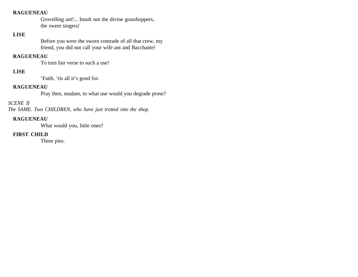### **RAGUENEAU**

Grovelling ant!... Insult not the divine grasshoppers, the sweet singers!

### **LISE**

Before you were the sworn comrade of all that crew, my friend, you did not call your wife ant and Bacchante!

### **RAGUENEAU**

To turn fair verse to such a use!

### **LISE**

'Faith, 'tis all it's good for.

### **RAGUENEAU**

Pray then, madam, to what use would you degrade prose?

# *SCENE II*

*The SAME. Two CHILDREN, who have just trotted into the shop.* 

# **RAGUENEAU**

What would you, little ones?

# **FIRST CHILD**

Three pies.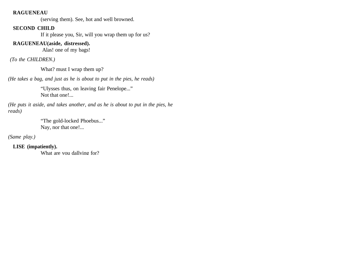#### **RAGUENEAU**

(serving them). See, hot and well browned.

### **SECOND CHILD**

If it please you, Sir, will you wrap them up for us?

### **RAGUENEAU(aside, distressed).**

Alas! one of my bags!

 *(To the CHILDREN.)* 

What? must I wrap them up?

*(He takes a bag, and just as he is about to put in the pies, he reads)*

"Ulysses thus, on leaving fair Penelope..." Not that one!...

*(He puts it aside, and takes another, and as he is about to put in the pies, he reads)*

> "The gold-locked Phoebus..." Nay, nor that one!...

*(Same play.)*

**LISE (impatiently).** 

What are you dallying for?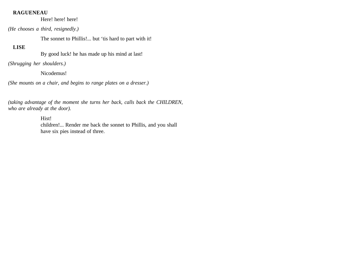#### **RAGUENEAU**

Here! here! here!

*(He chooses a third, resignedly.)*

The sonnet to Phillis!... but 'tis hard to part with it!

### **LISE**

By good luck! he has made up his mind at last!

*(Shrugging her shoulders.)* 

Nicodemus!

*(She mounts on a chair, and begins to range plates on a dresser.)* 

*(taking advantage of the moment she turns her back, calls back the CHILDREN, who are already at the door).* 

Hist!

children!... Render me back the sonnet to Phillis, and you shall have six pies instead of three.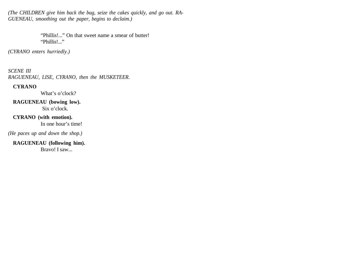*(The CHILDREN give him back the bag, seize the cakes quickly, and go out. RA-GUENEAU, smoothing out the paper, begins to declaim.)* 

> "Phillis!..." On that sweet name a smear of butter! "Phillis!..."

*(CYRANO enters hurriedly.)*

*SCENE III RAGUENEAU, LISE, CYRANO, then the MUSKETEER.* 

### **CYRANO**

What's o'clock?

**RAGUENEAU (bowing low).** Six o'clock.

**CYRANO (with emotion).**  In one hour's time!

*(He paces up and down the shop.)*

**RAGUENEAU (following him).** 

Bravo! I saw...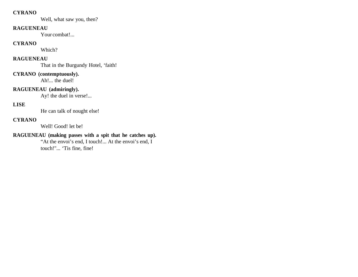### **CYRANO**

Well, what saw you, then?

#### **RAGUENEAU**

Your combat!...

### **CYRANO**

Which?

# **RAGUENEAU**

That in the Burgundy Hotel, 'faith!

### **CYRANO (contemptuously).**

Ah!... the duel!

# **RAGUENEAU (admiringly).**

Ay! the duel in verse!...

# **LISE**

He can talk of nought else!

### **CYRANO**

Well! Good! let be!

# **RAGUENEAU (making passes with a spit that he catches up).**

"At the envoi's end, I touch!... At the envoi's end, I touch!"... 'Tis fine, fine!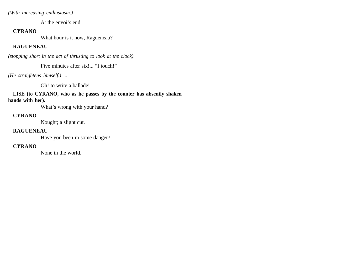*(With increasing enthusiasm.)*

At the envoi's end"

### **CYRANO**

What hour is it now, Ragueneau?

# **RAGUENEAU**

*(stopping short in the act of thrusting to look at the clock).* 

Five minutes after six!... "I touch!"

*(He straightens himself.) ...*

Oh! to write a ballade!

**LISE (to CYRANO, who as he passes by the counter has absently shaken hands with her).** 

What's wrong with your hand?

### **CYRANO**

Nought; a slight cut.

### **RAGUENEAU**

Have you been in some danger?

# **CYRANO**

None in the world.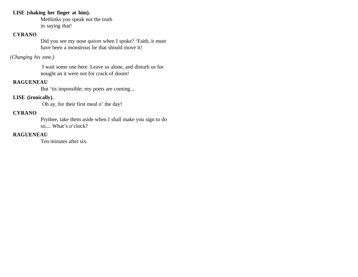### **LISE (shaking her finger at him).**

Methinks you speak not the truth in saying that!

## **CYRANO**

Did you see my nose quiver when I spoke? 'Faith, it must have been a monstrous lie that should move it!

## *(Changing his tone.)*

 I wait some one here. Leave us alone, and disturb us for nought an it were not for crack of doom!

## **RAGUENEAU**

But 'tis impossible; my poets are coming...

# **LISE (ironically).**

Oh ay, for their first meal o' the day!

## **CYRANO**

Prythee, take them aside when I shall make you sign to do so.... What's o'clock?

## **RAGUENEAU**

Ten minutes after six.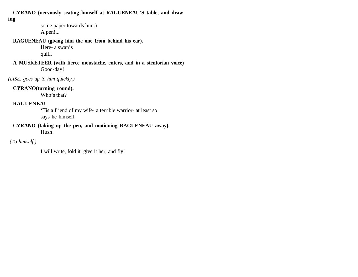**CYRANO (nervously seating himself at RAGUENEAU'S table, and draw-**

**ing**

some paper towards him.) A pen!...

## **RAGUENEAU (giving him the one from behind his ear).**

Here- a swan's quill.

**A MUSKETEER (with fierce moustache, enters, and in a stentorian voice)**  Good-day!

*(LISE. goes up to him quickly.)* 

## **CYRANO(turning round).**

Who's that?

## **RAGUENEAU**

'Tis a friend of my wife- a terrible warrior- at least so says he himself.

#### **CYRANO (taking up the pen, and motioning RAGUENEAU away).** Hush!

# *(To himself.)*

I will write, fold it, give it her, and fly!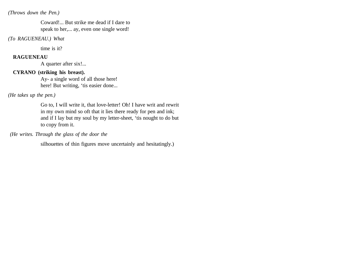#### *(Throws down the Pen.)*

Coward!... But strike me dead if I dare to speak to her,... ay, even one single word!

*(To RAGUENEAU.) What*

time is it?

#### **RAGUENEAU**

A quarter after six!...

#### **CYRANO (striking his breast).**

Ay- a single word of all those here! here! But writing, 'tis easier done...

#### *(He takes up the pen.)*

Go to, I will write it, that love-letter! Oh! I have writ and rewrit in my own mind so oft that it lies there ready for pen and ink; and if I lay but my soul by my letter-sheet, 'tis nought to do but to copy from it.

 *(He writes. Through the glass of the door the*

silhouettes of thin figures move uncertainly and hesitatingly.)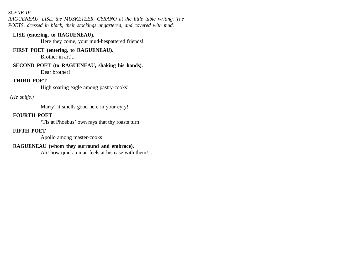### *SCENE IV*

*RAGUENEAU, LISE, the MUSKETEER. CYRANO at the little table writing. The POETS, dressed in black, their stockings ungartered, and covered with mud.*

#### **LISE (entering, to RAGUENEAU).**

Here they come, your mud-bespattered friends!

# **FIRST POET (entering, to RAGUENEAU).**

Brother in art!...

**SECOND POET (to RAGUENEAU, shaking his hands).** Dear brother!

#### **THIRD POET**

High soaring eagle among pastry-cooks!

# *(He sniffs.)*

Marry! it smells good here in your eyry!

## **FOURTH POET**

'Tis at Phoebus' own rays that thy roasts turn!

#### **FIFTH POET**

Apollo among master-cooks

# **RAGUENEAU (whom they surround and embrace).**

Ah! how quick a man feels at his ease with them!...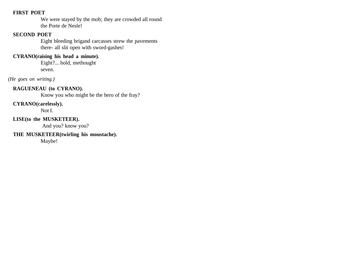#### **FIRST POET**

We were stayed by the mob; they are crowded all round the Porte de Nesle!

### **SECOND POET**

Eight bleeding brigand carcasses strew the pavements there- all slit open with sword-gashes!

## **CYRANO(raising his head a minute).**

Eight?... hold, methought seven.

*(He goes on writing.)*

## **RAGUENEAU (to CYRANO).**

Know you who might be the hero of the fray?

### **CYRANO(carelessly).**

Not I.

### **LISE(to the MUSKETEER).**

And you? know you?

### **THE MUSKETEER(twirling his moustache).**

Maybe!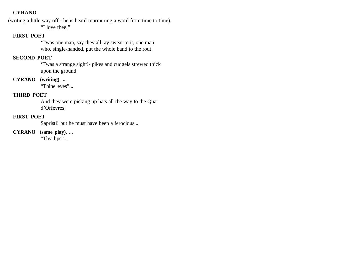(writing a little way off:- he is heard murmuring a word from time to time). "I love thee!"

### **FIRST POET**

'Twas one man, say they all, ay swear to it, one man who, single-handed, put the whole band to the rout!

# **SECOND POET**

'Twas a strange sight!- pikes and cudgels strewed thick upon the ground.

# **CYRANO (writing). ...**

"Thine eyes"...

#### **THIRD POET**

And they were picking up hats all the way to the Quai d'Orfevres!

# **FIRST POET**

Sapristi! but he must have been a ferocious...

**CYRANO (same play). ...**

"Thy lips"...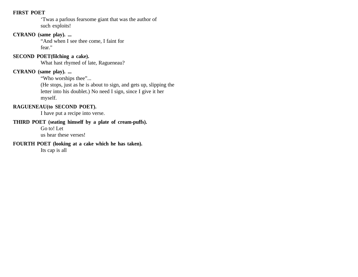#### **FIRST POET**

'Twas a parlous fearsome giant that was the author of such exploits!

## **CYRANO (same play). ...**

"And when I see thee come, I faint for fear."

# **SECOND POET(filching a cake).**

What hast rhymed of late, Ragueneau?

### **CYRANO (same play). ...**

"Who worships thee"...

(He stops, just as he is about to sign, and gets up, slipping the letter into his doublet.) No need I sign, since I give it her myself.

# **RAGUENEAU(to SECOND POET).**

I have put a recipe into verse.

# **THIRD POET (seating himself by a plate of cream-puffs).**

Go to! Let

us hear these verses!

## **FOURTH POET (looking at a cake which he has taken).**

Its cap is all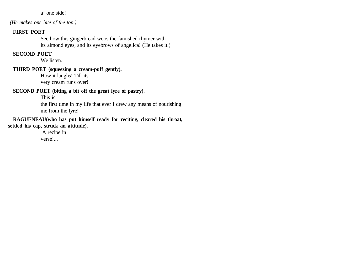a' one side!

 *(He makes one bite of the top.)*

#### **FIRST POET**

See how this gingerbread woos the famished rhymer with its almond eyes, and its eyebrows of angelica! (He takes it.)

## **SECOND POET**

We listen.

## **THIRD POET (squeezing a cream-puff gently).**

How it laughs! Till its very cream runs over!

#### **SECOND POET (biting a bit off the great lyre of pastry).**

This is

the first time in my life that ever I drew any means of nourishing me from the lyre!

## **RAGUENEAU(who has put himself ready for reciting, cleared his throat, settled his cap, struck an attitude).**

 A recipe in verse!...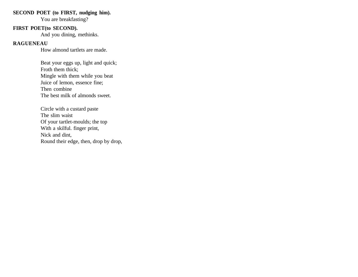## **SECOND POET (to FIRST, nudging him).**

You are breakfasting?

## **FIRST POET(to SECOND).**

And you dining, methinks.

## **RAGUENEAU**

How almond tartlets are made.

Beat your eggs up, light and quick; Froth them thick; Mingle with them while you beat Juice of lemon, essence fine; Then combine The best milk of almonds sweet.

Circle with a custard paste The slim waist Of your tartlet-moulds; the top With a skilful. finger print, Nick and dint, Round their edge, then, drop by drop,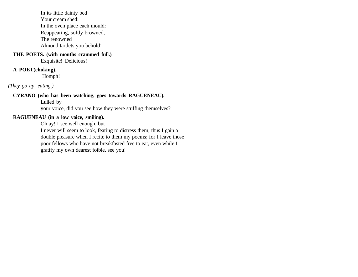In its little dainty bed Your cream shed: In the oven place each mould: Reappearing, softly browned, The renowned Almond tartlets you behold!

# **THE POETS. (with mouths crammed full.)**

Exquisite! Delicious!

## **A POET(choking).**

Homph!

*(They go up, eating.)*

## **CYRANO (who has been watching, goes towards RAGUENEAU).**

Lulled by

your voice, did you see how they were stuffing themselves?

# **RAGUENEAU (in a low voice, smiling).**

Oh ay! I see well enough, but

I never will seem to look, fearing to distress them; thus I gain a double pleasure when I recite to them my poems; for I leave those poor fellows who have not breakfasted free to eat, even while I gratify my own dearest foible, see you!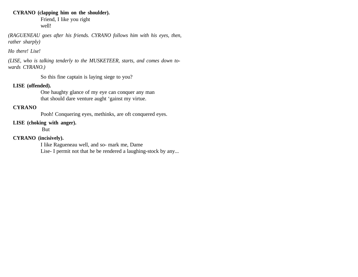### **CYRANO (clapping him on the shoulder).**

Friend, I like you right well!

*(RAGUENEAU goes after his friends. CYRANO follows him with his eyes, then, rather sharply)* 

*Ho there! Lise!* 

*(LISE, who is talking tenderly to the MUSKETEER, starts, and comes down towards CYRANO.)* 

So this fine captain is laying siege to you?

## **LISE (offended).**

One haughty glance of my eye can conquer any man that should dare venture aught 'gainst my virtue.

## **CYRANO**

Pooh! Conquering eyes, methinks, are oft conquered eyes.

#### **LISE (choking with anger).**

But

#### **CYRANO (incisively).**

I like Ragueneau well, and so- mark me, Dame Lise- I permit not that he be rendered a laughing-stock by any...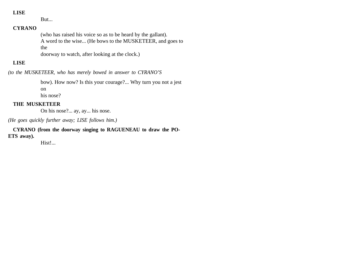#### **LISE**

But...

# **CYRANO**

(who has raised his voice so as to be heard by the gallant). A word to the wise... (He bows to the MUSKETEER, and goes to the doorway to watch, after looking at the clock.)

#### **LISE**

*(to the MUSKETEER, who has merely bowed in answer to CYRANO'S*

bow). How now? Is this your courage?... Why turn you not a jest on

his nose?

## **THE MUSKETEER**

On his nose?... ay, ay... his nose.

*(He goes quickly further away; LISE follows him.)* 

**CYRANO (from the doorway singing to RAGUENEAU to draw the PO-ETS away).** 

Hist!...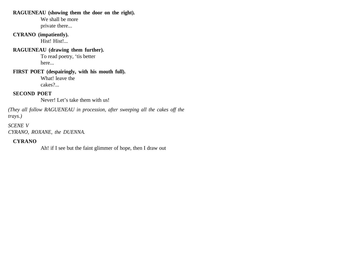### **RAGUENEAU (showing them the door on the right).**

We shall be more private there...

# **CYRANO (impatiently).**

Hist! Hist!...

# **RAGUENEAU (drawing them further).**

To read poetry, 'tis better here...

#### **FIRST POET (despairingly, with his mouth full).**  What! leave the cakes?...

**SECOND POET**

Never! Let's take them with us!

*(They all follow RAGUENEAU in procession, after sweeping all the cakes off the trays.)*

*SCENE V CYRANO, ROXANE, the DUENNA.* 

# **CYRANO**

Ah! if I see but the faint glimmer of hope, then I draw out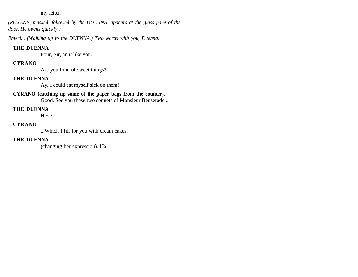#### my letter!

*(ROXANE, masked, followed by the DUENNA, appears at the glass pane of the door. He opens quickly.)* 

*Enter!... (Walking up to the DUENNA.) Two words with you, Duenna.*

# **THE DUENNA**

Four, Sir, an it like you.

# **CYRANO**

Are you fond of sweet things?

# **THE DUENNA**

Ay, I could eat myself sick on them!

# **CYRANO (catching up some of the paper bags from the counter).**

Good. See you these two sonnets of Monsieur Beuserade...

# **THE DUENNA**

Hey?

## **CYRANO**

...Which I fill for you with cream cakes!

## **THE DUENNA**

(changing her expression). Ha!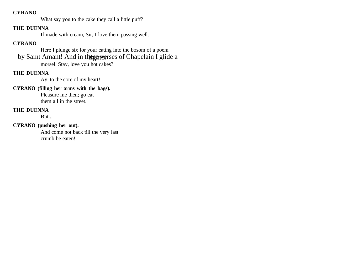What say you to the cake they call a little puff?

## **THE DUENNA**

If made with cream, Sir, I love them passing well.

# **CYRANO**

Here I plunge six for your eating into the bosom of a poem by Saint Amant! And in the subset of Chapelain I glide a morsel. Stay, love you hot cakes?

## **THE DUENNA**

Ay, to the core of my heart!

## **CYRANO (filling her arms with the bags).**

Pleasure me then; go eat them all in the street.

# **THE DUENNA**

But...

# **CYRANO (pushing her out).**

And come not back till the very last crumb be eaten!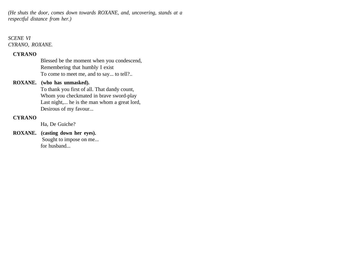*(He shuts the door, comes down towards ROXANE, and, uncovering, stands at a respectful distance from her.)*

# *SCENE VI CYRANO, ROXANE.*

#### **CYRANO**

Blessed be the moment when you condescend, Remembering that humbly I exist To come to meet me, and to say... to tell?..

## **ROXANE. (who has unmasked).**

To thank you first of all. That dandy count, Whom you checkmated in brave sword-play Last night,... he is the man whom a great lord, Desirous of my favour...

## **CYRANO**

Ha, De Guiche?

**ROXANE. (casting down her eyes).** Sought to impose on me... for husband...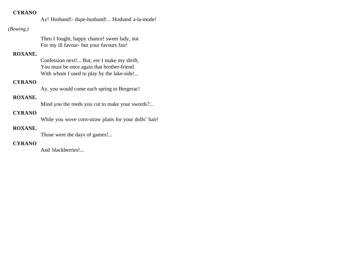Ay! Husband!- dupe-husband!... Husband a-la-mode!

## *(Bowing.)*

Then I fought, happy chance! sweet lady, not For my ill favour- but your favours fair!

# **ROXANE.**

Confession next!... But, ere I make my shrift, You must be once again that brother-friend With whom I used to play by the lake-side!...

# **CYRANO**

Ay, you would come each spring to Bergerac!

# **ROXANE.**

Mind you the reeds you cut to make your swords?...

# **CYRANO**

While you wove corn-straw plaits for your dolls' hair!

# **ROXANE.**

Those were the days of games!...

## **CYRANO**

And blackberries!...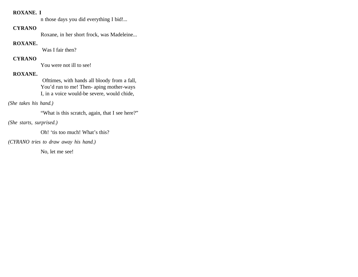#### **ROXANE. I**

n those days you did everything I bid!...

### **CYRANO**

Roxane, in her short frock, was Madeleine...

# **ROXANE.**

Was I fair then?

# **CYRANO**

You were not ill to see!

# **ROXANE.**

 Ofttimes, with hands all bloody from a fall, You'd run to me! Then- aping mother-ways I, in a voice would-be severe, would chide,

*(She takes his hand.)*

"What is this scratch, again, that I see here?"

*(She starts, surprised.)*

Oh! 'tis too much! What's this?

*(CYRANO tries to draw away his hand.)*

No, let me see!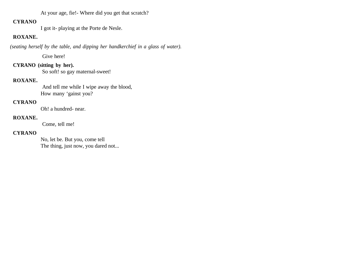At your age, fie!- Where did you get that scratch?

### **CYRANO**

I got it- playing at the Porte de Nesle.

# **ROXANE.**

 *(seating herself by the table, and dipping her handkerchief in a glass of water).*

Give here!

## **CYRANO (sitting by her).**

So soft! so gay maternal-sweet!

#### **ROXANE.**

 And tell me while I wipe away the blood, How many 'gainst you?

#### **CYRANO**

Oh! a hundred- near.

### **ROXANE.**

Come, tell me!

#### **CYRANO**

No, let be. But you, come tell The thing, just now, you dared not...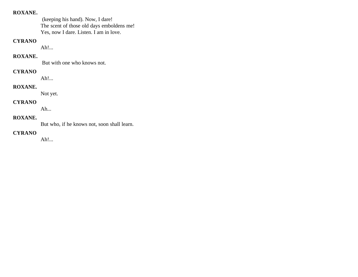### **ROXANE.**

 (keeping his hand). Now, I dare! The scent of those old days emboldens me! Yes, now I dare. Listen. I am in love.

# **CYRANO**

Ah!...

#### **ROXANE.**

But with one who knows not.

### **CYRANO**

Ah!...

## **ROXANE.**

Not yet.

#### **CYRANO**

Ah...

# **ROXANE.**

But who, if he knows not, soon shall learn.

# **CYRANO**

Ah!...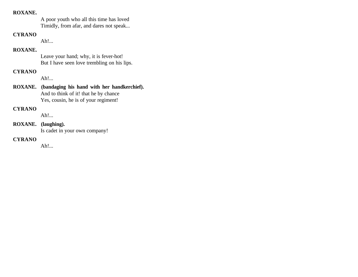#### **ROXANE.**

A poor youth who all this time has loved Timidly, from afar, and dares not speak...

#### **CYRANO**

Ah!...

# **ROXANE.**

Leave your hand; why, it is fever-hot! But I have seen love trembling on his lips.

# **CYRANO**

Ah!...

## **ROXANE. (bandaging his hand with her handkerchief).** And to think of it! that he by chance Yes, cousin, he is of your regiment!

## **CYRANO**

Ah!...

**ROXANE. (laughing).**  Is cadet in your own company!

# **CYRANO**

Ah!...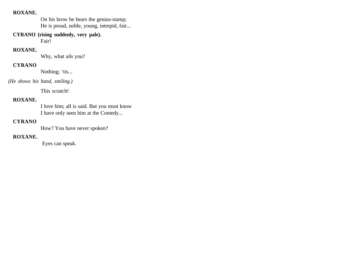#### **ROXANE.**

On his brow he bears the genius-stamp; He is proud, noble, young, intrepid, fair...

**CYRANO (rising suddenly, very pale).** 

Fair!

## **ROXANE.**

Why, what ails you?

## **CYRANO**

Nothing; 'tis...

# *(He shows his hand, smiling.)*

This scratch!

# **ROXANE.**

I love him; all is said. But you must know I have only seen him at the Comedy...

## **CYRANO**

How? You have never spoken?

#### **ROXANE.**

Eyes can speak.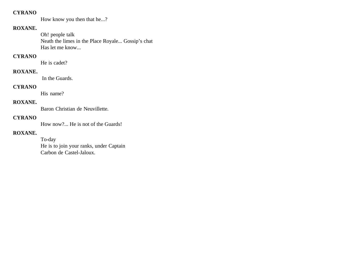How know you then that he...?

# **ROXANE.**

Oh! people talk Neath the limes in the Place Royale... Gossip's chat Has let me know...

# **CYRANO**

He is cadet?

#### **ROXANE.**

In the Guards.

### **CYRANO**

His name?

#### **ROXANE.**

Baron Christian de Neuvillette.

# **CYRANO**

How now?... He is not of the Guards!

### **ROXANE.**

To-day He is to join your ranks, under Captain Carbon de Castel-Jaloux.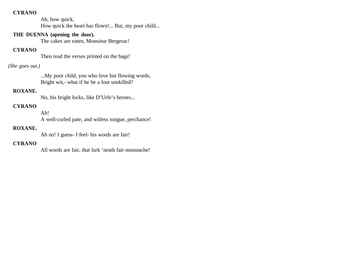Ah, how quick, How quick the heart has flown!... But, my poor child...

## **THE DUENNA (opening the door).**

The cakes are eaten, Monsieur Bergerac!

# **CYRANO**

Then read the verses printed on the bags!

## *(She goes out.)*

...My poor child, you who love but flowing words, Bright wit,- what if he be a lout unskilled?

## **ROXANE.**

No, his bright locks, like D'Urfe's heroes...

# **CYRANO**

Ah! A well-curled pate, and witless tongue, perchance!

## **ROXANE.**

Ah no! I guess- I feel- his words are fair!

## **CYRANO**

All words are fair, that lurk 'neath fair moustache!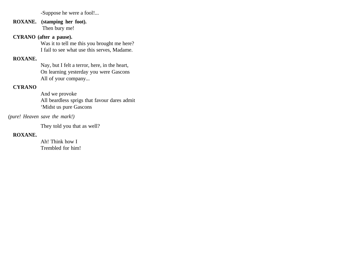-Suppose he were a fool!...

**ROXANE. (stamping her foot).** Then bury me!

## **CYRANO (after a pause).**

Was it to tell me this you brought me here? I fail to see what use this serves, Madame.

## **ROXANE.**

Nay, but I felt a terror, here, in the heart, On learning yesterday you were Gascons All of your company...

#### **CYRANO**

And we provoke All beardless sprigs that favour dares admit 'Midst us pure Gascons

*(pure! Heaven save the mark!)*

They told you that as well?

# **ROXANE.**

Ah! Think how I Trembled for him!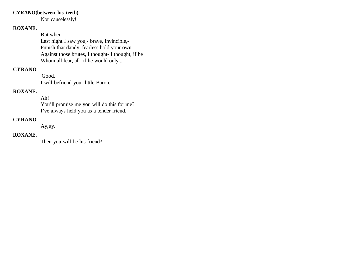### **CYRANO(between his teeth).**

Not causelessly!

# **ROXANE.**

But when Last night I saw you,- brave, invincible,- Punish that dandy, fearless hold your own Against those brutes, I thought- I thought, if he Whom all fear, all- if he would only...

# **CYRANO**

 Good. I will befriend your little Baron.

#### **ROXANE.**

Ah! You'll promise me you will do this for me? I've always held you as a tender friend.

### **CYRANO**

Ay, ay.

# **ROXANE.**

Then you will be his friend?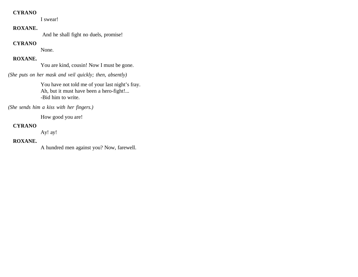I swear!

## **ROXANE.**

And he shall fight no duels, promise!

## **CYRANO**

None.

# **ROXANE.**

You are kind, cousin! Now I must be gone.

*(She puts on her mask and veil quickly; then, absently)*

You have not told me of your last night's fray. Ah, but it must have been a hero-fight!... -Bid him to write.

*(She sends him a kiss with her fingers.)*

How good you are!

## **CYRANO**

Ay! ay!

#### **ROXANE.**

A hundred men against you? Now, farewell.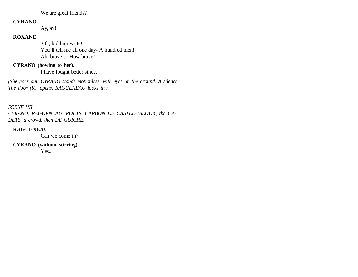We are great friends?

#### **CYRANO**

Ay, ay!

## **ROXANE.**

 Oh, bid him write! You'll tell me all one day- A hundred men! Ah, brave!... How brave!

## **CYRANO (bowing to her).**

I have fought better since.

*(She goes out. CYRANO stands motionless, with eyes on the ground. A silence. The door (R.) opens. RAGUENEAU looks in.)*

*SCENE VII CYRANO, RAGUENEAU, POETS, CARBON DE CASTEL-JALOUX, the CA-DETS, a crowd, then DE GUICHE.* 

## **RAGUENEAU**

Can we come in?

**CYRANO (without stirring).** 

Yes...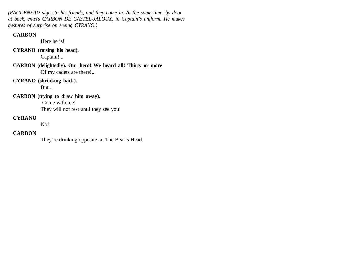*(RAGUENEAU signs to his friends, and they come in. At the same time, by door at back, enters CARBON DE CASTEL-JALOUX, in Captain's uniform. He makes gestures of surprise on seeing CYRANO.)* 

### **CARBON**

Here he is!

**CYRANO (raising his head).** 

Captain!...

**CARBON (delightedly). Our hero! We heard all! Thirty or more** Of my cadets are there!...

## **CYRANO (shrinking back).**

But...

## **CARBON (trying to draw him away).**

 Come with me! They will not rest until they see you!

## **CYRANO**

No!

# **CARBON**

They're drinking opposite, at The Bear's Head.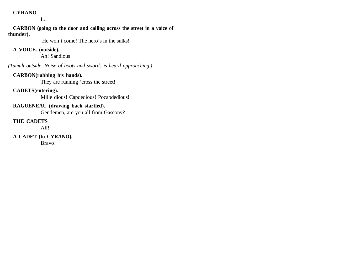I...

**CARBON (going to the door and calling across the street in a voice of thunder).**

He won't come! The hero's in the sulks!

## **A VOICE. (outside).**

Ah! Sandious!

*(Tumult outside. Noise of boots and swords is heard approaching.)* 

#### **CARBON(rubbing his hands).**

They are running 'cross the street!

# **CADETS(entering).**

Mille dious! Capdedious! Pocapdedious!

# **RAGUENEAU (drawing back startled).**

Gentlemen, are you all from Gascony?

# **THE CADETS**

All!

# **A CADET (to CYRANO).**

Bravo!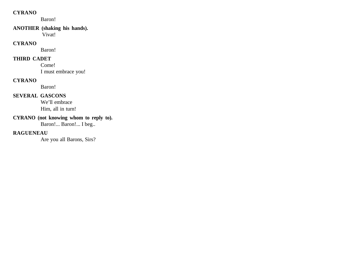Baron!

## **ANOTHER (shaking his hands).**

Vivat!

### **CYRANO**

Baron!

# **THIRD CADET**

Come! I must embrace you!

### **CYRANO**

Baron!

# **SEVERAL GASCONS**

We'll embrace Him, all in turn!

# **CYRANO (not knowing whom to reply to).**

Baron!... Baron!... I beg..

# **RAGUENEAU**

Are you all Barons, Sirs?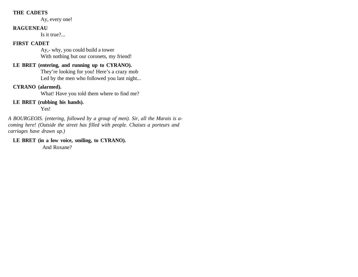#### **THE CADETS**

Ay, every one!

#### **RAGUENEAU**

Is it true?...

#### **FIRST CADET**

Ay,- why, you could build a tower With nothing but our coronets, my friend!

# **LE BRET (entering, and running up to CYRANO).**

They're looking for you! Here's a crazy mob Led by the men who followed you last night...

## **CYRANO (alarmed).**

What! Have you told them where to find me?

**LE BRET (rubbing his hands).** 

Yes!

*A BOURGEOIS. (entering, followed by a group of men). Sir, all the Marais is acoming here! (Outside the street has filled with people. Chaises a porteurs and carriages have drawn up.)* 

**LE BRET (in a low voice, smiling, to CYRANO).** And Roxane?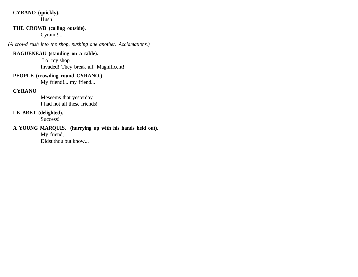# **CYRANO (quickly).**

Hush!

# **THE CROWD (calling outside).**

Cyrano!...

*(A crowd rush into the shop, pushing one another. Acclamations.)* 

## **RAGUENEAU (standing on a table).**

 Lo! my shop Invaded! They break all! Magnificent!

## **PEOPLE (crowding round CYRANO.)**

My friend!... my friend...

# **CYRANO**

Meseems that yesterday I had not all these friends!

### **LE BRET (delighted).**

Success!

# **A YOUNG MARQUIS. (hurrying up with his hands held out).**

My friend, Didst thou but know...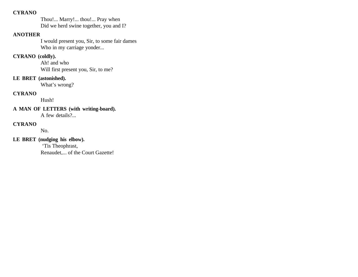Thou!... Marry!... thou!... Pray when Did we herd swine together, you and I?

## **ANOTHER**

I would present you, Sir, to some fair dames Who in my carriage yonder...

# **CYRANO (coldly).**

Ah! and who Will first present you, Sir, to me?

## **LE BRET (astonished).**

What's wrong?

## **CYRANO**

Hush!

**A MAN OF LETTERS (with writing-board).**  A few details?...

## **CYRANO**

No.

# **LE BRET (nudging his elbow).**

 'Tis Theophrast, Renaudet,... of the Court Gazette!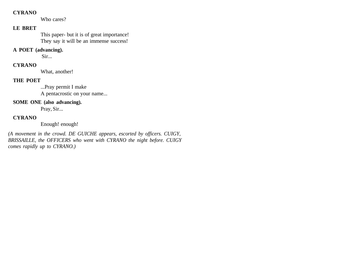Who cares?

# **LE BRET**

This paper- but it is of great importance! They say it will be an immense success!

## **A POET (advancing).**

Sir...

# **CYRANO**

What, another!

# **THE POET**

...Pray permit I make A pentacrostic on your name...

### **SOME ONE (also advancing).**

Pray, Sir...

# **CYRANO**

Enough! enough!

*(A movement in the crowd. DE GUICHE appears, escorted by officers. CUIGY, BRISSAILLE, the OFFICERS who went with CYRANO the night before. CUIGY comes rapidly up to CYRANO.)*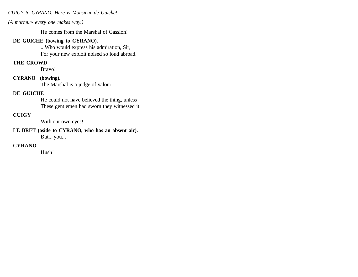#### *CUIGY to CYRANO. Here is Monsieur de Guiche!*

*(A murmur- every one makes way.)* 

He comes from the Marshal of Gassion!

#### **DE GUICHE (bowing to CYRANO).**

...Who would express his admiration, Sir, For your new exploit noised so loud abroad.

#### **THE CROWD**

Bravo!

#### **CYRANO (bowing).**

The Marshal is a judge of valour.

### **DE GUICHE**

He could not have believed the thing, unless These gentlemen had sworn they witnessed it.

#### **CUIGY**

With our own eyes!

#### **LE BRET (aside to CYRANO, who has an absent air).**  But... you...

#### **CYRANO**

Hush!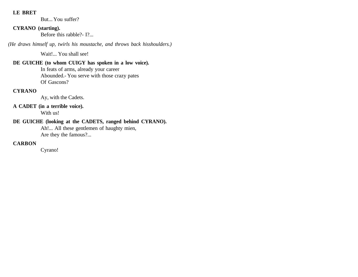#### **LE BRET**

But... You suffer?

### **CYRANO (starting).**

Before this rabble?- I?...

*(He draws himself up, twirls his moustache, and throws back hisshoulders.)* 

Wait!... You shall see!

# **DE GUICHE (to whom CUIGY has spoken in a low voice).**

In feats of arms, already your career Abounded.- You serve with those crazy pates Of Gascons?

# **CYRANO**

Ay, with the Cadets.

# **A CADET (in a terrible voice).**

With us!

# **DE GUICHE (looking at the CADETS, ranged behind CYRANO).**

Ah!... All these gentlemen of haughty mien, Are they the famous?...

# **CARBON**

Cyrano!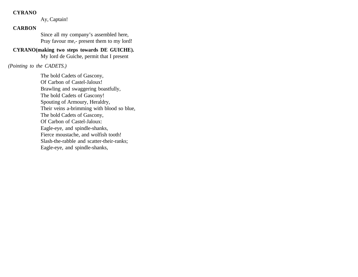#### **CYRANO**

Ay, Captain!

### **CARBON**

Since all my company's assembled here, Pray favour me,- present them to my lord!

# **CYRANO(making two steps towards DE GUICHE).**

My lord de Guiche, permit that I present

#### *(Pointing to the CADETS.)*

The bold Cadets of Gascony, Of Carbon of Castel-Jaloux! Brawling and swaggering boastfully, The bold Cadets of Gascony! Spouting of Armoury, Heraldry, Their veins a-brimming with blood so blue, The bold Cadets of Gascony, Of Carbon of Castel-Jaloux: Eagle-eye, and spindle-shanks, Fierce moustache, and wolfish tooth! Slash-the-rabble and scatter-their-ranks; Eagle-eye, and spindle-shanks,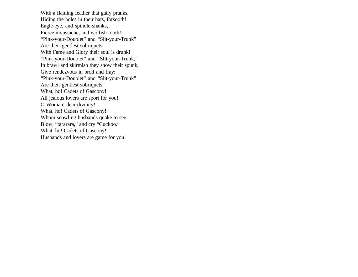With a flaming feather that gaily pranks, Hiding the holes in their hats, forsooth! Eagle-eye, and spindle-shanks, Fierce moustache, and wolfish tooth! "Pink-your-Doublet" and "Slit-your-Trunk" Are their gentlest sobriquets; With Fame and Glory their soul is drunk! "Pink-your-Doublet" and "Slit-your-Trunk," In brawl and skirmish they show their spunk, Give rendezvous in broil and fray; "Pink-your-Doublet" and "Slit-your-Trunk" Are their gentlest sobriquets! What, ho! Cadets of Gascony! All jealous lovers are sport for you! O Woman! dear divinity! What, ho! Cadets of Gascony! Whom scowling husbands quake to see. Blow, "tararara," and cry "Cuckoo." What, ho! Cadets of Gascony! Husbands and lovers are game for you!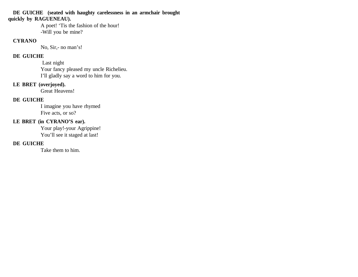#### **DE GUICHE (seated with haughty carelessness in an armchair brought quickly by RAGUENEAU).**

A poet! 'Tis the fashion of the hour! -Will you be mine?

### **CYRANO**

No, Sir,- no man's!

### **DE GUICHE**

 Last night Your fancy pleased my uncle Richelieu. I'll gladly say a word to him for you.

# **LE BRET (overjoyed).**

Great Heavens!

# **DE GUICHE**

I imagine you have rhymed Five acts, or so?

# **LE BRET (in CYRANO'S ear).**

Your play!-your Agrippine! You'll see it staged at last!

# **DE GUICHE**

Take them to him.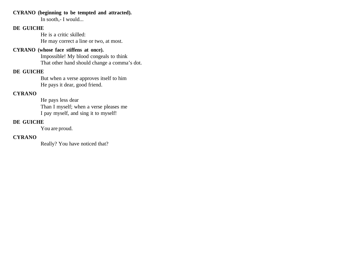#### **CYRANO (beginning to be tempted and attracted).**

In sooth,- I would...

#### **DE GUICHE**

He is a critic skilled: He may correct a line or two, at most.

### **CYRANO (whose face stiffens at once).**

Impossible! My blood congeals to think That other hand should change a comma's dot.

### **DE GUICHE**

But when a verse approves itself to him He pays it dear, good friend.

# **CYRANO**

He pays less dear Than I myself; when a verse pleases me I pay myself, and sing it to myself!

# **DE GUICHE**

You are proud.

#### **CYRANO**

Really? You have noticed that?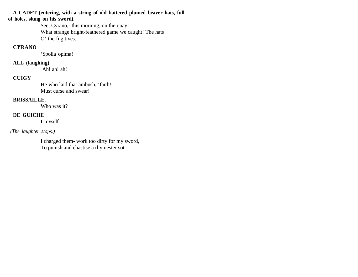**A CADET (entering, with a string of old battered plumed beaver hats, full of holes, slung on his sword).**

> See, Cyrano,- this morning, on the quay What strange bright-feathered game we caught! The hats O' the fugitives...

### **CYRANO**

'Spolia opima!

#### **ALL (laughing).**

Ah! ah! ah!

#### **CUIGY**

He who laid that ambush, 'faith! Must curse and swear!

### **BRISSAILLE.**

Who was it?

#### **DE GUICHE**

I myself.

#### *(The laughter stops.)*

I charged them- work too dirty for my sword, To punish and chastise a rhymester sot.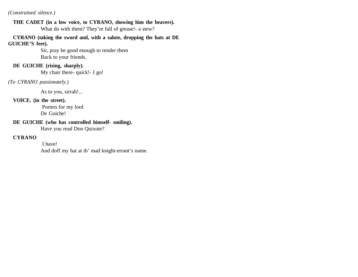#### *(Constrained silence.)*

**THE CADET (in a low voice, to CYRANO, showing him the beavers).** What do with them? They're full of grease!- a stew?

**CYRANO (taking the sword and, with a salute, dropping the hats at DE GUICHE'S feet).**

> Sir, pray be good enough to render them Back to your friends.

#### **DE GUICHE (rising, sharply).**

My chair there- quick!- I go!

*(To CYRANO passionately.)*

As to you, sirrah!...

#### **VOICE. (in the street).**

 Porters for my lord De Guiche!

### **DE GUICHE (who has controlled himself- smiling).**

Have you read Don Quixote?

#### **CYRANO**

 I have! And doff my hat at th' mad knight-errant's name.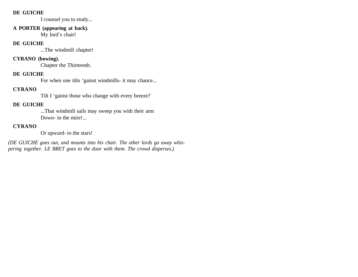#### **DE GUICHE**

I counsel you to study...

# **A PORTER (appearing at back).**

My lord's chair!

### **DE GUICHE**

...The windmill chapter!

### **CYRANO (bowing).**

Chapter the Thirteenth.

### **DE GUICHE**

For when one tilts 'gainst windmills- it may chance...

# **CYRANO**

Tilt I 'gainst those who change with every breeze?

# **DE GUICHE**

...That windmill sails may sweep you with their arm Down- in the mire!...

# **CYRANO**

Or upward- to the stars!

*(DE GUICHE goes out, and mounts into his chair. The other lords go away whispering together. LE BRET goes to the door with them. The crowd disperses.)*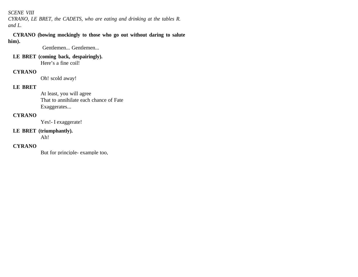#### *SCENE VIII*

*CYRANO, LE BRET, the CADETS, who are eating and drinking at the tables R. and L.* 

#### **CYRANO (bowing mockingly to those who go out without daring to salute him).**

Gentlemen... Gentlemen...

# **LE BRET (coming back, despairingly).**

Here's a fine coil!

### **CYRANO**

Oh! scold away!

# **LE BRET**

At least, you will agree That to annihilate each chance of Fate Exaggerates...

# **CYRANO**

Yes!- I exaggerate!

### **LE BRET (triumphantly).**

Ah!

# **CYRANO**

But for principle- example too,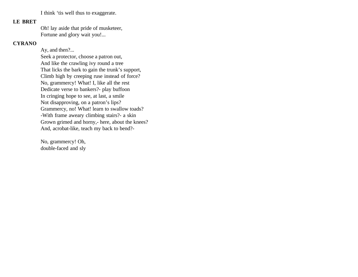I think 'tis well thus to exaggerate.

### **LE BRET**

Oh! lay aside that pride of musketeer, Fortune and glory wait you!...

#### **CYRANO**

Ay, and then?... Seek a protector, choose a patron out, And like the crawling ivy round a tree That licks the bark to gain the trunk's support, Climb high by creeping ruse instead of force? No, grammercy! What! I, like all the rest Dedicate verse to bankers?- play buffoon In cringing hope to see, at last, a smile Not disapproving, on a patron's lips? Grammercy, no! What! learn to swallow toads? -With frame aweary climbing stairs?- a skin Grown grimed and horny,- here, about the knees? And, acrobat-like, teach my back to bend?-

No, grammercy! Oh, double-faced and sly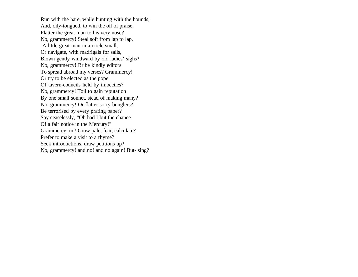Run with the hare, while hunting with the hounds; And, oily-tongued, to win the oil of praise, Flatter the great man to his very nose? No, grammercy! Steal soft from lap to lap, -A little great man in a circle small, Or navigate, with madrigals for sails, Blown gently windward by old ladies' sighs? No, grammercy! Bribe kindly editors To spread abroad my verses? Grammercy! Or try to be elected as the pope Of tavern-councils held by imbeciles? No, grammercy! Toil to gain reputation By one small sonnet, stead of making many? No, grammercy! Or flatter sorry bunglers? Be terrorised by every prating paper? Say ceaselessly, "Oh had I but the chance Of a fair notice in the Mercury!" Grammercy, no! Grow pale, fear, calculate? Prefer to make a visit to a rhyme? Seek introductions, draw petitions up? No, grammercy! and no! and no again! But- sing?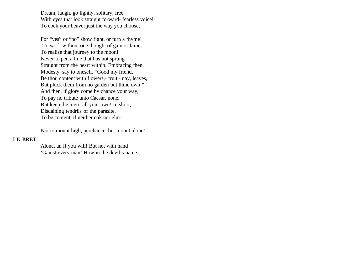Dream, laugh, go lightly, solitary, free, With eyes that look straight forward- fearless voice! To cock your beaver just the way you choose,

For "yes" or "no" show fight, or turn a rhyme! -To work without one thought of gain or fame, To realise that journey to the moon! Never to pen a line that has not sprung Straight from the heart within. Embracing then Modesty, say to oneself, "Good my friend, Be thou content with flowers,- fruit,- nay, leaves, But pluck them from no garden but thine own!" And then, if glory come by chance your way, To pay no tribute unto Caesar, none, But keep the merit all your own! In short, Disdaining tendrils of the parasite, To be content, if neither oak nor elm-

Not to mount high, perchance, but mount alone!

#### **LE BRET**

Alone, an if you will! But not with hand 'Gainst every man! How in the devil's name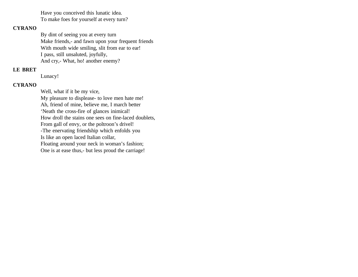Have you conceived this lunatic idea. To make foes for yourself at every turn?

#### **CYRANO**

By dint of seeing you at every turn Make friends,- and fawn upon your frequent friends With mouth wide smiling, slit from ear to ear! I pass, still unsaluted, joyfully, And cry,- What, ho! another enemy?

### **LE BRET**

Lunacy!

#### **CYRANO**

Well, what if it be my vice, My pleasure to displease- to love men hate me! Ah, friend of mine, believe me, I march better 'Neath the cross-fire of glances inimical! How droll the stains one sees on fine-laced doublets, From gall of envy, or the poltroon's drivel! -The enervating friendship which enfolds you Is like an open laced Italian collar, Floating around your neck in woman's fashion; One is at ease thus,- but less proud the carriage!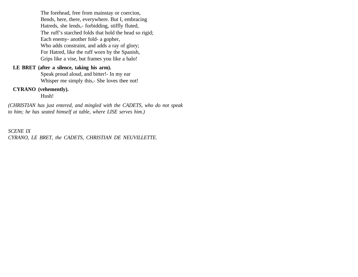The forehead, free from mainstay or coercion, Bends, here, there, everywhere. But I, embracing Hatreds, she lends,- forbidding, stiffly fluted, The ruff's starched folds that hold the head so rigid; Each enemy- another fold- a gopher, Who adds constraint, and adds a ray of glory; For Hatred, like the ruff worn by the Spanish, Grips like a vise, but frames you like a halo!

#### **LE BRET (after a silence, taking his arm).**

Speak proud aloud, and bitter!- In my ear Whisper me simply this,- She loves thee not!

#### **CYRANO (vehemently).**

Hush!

*(CHRISTIAN has just entered, and mingled with the CADETS, who do not speak to him; he has seated himself at table, where LISE serves him.)*

*SCENE IX CYRANO, LE BRET, the CADETS, CHRISTIAN DE NEUVILLETTE.*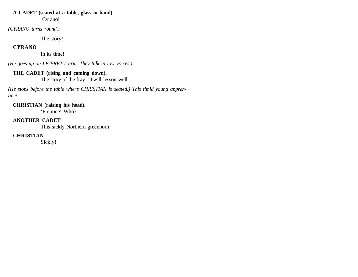### **A CADET (seated at a table, glass in hand).**

Cyrano!

*(CYRANO turns round.)* 

The story!

### **CYRANO**

In its time!

*(He goes up on LE BRET's arm. They talk in low voices.)*

### **THE CADET (rising and coming down).**

The story of the fray! 'Twill lesson well

*(He stops before the table where CHRISTIAN is seated.) This timid young apprentice!*

# **CHRISTIAN (raising his head).**

'Prentice! Who?

### **ANOTHER CADET**

This sickly Northern greenhorn!

# **CHRISTIAN**

Sickly!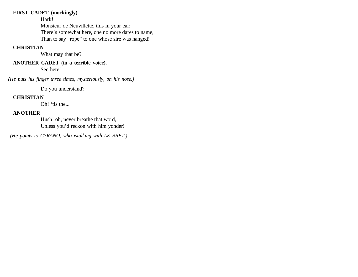### **FIRST CADET (mockingly).**

Hark!

Monsieur de Neuvillette, this in your ear: There's somewhat here, one no more dares to name, Than to say "rope" to one whose sire was hanged!

### **CHRISTIAN**

What may that be?

# **ANOTHER CADET (in a terrible voice).**

See here!

*(He puts his finger three times, mysteriously, on his nose.)*

Do you understand?

# **CHRISTIAN**

Oh! 'tis the...

# **ANOTHER**

Hush! oh, never breathe that word, Unless you'd reckon with him yonder!

 *(He points to CYRANO, who istalking with LE BRET.)*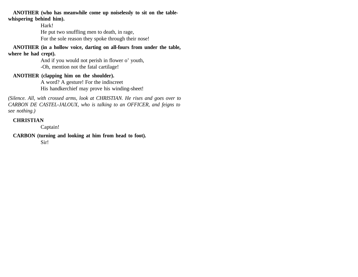#### **ANOTHER (who has meanwhile come up noiselessly to sit on the tablewhispering behind him).**

Hark! He put two snuffling men to death, in rage, For the sole reason they spoke through their nose!

**ANOTHER (in a hollow voice, darting on all-fours from under the table,**

#### **where he had crept).**

And if you would not perish in flower o' youth, -Oh, mention not the fatal cartilage!

#### **ANOTHER (clapping him on the shoulder).**

A word? A gesture! For the indiscreet His handkerchief may prove his winding-sheet!

*(Silence. All, with crossed arms, look at CHRISTIAN. He rises and goes over to CARBON DE CASTEL-JALOUX, who is talking to an OFFICER, and feigns to see nothing.)* 

### **CHRISTIAN**

Captain!

#### **CARBON (turning and looking at him from head to foot).**

Sir!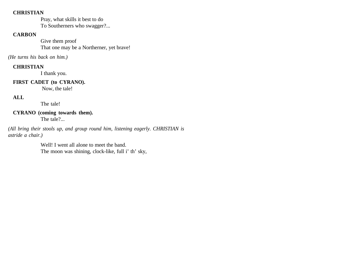#### **CHRISTIAN**

Pray, what skills it best to do To Southerners who swagger?...

#### **CARBON**

Give them proof That one may be a Northerner, yet brave!

*(He turns his back on him.)*

### **CHRISTIAN**

I thank you.

### **FIRST CADET (to CYRANO).**

Now, the tale!

# **ALL**

The tale!

#### **CYRANO (coming towards them).** The tale?...

*(All bring their stools up, and group round him, listening eagerly. CHRISTIAN is astride a chair.)* 

> Well! I went all alone to meet the band. The moon was shining, clock-like, full i' th' sky,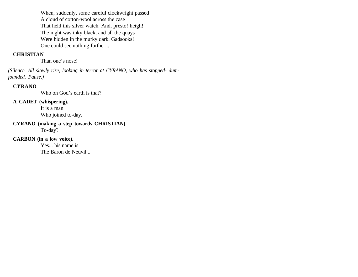When, suddenly, some careful clockwright passed A cloud of cotton-wool across the case That held this silver watch. And, presto! heigh! The night was inky black, and all the quays Were hidden in the murky dark. Gadsooks! One could see nothing further...

#### **CHRISTIAN**

Than one's nose!

*(Silence. All slowly rise, looking in terror at CYRANO, who has stopped- dumfounded. Pause.)* 

#### **CYRANO**

Who on God's earth is that?

#### **A CADET (whispering).**

It is a man Who joined to-day.

#### **CYRANO (making a step towards CHRISTIAN).**  To-day?

### **CARBON (in a low voice).**

Yes... his name is The Baron de Neuvil...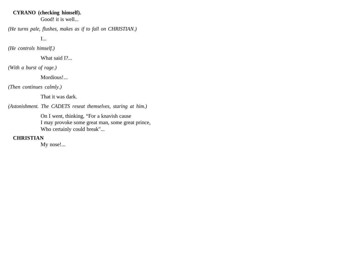#### **CYRANO (checking himself).**

Good! it is well...

*(He turns pale, flushes, makes as if to fall on CHRISTIAN.)*

I...

*(He controls himself.)* 

What said I?...

*(With a burst of rage.)*

Mordious!...

*(Then continues calmly.)*

That it was dark.

*(Astonishment. The CADETS reseat themselves, staring at him.)*

On I went, thinking, "For a knavish cause I may provoke some great man, some great prince, Who certainly could break"...

### **CHRISTIAN**

My nose!...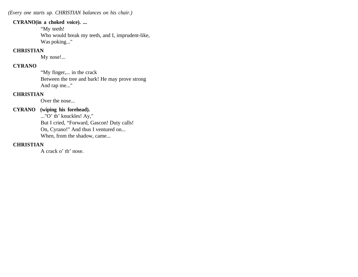*(Every one starts up. CHRISTIAN balances on his chair.)*

#### **CYRANO(in a choked voice). ...**

"My teeth! Who would break my teeth, and I, imprudent-like, Was poking..."

#### **CHRISTIAN**

My nose!...

### **CYRANO**

"My finger,... in the crack Between the tree and bark! He may prove strong And rap me..."

# **CHRISTIAN**

Over the nose...

# **CYRANO (wiping his forehead).**

..."O' th' knuckles! Ay," But I cried, "Forward, Gascon! Duty calls! On, Cyrano!" And thus I ventured on... When, from the shadow, came...

### **CHRISTIAN**

A crack o' th' nose.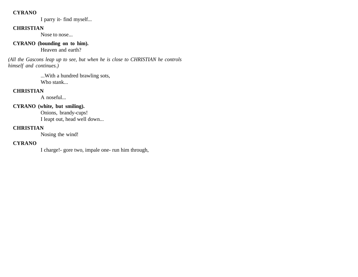#### **CYRANO**

I parry it- find myself...

### **CHRISTIAN**

Nose to nose...

### **CYRANO (bounding on to him).**

Heaven and earth?

*(All the Gascons leap up to see, but when he is close to CHRISTIAN he controls himself and continues.)*

> ...With a hundred brawling sots, Who stank...

### **CHRISTIAN**

A noseful...

# **CYRANO (white, but smiling).**

Onions, brandy-cups! I leapt out, head well down...

### **CHRISTIAN**

Nosing the wind!

### **CYRANO**

I charge!- gore two, impale one- run him through,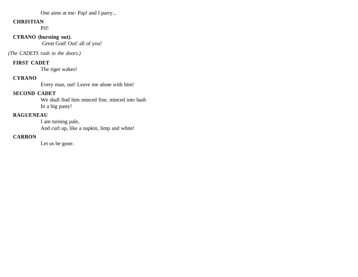### One aims at me- Pap! and I parry...

#### **CHRISTIAN**

Pif!

# **CYRANO (bursting out).**

Great God! Out! all of you!

#### *(The CADETS rush to the doors.)*

#### **FIRST CADET**

The tiger wakes!

# **CYRANO**

Every man, out! Leave me alone with him!

### **SECOND CADET**

We shall find him minced fine, minced into hash In a big pasty!

### **RAGUENEAU**

I am turning pale, And curl up, like a napkin, limp and white!

### **CARBON**

Let us be gone.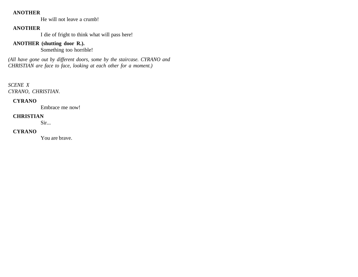#### **ANOTHER**

He will not leave a crumb!

### **ANOTHER**

I die of fright to think what will pass here!

# **ANOTHER (shutting door R.).**

Something too horrible!

*(All have gone out by different doors, some by the staircase. CYRANO and CHRISTIAN are face to face, looking at each other for a moment.)*

*SCENE X CYRANO, CHRISTIAN.*

### **CYRANO**

Embrace me now!

### **CHRISTIAN**

Sir...

### **CYRANO**

You are brave.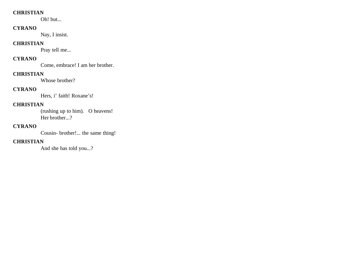#### **CHRISTIAN**

Oh! but...

### **CYRANO**

Nay, I insist.

### **CHRISTIAN**

Pray tell me...

# **CYRANO**

Come, embrace! I am her brother.

### **CHRISTIAN**

Whose brother?

# **CYRANO**

Hers, i' faith! Roxane's!

# **CHRISTIAN**

(rushing up to him). O heavens! Her brother...?

### **CYRANO**

Cousin- brother!... the same thing!

### **CHRISTIAN**

And she has told you...?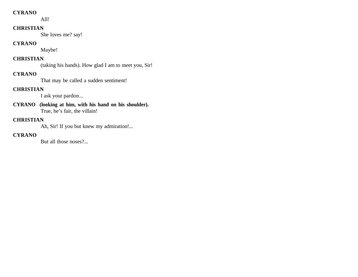#### **CYRANO**

All!

#### **CHRISTIAN**

She loves me? say!

#### **CYRANO**

Maybe!

# **CHRISTIAN**

(taking his hands). How glad I am to meet you, Sir!

# **CYRANO**

That may be called a sudden sentiment!

# **CHRISTIAN**

I ask your pardon...

**CYRANO (looking at him, with his hand on his shoulder).** True, he's fair, the villain!

### **CHRISTIAN**

Ah, Sir! If you but knew my admiration!...

# **CYRANO**

But all those noses?...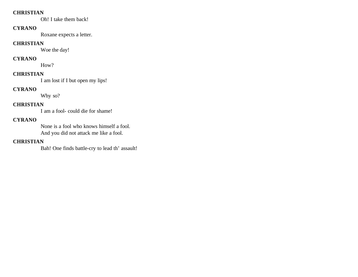#### **CHRISTIAN**

Oh! I take them back!

# **CYRANO**

Roxane expects a letter.

#### **CHRISTIAN**

Woe the day!

# **CYRANO**

How?

#### **CHRISTIAN**

I am lost if I but open my lips!

# **CYRANO**

Why so?

# **CHRISTIAN**

I am a fool- could die for shame!

# **CYRANO**

None is a fool who knows himself a fool. And you did not attack me like a fool.

# **CHRISTIAN**

Bah! One finds battle-cry to lead th' assault!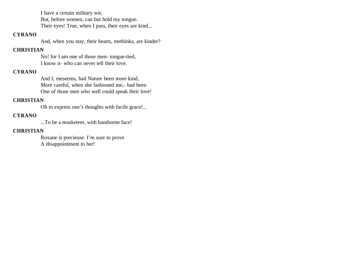I have a certain military wit, But, before women, can but hold my tongue.

Their eyes! True, when I pass, their eyes are kind...

### **CYRANO**

And, when you stay, their hearts, methinks, are kinder?

### **CHRISTIAN**

No! for I am one of those men- tongue-tied, I know it- who can never tell their love.

# **CYRANO**

And I, meseems, had Nature been more kind, More careful, when she fashioned me,- had been One of those men who well could speak their love!

# **CHRISTIAN**

Oh to express one's thoughts with facile grace!...

# **CYRANO**

...To be a musketeer, with handsome face!

# **CHRISTIAN**

Roxane is precieuse. I'm sure to prove A disappointment to her!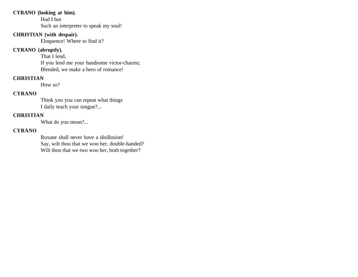### **CYRANO (looking at him).**

Had I but Such an interpreter to speak my soul!

### **CHRISTIAN (with despair).**

Eloquence! Where to find it?

# **CYRANO (abruptly).**

That I lend, If you lend me your handsome victor-charms; Blended, we make a hero of romance!

# **CHRISTIAN**

How so?

# **CYRANO**

Think you you can repeat what things I daily teach your tongue?...

# **CHRISTIAN**

What do you mean?...

### **CYRANO**

Roxane shall never have a disillusion! Say, wilt thou that we woo her, double-handed? Wilt thou that we two woo her, both together?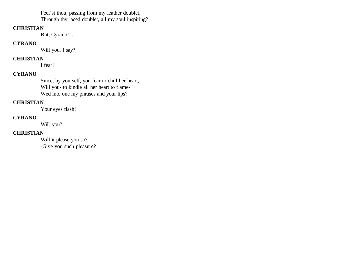Feel'st thou, passing from my leather doublet, Through thy laced doublet, all my soul inspiring?

#### **CHRISTIAN**

But, Cyrano!...

### **CYRANO**

Will you, I say?

### **CHRISTIAN**

I fear!

# **CYRANO**

Since, by yourself, you fear to chill her heart, Will you- to kindle all her heart to flame-Wed into one my phrases and your lips?

### **CHRISTIAN**

Your eyes flash!

# **CYRANO**

Will you?

### **CHRISTIAN**

Will it please you so? -Give you such pleasure?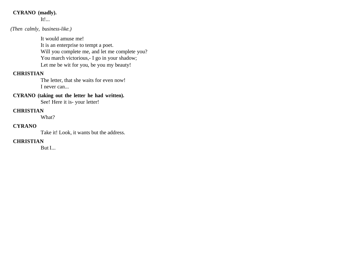# **CYRANO (madly).**

It!...

### *(Then calmly, business-like.)*

It would amuse me! It is an enterprise to tempt a poet. Will you complete me, and let me complete you? You march victorious, - I go in your shadow; Let me be wit for you, be you my beauty!

### **CHRISTIAN**

The letter, that she waits for even now! I never can...

# **CYRANO (taking out the letter he had written).**

See! Here it is- your letter!

#### **CHRISTIAN**

What?

### **CYRANO**

Take it! Look, it wants but the address.

#### **CHRISTIAN**

But I...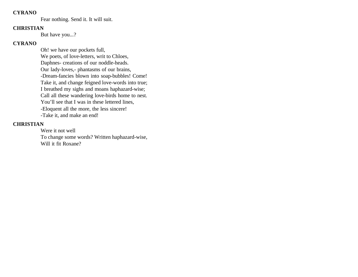### **CYRANO**

Fear nothing. Send it. It will suit.

#### **CHRISTIAN**

But have you...?

#### **CYRANO**

Oh! we have our pockets full, We poets, of love-letters, writ to Chloes, Daphnes- creations of our noddle-heads. Our lady-loves,- phantasms of our brains, -Dream-fancies blown into soap-bubbles! Come! Take it, and change feigned love-words into true; I breathed my sighs and moans haphazard-wise; Call all these wandering love-birds home to nest. You'll see that I was in these lettered lines, -Eloquent all the more, the less sincere! -Take it, and make an end!

### **CHRISTIAN**

Were it not well To change some words? Written haphazard-wise, Will it fit Roxane?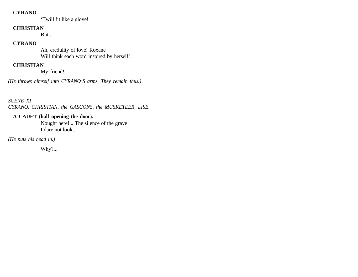#### **CYRANO**

'Twill fit like a glove!

#### **CHRISTIAN**

But...

### **CYRANO**

Ah, credulity of love! Roxane Will think each word inspired by herself!

# **CHRISTIAN**

My friend!

*(He throws himself into CYRANO'S arms. They remain thus.)*

*SCENE XI CYRANO, CHRISTIAN, the GASCONS, the MUSKETEER, LISE.*

# **A CADET (half opening the door).**

Nought here!... The silence of the grave! I dare not look...

*(He puts his head in.)*

Why?...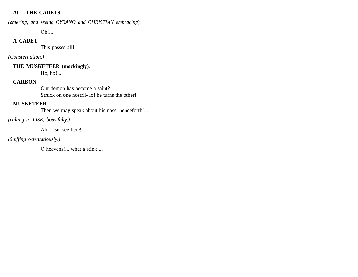### **ALL THE CADETS**

*(entering, and seeing CYRANO and CHRISTIAN embracing).* 

Oh!...

### **A CADET**

This passes all!

### *(Consternation.)*

**THE MUSKETEER (mockingly).** 

Ho, ho!...

# **CARBON**

Our demon has become a saint? Struck on one nostril- lo! he turns the other!

### **MUSKETEER.**

Then we may speak about his nose, henceforth!...

*(calling to LISE, boastfully.)*

Ah, Lise, see here!

*(Sniffing ostentatiously.)* 

O heavens!... what a stink!...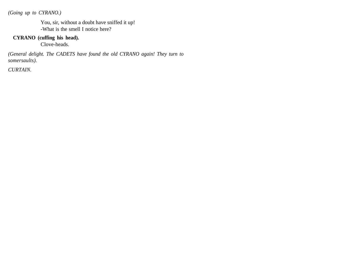*(Going up to CYRANO.)*

You, sir, without a doubt have sniffed it up! -What is the smell I notice here?

### **CYRANO (cuffing his head).**

Clove-heads.

*(General delight. The CADETS have found the old CYRANO again! They turn to somersaults).*

*CURTAIN.*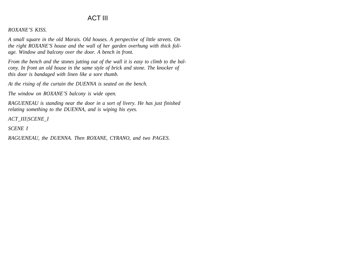# ACT III

#### *ROXANE'S KISS.*

*A small square in the old Marais. Old houses. A perspective of little streets. On the right ROXANE'S house and the wall of her garden overhung with thick foliage. Window and balcony over the door. A bench in front.*

*From the bench and the stones jutting out of the wall it is easy to climb to the balcony. In front an old house in the same style of brick and stone. The knocker of this door is bandaged with linen like a sore thumb.*

*At the rising of the curtain the DUENNA is seated on the bench.*

*The window on ROXANE'S balcony is wide open.*

*RAGUENEAU is standing near the door in a sort of livery. He has just finished relating something to the DUENNA, and is wiping his eyes.*

*ACT\_III|SCENE\_I*

*SCENE I*

*RAGUENEAU, the DUENNA. Then ROXANE, CYRANO, and two PAGES.*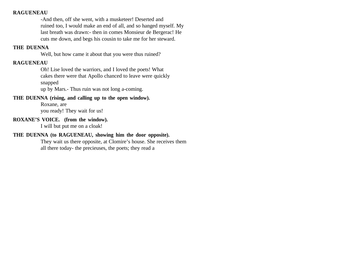### **RAGUENEAU**

-And then, off she went, with a musketeer! Deserted and ruined too, I would make an end of all, and so hanged myself. My last breath was drawn:- then in comes Monsieur de Bergerac! He cuts me down, and begs his cousin to take me for her steward.

#### **THE DUENNA**

Well, but how came it about that you were thus ruined?

#### **RAGUENEAU**

Oh! Lise loved the warriors, and I loved the poets! What cakes there were that Apollo chanced to leave were quickly snapped

up by Mars.- Thus ruin was not long a-coming.

#### **THE DUENNA (rising, and calling up to the open window).**

Roxane, are you ready! They wait for us!

### **ROXANE'S VOICE. (from the window).**

I will but put me on a cloak!

#### **THE DUENNA (to RAGUENEAU, showing him the door opposite).**

They wait us there opposite, at Clomire's house. She receives them all there today- the precieuses, the poets; they read a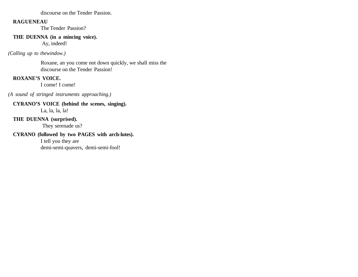discourse on the Tender Passion.

#### **RAGUENEAU**

The Tender Passion?

## **THE DUENNA (in a mincing voice).**

Ay, indeed!

*(Calling up to thewindow.)* 

Roxane, an you come not down quickly, we shall miss the discourse on the Tender Passion!

# **ROXANE'S VOICE.**

I come! I come!

*(A sound of stringed instruments approaching.)*

# **CYRANO'S VOICE (behind the scenes, singing).**

La, la, la, la!

# **THE DUENNA (surprised).**

They serenade us?

# **CYRANO (followed by two PAGES with arch-lutes).**

I tell you they are demi-semi-quavers, demi-semi-fool!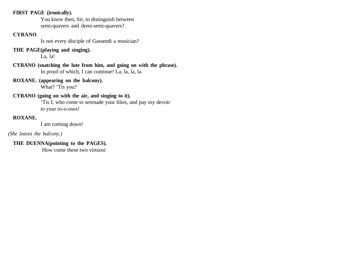## **FIRST PAGE (ironically).**

You know then, Sir, to distinguish between semi-quavers and demi-semi-quavers?

## **CYRANO**

Is not every disciple of Gassendi a musician?

# **THE PAGE(playing and singing).**

La, la!

**CYRANO (snatching the lute from him, and going on with the phrase).** In proof of which, I can continue! La, la, la, la.

**ROXANE. (appearing on the balcony).** What? 'Tis you?

# **CYRANO (going on with the air, and singing to it).**

'Tis I, who come to serenade your lilies, and pay my devoir to your ro-o-oses!

# **ROXANE.**

I am coming down!

## *(She leaves the balcony.)*

# **THE DUENNA(pointing to the PAGES).**

How come these two virtuosi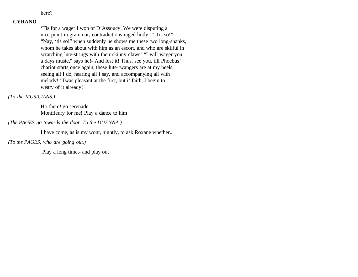here?

## **CYRANO**

'Tis for a wager I won of D'Assoucy. We were disputing a nice point in grammar; contradictions raged hotly- "'Tis so!" "Nay, 'tis so!" when suddenly he shows me these two long-shanks, whom he takes about with him as an escort, and who are skilful in scratching lute-strings with their skinny claws! "I will wager you a days music," says he!- And lost it! Thus, see you, till Phoebus' chariot starts once again, these lute-twangers are at my heels, seeing all I do, hearing all I say, and accompanying all with melody! 'Twas pleasant at the first, but i' faith, I begin to weary of it already!

#### *(To the MUSICIANS.)*

Ho there! go serenade Montfleury for me! Play a dance to him!

*(The PAGES go towards the door. To the DUENNA.)*

I have come, as is my wont, nightly, to ask Roxane whether...

*(To the PAGES, who are going out.)*

Play a long time,- and play out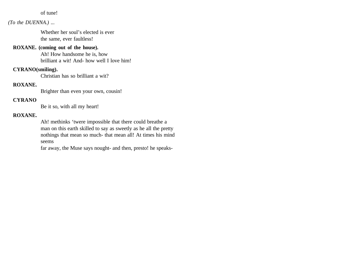#### of tune!

### *(To the DUENNA.) ...*

Whether her soul's elected is ever the same, ever faultless!

#### **ROXANE. (coming out of the house).**

Ah! How handsome he is, how brilliant a wit! And- how well I love him!

#### **CYRANO(smiling).**

Christian has so brilliant a wit?

#### **ROXANE.**

Brighter than even your own, cousin!

## **CYRANO**

Be it so, with all my heart!

#### **ROXANE.**

Ah! methinks 'twere impossible that there could breathe a man on this earth skilled to say as sweetly as he all the pretty nothings that mean so much- that mean all! At times his mind seems

far away, the Muse says nought- and then, presto! he speaks-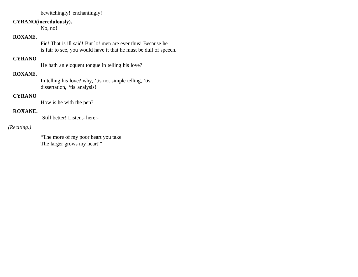bewitchingly! enchantingly!

#### **CYRANO(incredulously).**

No, no!

## **ROXANE.**

Fie! That is ill said! But lo! men are ever thus! Because he is fair to see, you would have it that he must be dull of speech.

# **CYRANO**

He hath an eloquent tongue in telling his love?

### **ROXANE.**

In telling his love? why, 'tis not simple telling, 'tis dissertation, 'tis analysis!

#### **CYRANO**

How is he with the pen?

### **ROXANE.**

Still better! Listen,- here:-

### *(Reciting.)*

"The more of my poor heart you take The larger grows my heart!"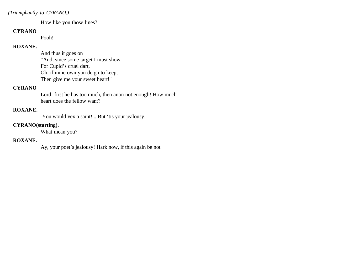### *(Triumphantly to CYRANO.)*

How like you those lines?

#### **CYRANO**

Pooh!

### **ROXANE.**

And thus it goes on "And, since some target I must show For Cupid's cruel dart, Oh, if mine own you deign to keep, Then give me your sweet heart!"

# **CYRANO**

Lord! first he has too much, then anon not enough! How much heart does the fellow want?

### **ROXANE.**

You would vex a saint!... But 'tis your jealousy.

#### **CYRANO(starting).**

What mean you?

## **ROXANE.**

Ay, your poet's jealousy! Hark now, if this again be not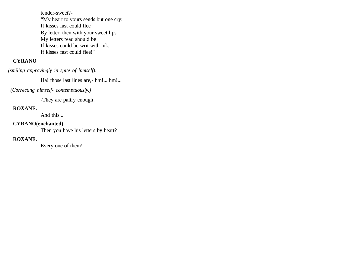tender-sweet?- "My heart to yours sends but one cry: If kisses fast could flee By letter, then with your sweet lips My letters read should be! If kisses could be writ with ink, If kisses fast could flee!"

## **CYRANO**

*(smiling approvingly in spite of himself).*

Ha! those last lines are,- hm!... hm!...

#### *(Correcting himself- contemptuously.)*

-They are paltry enough!

# **ROXANE.**

And this...

### **CYRANO(enchanted).**

Then you have his letters by heart?

# **ROXANE.**

Every one of them!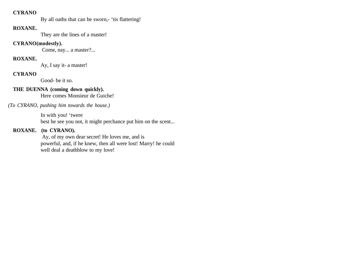### **CYRANO**

By all oaths that can be sworn,- 'tis flattering!

#### **ROXANE.**

They are the lines of a master!

#### **CYRANO(modestly).**

Come, nay... a master?...

## **ROXANE.**

Ay, I say it- a master!

#### **CYRANO**

Good- be it so.

## **THE DUENNA (coming down quickly).**

Here comes Monsieur de Guiche!

*(To CYRANO, pushing him towards the house.)* 

In with you! 'twere best he see you not, it might perchance put him on the scent...

## **ROXANE. (to CYRANO).**

 Ay, of my own dear secret! He loves me, and is powerful, and, if he knew, then all were lost! Marry! he could well deal a deathblow to my love!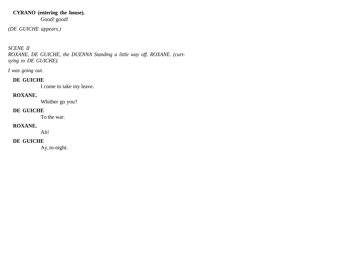### **CYRANO (entering the house).**  Good! good!

*(DE GUICHE appears.)*

# *SCENE II*

*ROXANE, DE GUICHE, the DUENNA Standing a little way off. ROXANE. (curtsying to DE GUICHE).*

*I was going out.*

### **DE GUICHE**

I come to take my leave.

#### **ROXANE.**

Whither go you?

#### **DE GUICHE**

To the war.

## **ROXANE.**

Ah!

# **DE GUICHE**

Ay, to-night.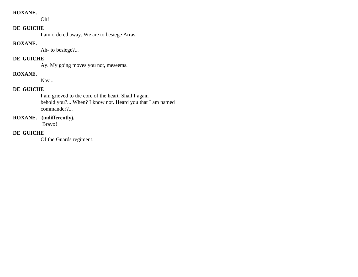#### **ROXANE.**

Oh!

### **DE GUICHE**

I am ordered away. We are to besiege Arras.

## **ROXANE.**

Ah- to besiege?...

# **DE GUICHE**

Ay. My going moves you not, meseems.

# **ROXANE.**

Nay...

# **DE GUICHE**

I am grieved to the core of the heart. Shall I again behold you?... When? I know not. Heard you that I am named commander?...

# **ROXANE. (indifferently).**

Bravo!

# **DE GUICHE**

Of the Guards regiment.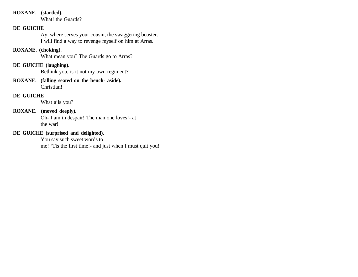### **ROXANE. (startled).**

What! the Guards?

# **DE GUICHE**

Ay, where serves your cousin, the swaggering boaster. I will find a way to revenge myself on him at Arras.

## **ROXANE. (choking).**

What mean you? The Guards go to Arras?

# **DE GUICHE (laughing).**

Bethink you, is it not my own regiment?

**ROXANE. (falling seated on the bench- aside).**  Christian!

### **DE GUICHE**

What ails you?

#### **ROXANE. (moved deeply).**

Oh- I am in despair! The man one loves!- at the war!

# **DE GUICHE (surprised and delighted).**

You say such sweet words to me! 'Tis the first time!- and just when I must quit you!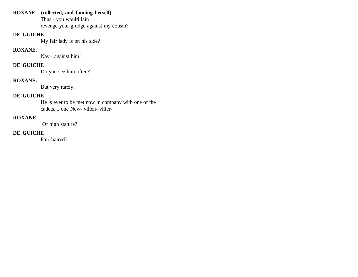## **ROXANE. (collected, and fanning herself).**

Thus,- you would fain revenge your grudge against my cousin?

## **DE GUICHE**

My fair lady is on his side?

## **ROXANE.**

Nay,- against him!

# **DE GUICHE**

Do you see him often?

# **ROXANE.**

But very rarely.

# **DE GUICHE**

He is ever to be met now in company with one of the cadets,... one New- villen- viller-

# **ROXANE.**

Of high stature?

# **DE GUICHE**

Fair-haired?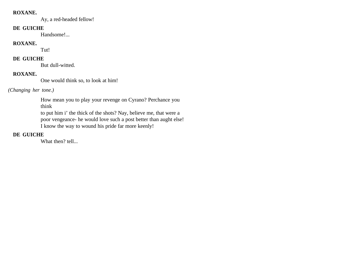#### **ROXANE.**

Ay, a red-headed fellow!

#### **DE GUICHE**

Handsome!...

# **ROXANE.**

Tut!

# **DE GUICHE**

But dull-witted.

# **ROXANE.**

One would think so, to look at him!

# *(Changing her tone.)*

How mean you to play your revenge on Cyrano? Perchance you think

to put him i' the thick of the shots? Nay, believe me, that were a poor vengeance- he would love such a post better than aught else! I know the way to wound his pride far more keenly!

# **DE GUICHE**

What then? tell...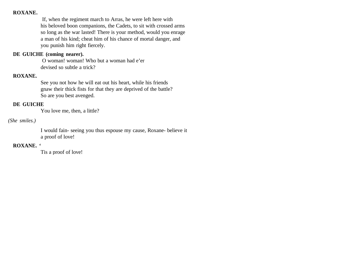#### **ROXANE.**

 If, when the regiment march to Arras, he were left here with his beloved boon companions, the Cadets, to sit with crossed arms so long as the war lasted! There is your method, would you enrage a man of his kind; cheat him of his chance of mortal danger, and you punish him right fiercely.

#### **DE GUICHE (coming nearer).**

 O woman! woman! Who but a woman had e'er devised so subtle a trick?

### **ROXANE.**

See you not how he will eat out his heart, while his friends gnaw their thick fists for that they are deprived of the battle? So are you best avenged.

## **DE GUICHE**

You love me, then, a little?

#### *(She smiles.)*

I would fain- seeing you thus espouse my cause, Roxane- believe it a proof of love!

## **ROXANE. '**

Tis a proof of love!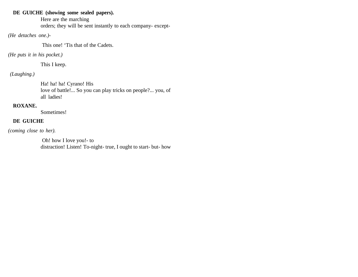# **DE GUICHE (showing some sealed papers).**

Here are the marching orders; they will be sent instantly to each company- except-

# *(He detaches one.)-*

This one! 'Tis that of the Cadets.

# *(He puts it in his pocket.)*

This I keep.

# *(Laughing.)*

Ha! ha! Cyrano! His love of battle!... So you can play tricks on people?... you, of all ladies!

# **ROXANE.**

Sometimes!

# **DE GUICHE**

*(coming close to her).*

 Oh! how I love you!- to distraction! Listen! To-night- true, I ought to start- but- how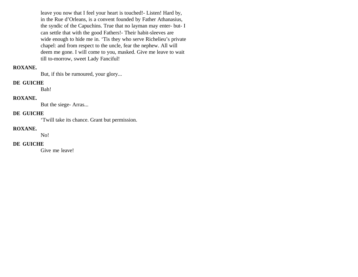leave you now that I feel your heart is touched!- Listen! Hard by, in the Rue d'Orleans, is a convent founded by Father Athanasius, the syndic of the Capuchins. True that no layman may enter- but- I can settle that with the good Fathers!- Their habit-sleeves are wide enough to hide me in. 'Tis they who serve Richelieu's private chapel: and from respect to the uncle, fear the nephew. All will deem me gone. I will come to you, masked. Give me leave to wait till to-morrow, sweet Lady Fanciful!

#### **ROXANE.**

But, if this be rumoured, your glory...

#### **DE GUICHE**

Bah!

# **ROXANE.**

But the siege- Arras...

#### **DE GUICHE**

'Twill take its chance. Grant but permission.

#### **ROXANE.**

No!

### **DE GUICHE**

Give me leave!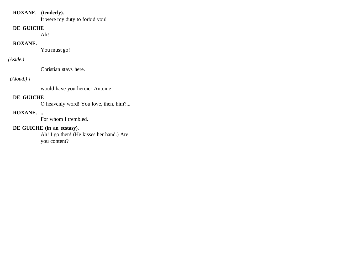### **ROXANE. (tenderly).**

It were my duty to forbid you!

#### **DE GUICHE**

Ah!

#### **ROXANE.**

You must go!

# *(Aside.)*

Christian stays here.

# *(Aloud.) I*

would have you heroic- Antoine!

## **DE GUICHE**

O heavenly word! You love, then, him?...

# **ROXANE. ...**

For whom I trembled.

# **DE GUICHE (in an ecstasy).**

Ah! I go then! (He kisses her hand.) Are you content?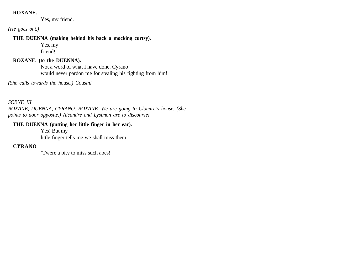#### **ROXANE.**

Yes, my friend.

*(He goes out.)*

#### **THE DUENNA (making behind his back a mocking curtsy).**

Yes, my friend!

## **ROXANE. (to the DUENNA).**

Not a word of what I have done. Cyrano would never pardon me for stealing his fighting from him!

*(She calls towards the house.) Cousin!*

*SCENE III ROXANE, DUENNA, CYRANO. ROXANE. We are going to Clomire's house. (She points to door opposite.) Alcandre and Lysimon are to discourse!*

#### **THE DUENNA (putting her little finger in her ear).**

Yes! But my little finger tells me we shall miss them.

# **CYRANO**

'Twere a pity to miss such apes!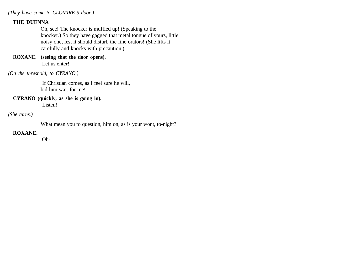*(They have come to CLOMIRE'S door.)*

## **THE DUENNA**

Oh, see! The knocker is muffled up! (Speaking to the knocker.) So they have gagged that metal tongue of yours, little noisy one, lest it should disturb the fine orators! (She lifts it carefully and knocks with precaution.)

**ROXANE. (seeing that the door opens).** Let us enter!

#### *(On the threshold, to CYRANO.)*

 If Christian comes, as I feel sure he will, bid him wait for me!

#### **CYRANO (quickly, as she is going in).**

Listen!

### *(She turns.)*

What mean you to question, him on, as is your wont, to-night?

#### **ROXANE.**

Oh-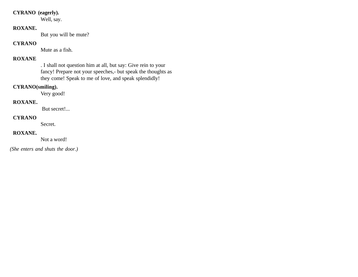# **CYRANO (eagerly).**

Well, say.

## **ROXANE.**

But you will be mute?

### **CYRANO**

Mute as a fish.

# **ROXANE**

. I shall not question him at all, but say: Give rein to your fancy! Prepare not your speeches,- but speak the thoughts as they come! Speak to me of love, and speak splendidly!

## **CYRANO(smiling).**

Very good!

#### **ROXANE.**

But secret!...

## **CYRANO**

Secret.

## **ROXANE.**

Not a word!

 *(She enters and shuts the door.)*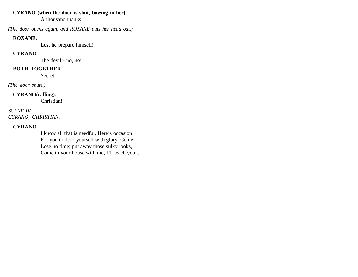## **CYRANO (when the door is shut, bowing to her).**

A thousand thanks!

*(The door opens again, and ROXANE puts her head out.)*

## **ROXANE.**

Lest he prepare himself!

# **CYRANO**

The devil!- no, no!

# **BOTH TOGETHER**

Secret.

*(The door shuts.)*

# **CYRANO(calling).**

Christian!

*SCENE IV CYRANO, CHRISTIAN.*

# **CYRANO**

I know all that is needful. Here's occasion For you to deck yourself with glory. Come, Lose no time; put away those sulky looks, Come to your house with me, I'll teach you...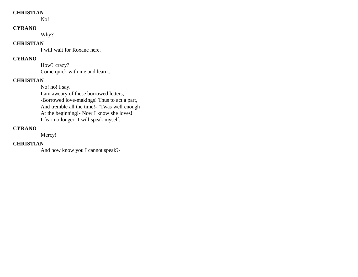### **CHRISTIAN**

No!

#### **CYRANO**

Why?

#### **CHRISTIAN**

I will wait for Roxane here.

# **CYRANO**

How? crazy? Come quick with me and learn...

### **CHRISTIAN**

No! no! I say. I am aweary of these borrowed letters, -Borrowed love-makings! Thus to act a part, And tremble all the time!- 'Twas well enough At the beginning!- Now I know she loves! I fear no longer- I will speak myself.

## **CYRANO**

Mercy!

# **CHRISTIAN**

And how know you I cannot speak?-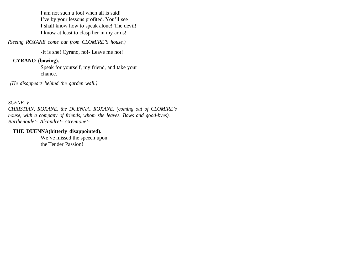I am not such a fool when all is said! I've by your lessons profited. You'll see I shall know how to speak alone! The devil! I know at least to clasp her in my arms!

*(Seeing ROXANE come out from CLOMIRE'S house.)*

-It is she! Cyrano, no!- Leave me not!

## **CYRANO (bowing).**

Speak for yourself, my friend, and take your chance.

 *(He disappears behind the garden wall.)*

*SCENE V CHRISTIAN, ROXANE, the DUENNA. ROXANE. (coming out of CLOMIRE's house, with a company of friends, whom she leaves. Bows and good-byes). Barthenoide!- Alcandre!- Gremione!-*

### **THE DUENNA(bitterly disappointed).**

We've missed the speech upon the Tender Passion!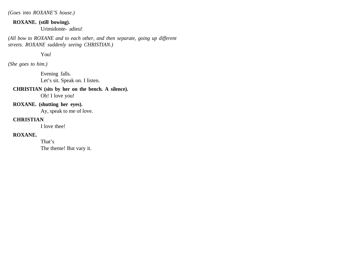*(Goes into ROXANE'S house.)*

**ROXANE. (still bowing).** 

Urimidonte- adieu!

*(All bow to ROXANE and to each other, and then separate, going up different streets. ROXANE suddenly seeing CHRISTIAN.)*

You!

*(She goes to him.)*

Evening falls. Let's sit. Speak on. I listen.

#### **CHRISTIAN (sits by her on the bench. A silence).**

Oh! I love you!

# **ROXANE. (shutting her eyes).**

Ay, speak to me of love.

#### **CHRISTIAN**

I love thee!

## **ROXANE.**

That's The theme! But vary it.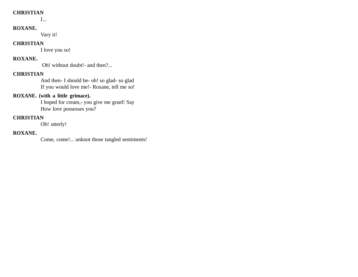### **CHRISTIAN**

I...

## **ROXANE.**

Vary it!

#### **CHRISTIAN**

I love you so!

# **ROXANE.**

Oh! without doubt!- and then?...

### **CHRISTIAN**

And then- I should be- oh! so glad- so glad If you would love me!- Roxane, tell me so!

# **ROXANE. (with a little grimace).**

I hoped for cream,- you give me gruel! Say How love possesses you?

# **CHRISTIAN**

Oh! utterly!

#### **ROXANE.**

Come, come!... unknot those tangled sentiments!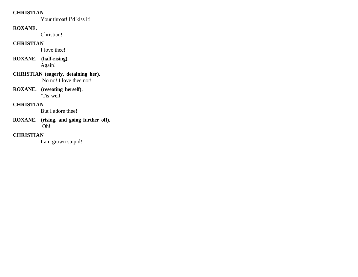### **CHRISTIAN**

Your throat! I'd kiss it!

# **ROXANE.**

Christian!

## **CHRISTIAN**

I love thee!

# **ROXANE. (half-rising).**  Again!

- **CHRISTIAN (eagerly, detaining her).** No no! I love thee not!
- **ROXANE. (reseating herself).**  'Tis well!

# **CHRISTIAN**

But I adore thee!

**ROXANE. (rising, and going further off).** Oh!

# **CHRISTIAN**

I am grown stupid!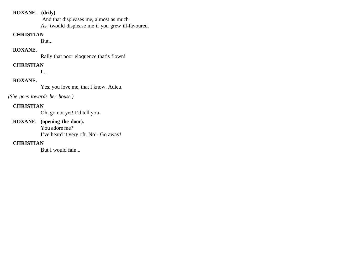#### **ROXANE. (drily).**

 And that displeases me, almost as much As 'twould displease me if you grew ill-favoured.

#### **CHRISTIAN**

But...

## **ROXANE.**

Rally that poor eloquence that's flown!

# **CHRISTIAN**

I...

# **ROXANE.**

Yes, you love me, that I know. Adieu.

*(She goes towards her house.)*

# **CHRISTIAN**

Oh, go not yet! I'd tell you-

# **ROXANE. (opening the door).**

You adore me? I've heard it very oft. No!- Go away!

# **CHRISTIAN**

But I would fain...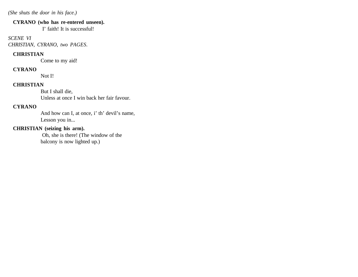*(She shuts the door in his face.)*

#### **CYRANO (who has re-entered unseen).**

I' faith! It is successful!

### *SCENE VI CHRISTIAN, CYRANO, two PAGES.*

## **CHRISTIAN**

Come to my aid!

# **CYRANO**

Not I!

# **CHRISTIAN**

But I shall die, Unless at once I win back her fair favour.

# **CYRANO**

And how can I, at once, i' th' devil's name, Lesson you in...

# **CHRISTIAN (seizing his arm).**

 Oh, she is there! (The window of the balcony is now lighted up.)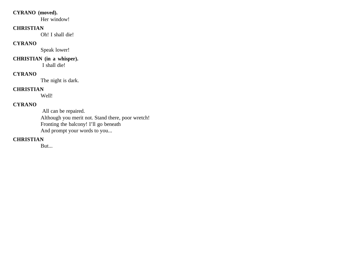## **CYRANO (moved).**

Her window!

#### **CHRISTIAN**

Oh! I shall die!

# **CYRANO**

Speak lower!

# **CHRISTIAN (in a whisper).**

I shall die!

# **CYRANO**

The night is dark.

# **CHRISTIAN**

Well!

# **CYRANO**

 All can be repaired. Although you merit not. Stand there, poor wretch! Fronting the balcony! I'll go beneath And prompt your words to you...

# **CHRISTIAN**

But...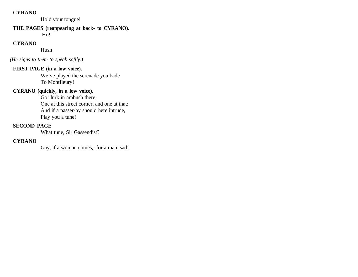### **CYRANO**

Hold your tongue!

# **THE PAGES (reappearing at back- to CYRANO).**

Ho!

# **CYRANO**

Hush!

 *(He signs to them to speak softly.)*

# **FIRST PAGE (in a low voice).**

We've played the serenade you bade To Montfleury!

# **CYRANO (quickly, in a low voice).**

Go! lurk in ambush there, One at this street corner, and one at that; And if a passer-by should here intrude, Play you a tune!

#### **SECOND PAGE**

What tune, Sir Gassendist?

### **CYRANO**

Gay, if a woman comes,- for a man, sad!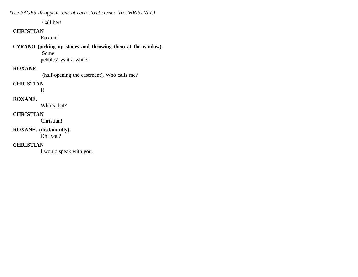*(The PAGES disappear, one at each street corner. To CHRISTIAN.)*

Call her!

#### **CHRISTIAN**

Roxane!

#### **CYRANO (picking up stones and throwing them at the window).**

 Some pebbles! wait a while!

#### **ROXANE.**

(half-opening the casement). Who calls me?

# **CHRISTIAN**

I!

# **ROXANE.**

Who's that?

## **CHRISTIAN**

Christian!

# **ROXANE. (disdainfully).**

Oh! you?

# **CHRISTIAN**

I would speak with you.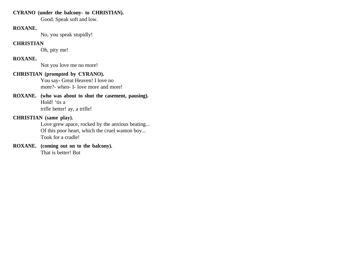# **CYRANO (under the balcony- to CHRISTIAN).**

Good. Speak soft and low.

#### **ROXANE.**

No, you speak stupidly!

#### **CHRISTIAN**

Oh, pity me!

# **ROXANE.**

Not you love me no more!

#### **CHRISTIAN (prompted by CYRANO).**

You say- Great Heaven! I love no more?- when- I- love more and more!

# **ROXANE. (who was about to shut the casement, pausing).**  Hold! 'tis a

trifle better! ay, a trifle!

# **CHRISTIAN (same play).**

Love grew apace, rocked by the anxious beating... Of this poor heart, which the cruel wanton boy... Took for a cradle!

#### **ROXANE. (coming out on to the balcony).** That is better! But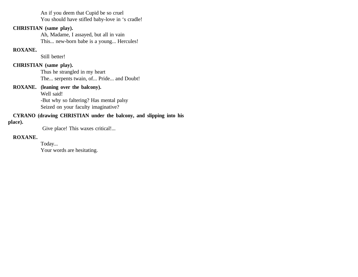An if you deem that Cupid be so cruel You should have stifled baby-love in 's cradle!

# **CHRISTIAN (same play).**

Ah, Madame, I assayed, but all in vain This... new-born babe is a young... Hercules!

### **ROXANE.**

Still better!

# **CHRISTIAN (same play).**

Thus he strangled in my heart The... serpents twain, of... Pride... and Doubt!

## **ROXANE. (leaning over the balcony).**

Well said! -But why so faltering? Has mental palsy Seized on your faculty imaginative?

# **CYRANO (drawing CHRISTIAN under the balcony, and slipping into his**

#### **place).**

Give place! This waxes critical!...

#### **ROXANE.**

Today... Your words are hesitating.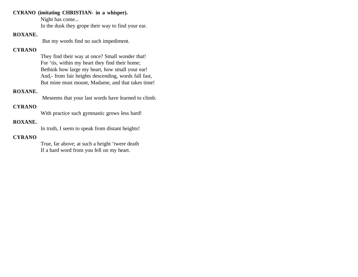#### **CYRANO (imitating CHRISTIAN- in a whisper).**

Night has come...

In the dusk they grope their way to find your ear.

# **ROXANE.**

But my words find no such impediment.

# **CYRANO**

They find their way at once? Small wonder that! For 'tis, within my heart they find their home; Bethink how large my heart, how small your ear! And,- from fair heights descending, words fall fast, But mine must mount, Madame, and that takes time!

### **ROXANE.**

Meseems that your last words have learned to climb.

# **CYRANO**

With practice such gymnastic grows less hard!

### **ROXANE.**

In truth, I seem to speak from distant heights!

#### **CYRANO**

True, far above; at such a height 'twere death If a hard word from you fell on my heart.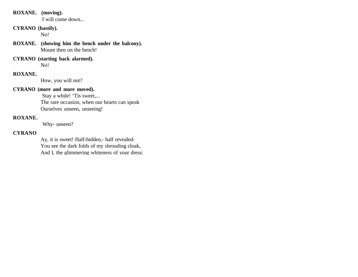# **ROXANE. (moving).**

I will come down...

# **CYRANO (hastily).**

No!

**ROXANE. (showing him the bench under the balcony).** Mount then on the bench!

**CYRANO (starting back alarmed).**  No!

#### **ROXANE.**

How, you will not?

### **CYRANO (more and more moved).**

 Stay a while! 'Tis sweet,... The rare occasion, when our hearts can speak Ourselves unseen, unseeing!

# **ROXANE.**

Why- unseen?

# **CYRANO**

Ay, it is sweet! Half-hidden,- half revealed-You see the dark folds of my shrouding cloak, And I, the glimmering whiteness of your dress: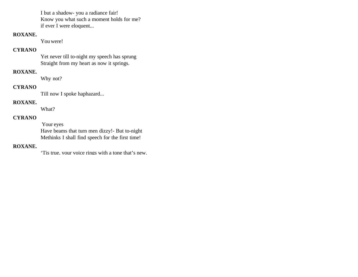I but a shadow- you a radiance fair! Know you what such a moment holds for me? if ever I were eloquent...

# **ROXANE.**

You were!

## **CYRANO**

Yet never till to-night my speech has sprung Straight from my heart as now it springs.

# **ROXANE.**

Why not?

# **CYRANO**

Till now I spoke haphazard...

#### **ROXANE.**

What?

# **CYRANO**

 Your eyes Have beams that turn men dizzy!- But to-night Methinks I shall find speech for the first time!

## **ROXANE.**

'Tis true, your voice rings with a tone that's new.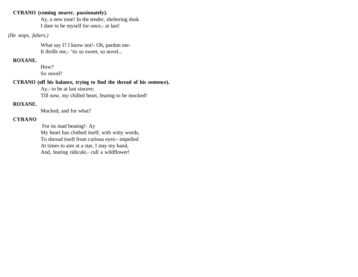## **CYRANO (coming nearer, passionately).**

Ay, a new tone! In the tender, sheltering dusk I dare to be myself for once,- at last!

## *(He stops, falters.)*

What say I? I know not!- Oh, pardon me-It thrills me,- 'tis so sweet, so novel...

#### **ROXANE.**

How? So novel?

#### **CYRANO (off his balance, trying to find the thread of his sentence).**

Ay,- to be at last sincere; Till now, my chilled heart, fearing to be mocked!

#### **ROXANE.**

Mocked, and for what?

#### **CYRANO**

 For its mad beating!- Ay My heart has clothed itself, with witty words, To shroud itself from curious eyes:- impelled At times to aim at a star, I stay my hand, And, fearing ridicule,- cull a wildflower!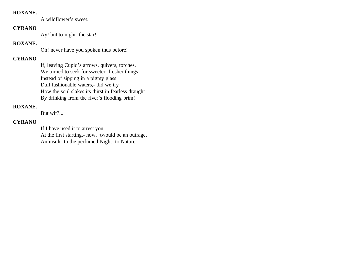#### **ROXANE.**

A wildflower's sweet.

#### **CYRANO**

Ay! but to-night- the star!

# **ROXANE.**

Oh! never have you spoken thus before!

# **CYRANO**

If, leaving Cupid's arrows, quivers, torches, We turned to seek for sweeter- fresher things! Instead of sipping in a pigmy glass Dull fashionable waters,- did we try How the soul slakes its thirst in fearless draught By drinking from the river's flooding brim!

# **ROXANE.**

But wit?...

# **CYRANO**

If I have used it to arrest you At the first starting,- now, 'twould be an outrage, An insult- to the perfumed Night- to Nature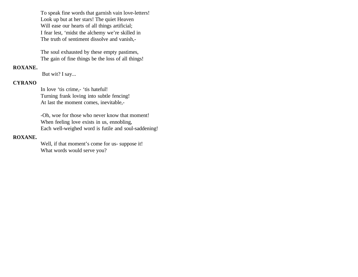To speak fine words that garnish vain love-letters! Look up but at her stars! The quiet Heaven Will ease our hearts of all things artificial; I fear lest, 'midst the alchemy we're skilled in The truth of sentiment dissolve and vanish,-

The soul exhausted by these empty pastimes, The gain of fine things be the loss of all things!

#### **ROXANE.**

But wit? I say...

#### **CYRANO**

In love 'tis crime,- 'tis hateful! Turning frank loving into subtle fencing! At last the moment comes, inevitable,-

-Oh, woe for those who never know that moment! When feeling love exists in us, ennobling, Each well-weighed word is futile and soul-saddening!

#### **ROXANE.**

Well, if that moment's come for us- suppose it! What words would serve you?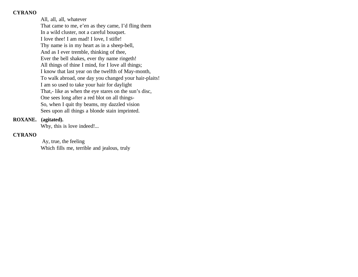All, all, all, whatever That came to me, e'en as they came, I'd fling them In a wild cluster, not a careful bouquet. I love thee! I am mad! I love, I stifle! Thy name is in my heart as in a sheep-bell, And as I ever tremble, thinking of thee, Ever the bell shakes, ever thy name ringeth! All things of thine I mind, for I love all things; I know that last year on the twelfth of May-month, To walk abroad, one day you changed your hair-plaits! I am so used to take your hair for daylight That,- like as when the eye stares on the sun's disc, One sees long after a red blot on all things-So, when I quit thy beams, my dazzled vision Sees upon all things a blonde stain imprinted.

#### **ROXANE. (agitated).**

Why, this is love indeed!...

# **CYRANO**

 Ay, true, the feeling Which fills me, terrible and jealous, truly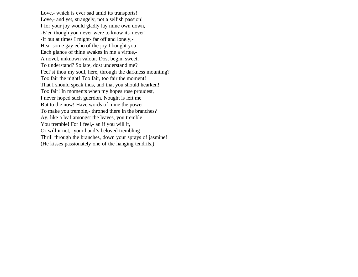Love,- which is ever sad amid its transports! Love,- and yet, strangely, not a selfish passion! I for your joy would gladly lay mine own down, -E'en though you never were to know it,- never! -If but at times I might- far off and lonely,- Hear some gay echo of the joy I bought you! Each glance of thine awakes in me a virtue,- A novel, unknown valour. Dost begin, sweet, To understand? So late, dost understand me? Feel'st thou my soul, here, through the darkness mounting? Too fair the night! Too fair, too fair the moment! That I should speak thus, and that you should hearken! Too fair! In moments when my hopes rose proudest, I never hoped such guerdon. Nought is left me But to die now! Have words of mine the power To make you tremble,- throned there in the branches? Ay, like a leaf amongst the leaves, you tremble! You tremble! For I feel,- an if you will it, Or will it not,- your hand's beloved trembling Thrill through the branches, down your sprays of jasmine! (He kisses passionately one of the hanging tendrils.)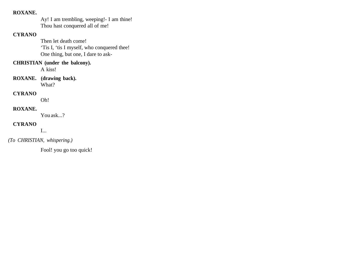#### **ROXANE.**

Ay! I am trembling, weeping!- I am thine! Thou hast conquered all of me!

# **CYRANO**

Then let death come! 'Tis I, 'tis I myself, who conquered thee! One thing, but one, I dare to ask-

# **CHRISTIAN (under the balcony).**

A kiss!

**ROXANE. (drawing back).**  What?

# **CYRANO**

Oh!

# **ROXANE.**

You ask...?

# **CYRANO**

I...

# *(To CHRISTIAN, whispering.)*

Fool! you go too quick!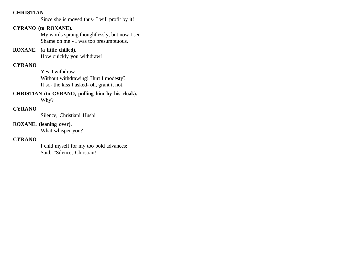## **CHRISTIAN**

Since she is moved thus- I will profit by it!

# **CYRANO (to ROXANE).**

My words sprang thoughtlessly, but now I see-Shame on me!- I was too presumptuous.

**ROXANE. (a little chilled).** 

How quickly you withdraw!

# **CYRANO**

Yes, I withdraw Without withdrawing! Hurt I modesty? If so- the kiss I asked- oh, grant it not.

# **CHRISTIAN (to CYRANO, pulling him by his cloak).**

Why?

# **CYRANO**

Silence, Christian! Hush!

#### **ROXANE. (leaning over).**

What whisper you?

## **CYRANO**

I chid myself for my too bold advances; Said, "Silence, Christian!"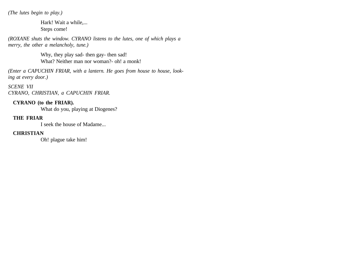*(The lutes begin to play.)*

Hark! Wait a while,... Steps come!

*(ROXANE shuts the window. CYRANO listens to the lutes, one of which plays a merry, the other a melancholy, tune.)*

> Why, they play sad- then gay- then sad! What? Neither man nor woman?- oh! a monk!

*(Enter a CAPUCHIN FRIAR, with a lantern. He goes from house to house, looking at every door.)*

*SCENE VII CYRANO, CHRISTIAN, a CAPUCHIN FRIAR.*

# **CYRANO (to the FRIAR).**

What do you, playing at Diogenes?

## **THE FRIAR**

I seek the house of Madame...

# **CHRISTIAN**

Oh! plague take him!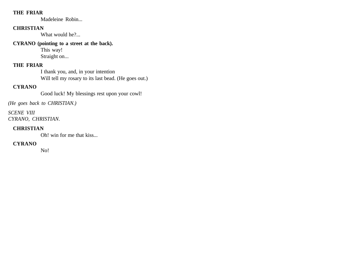#### **THE FRIAR**

Madeleine Robin...

# **CHRISTIAN**

What would he?...

# **CYRANO (pointing to a street at the back).**

This way! Straight on...

# **THE FRIAR**

I thank you, and, in your intention Will tell my rosary to its last bead. (He goes out.)

# **CYRANO**

Good luck! My blessings rest upon your cowl!

*(He goes back to CHRISTIAN.)*

*SCENE VIII CYRANO, CHRISTIAN.*

# **CHRISTIAN**

Oh! win for me that kiss...

# **CYRANO**

No!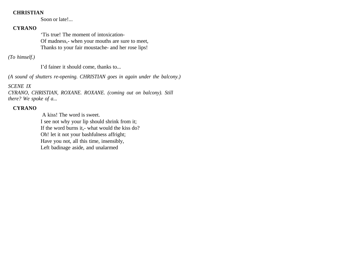# **CHRISTIAN**

Soon or late!...

#### **CYRANO**

'Tis true! The moment of intoxication-Of madness,- when your mouths are sure to meet, Thanks to your fair moustache- and her rose lips!

*(To himself.)* 

I'd fainer it should come, thanks to...

*(A sound of shutters re-opening. CHRISTIAN goes in again under the balcony.)*

*SCENE IX*

*CYRANO, CHRISTIAN, ROXANE. ROXANE. (coming out on balcony). Still there? We spoke of a...*

## **CYRANO**

 A kiss! The word is sweet. I see not why your lip should shrink from it; If the word burns it,- what would the kiss do? Oh! let it not your bashfulness affright; Have you not, all this time, insensibly, Left badinage aside, and unalarmed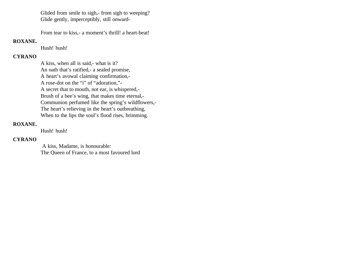Glided from smile to sigh,- from sigh to weeping? Glide gently, imperceptibly, still onward-

From tear to kiss,- a moment's thrill! a heart-beat!

# **ROXANE.**

Hush! hush!

# **CYRANO**

A kiss, when all is said,- what is it? An oath that's ratified,- a sealed promise, A heart's avowal claiming confirmation,- A rose-dot on the "i" of "adoration,"- A secret that to mouth, not ear, is whispered,- Brush of a bee's wing, that makes time eternal,- Communion perfumed like the spring's wildflowers,- The heart's relieving in the heart's outbreathing, When to the lips the soul's flood rises, brimming.

## **ROXANE.**

Hush! hush!

# **CYRANO**

 A kiss, Madame, is honourable: The Queen of France, to a most favoured lord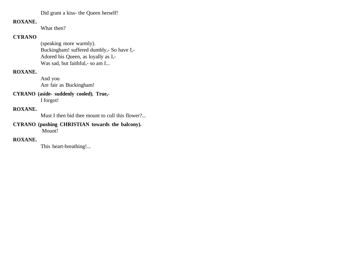Did grant a kiss- the Queen herself!

# **ROXANE.**

What then?

## **CYRANO**

(speaking more warmly). Buckingham! suffered dumbly,- So have I,- Adored his Queen, as loyally as I,- Was sad, but faithful,- so am I...

# **ROXANE.**

And you Are fair as Buckingham!

#### **CYRANO (aside- suddenly cooled). True,-**  I forgot!

## **ROXANE.**

Must I then bid thee mount to cull this flower?...

#### **CYRANO (pushing CHRISTIAN towards the balcony).** Mount!

#### **ROXANE.**

This heart-breathing!...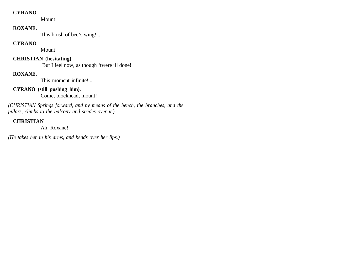Mount!

# **ROXANE.**

This brush of bee's wing!...

# **CYRANO**

Mount!

# **CHRISTIAN (hesitating).**

But I feel now, as though 'twere ill done!

# **ROXANE.**

This moment infinite!...

# **CYRANO (still pushing him).**

Come, blockhead, mount!

*(CHRISTIAN Springs forward, and by means of the bench, the branches, and the pillars, climbs to the balcony and strides over it.)* 

# **CHRISTIAN**

Ah, Roxane!

*(He takes her in his arms, and bends over her lips.)*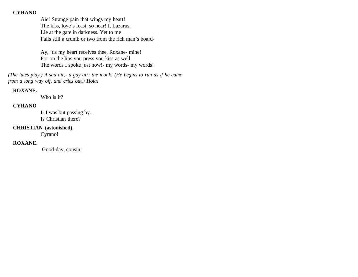Aie! Strange pain that wings my heart! The kiss, love's feast, so near! I, Lazarus, Lie at the gate in darkness. Yet to me Falls still a crumb or two from the rich man's board-

Ay, 'tis my heart receives thee, Roxane- mine! For on the lips you press you kiss as well The words I spoke just now!- my words- my words!

*(The lutes play.) A sad air,- a gay air: the monk! (He begins to run as if he came from a long way off, and cries out.) Hola!*

#### **ROXANE.**

Who is it?

# **CYRANO**

I- I was but passing by... Is Christian there?

#### **CHRISTIAN (astonished).**

Cyrano!

# **ROXANE.**

Good-day, cousin!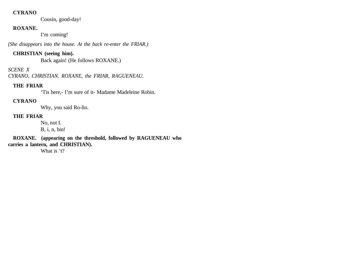Cousin, good-day!

# **ROXANE.**

I'm coming!

*(She disappears into the house. At the back re-enter the FRIAR.)*

## **CHRISTIAN (seeing him).**

Back again! (He follows ROXANE.)

## *SCENE X*

*CYRANO, CHRISTIAN, ROXANE, the FRIAR, RAGUENEAU.*

# **THE FRIAR**

'Tis here,- I'm sure of it- Madame Madeleine Robin.

# **CYRANO**

Why, you said Ro-lin.

# **THE FRIAR**

No, not I.

B, i, n, bin!

**ROXANE. (appearing on the threshold, followed by RAGUENEAU who carries a lantern, and CHRISTIAN).** 

What is 't?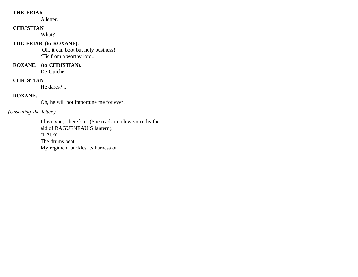# **THE FRIAR**

A letter.

## **CHRISTIAN**

What?

# **THE FRIAR (to ROXANE).**

 Oh, it can boot but holy business! 'Tis from a worthy lord...

# **ROXANE. (to CHRISTIAN).**

De Guiche!

## **CHRISTIAN**

He dares?...

#### **ROXANE.**

Oh, he will not importune me for ever!

#### *(Unsealing the letter.)*

I love you,- therefore- (She reads in a low voice by the aid of RAGUENEAU'S lantern). "LADY, The drums beat; My regiment buckles its harness on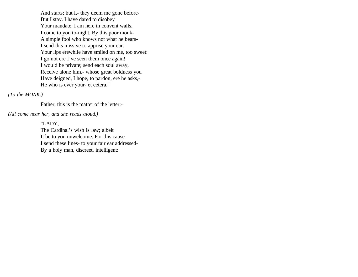And starts; but I,- they deem me gone before-But I stay. I have dared to disobey Your mandate. I am here in convent walls. I come to you to-night. By this poor monk-A simple fool who knows not what he bears-I send this missive to apprise your ear. Your lips erewhile have smiled on me, too sweet: I go not ere I've seen them once again! I would be private; send each soul away, Receive alone him,- whose great boldness you Have deigned, I hope, to pardon, ere he asks,- He who is ever your- et cetera."

*(To the MONK.)* 

Father, this is the matter of the letter:-

*(All come near her, and she reads aloud.)*

"LADY, The Cardinal's wish is law; albeit It be to you unwelcome. For this cause I send these lines- to your fair ear addressed-By a holy man, discreet, intelligent: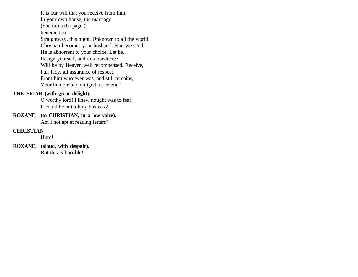It is our will that you receive from him, In your own house, the marriage (She turns the page.) benediction Straightway, this night. Unknown to all the world Christian becomes your husband. Him we send. He is abhorrent to your choice. Let be. Resign yourself, and this obedience Will be by Heaven well recompensed. Receive, Fair lady, all assurance of respect, From him who ever was, and still remains, Your humble and obliged- et cetera."

## **THE FRIAR (with great delight).**

O worthy lord! I knew nought was to fear; It could be but a holy business!

**ROXANE. (to CHRISTIAN, in a low voice).** Am I not apt at reading letters?

#### **CHRISTIAN**

Hum!

**ROXANE. (aloud, with despair).**  But this is horrible!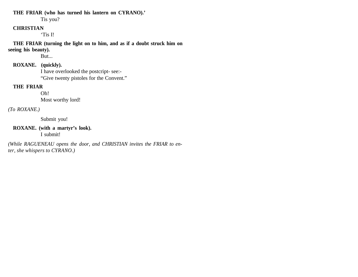#### **THE FRIAR (who has turned his lantern on CYRANO).'**

Tis you?

#### **CHRISTIAN**

'Tis I!

**THE FRIAR (turning the light on to him, and as if a doubt struck him on seeing his beauty).** 

But...

#### **ROXANE. (quickly).**

I have overlooked the postcript- see:- "Give twenty pistoles for the Convent."

## **THE FRIAR**

Oh!

Most worthy lord!

# *(To ROXANE.)*

Submit you!

#### **ROXANE. (with a martyr's look).** I submit!

*(While RAGUENEAU opens the door, and CHRISTIAN invites the FRIAR to enter, she whispers to CYRANO.)*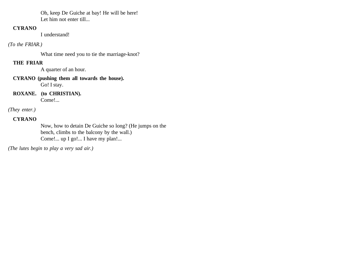Oh, keep De Guiche at bay! He will be here! Let him not enter till...

## **CYRANO**

I understand!

#### *(To the FRIAR.)*

What time need you to tie the marriage-knot?

# **THE FRIAR**

A quarter of an hour.

# **CYRANO (pushing them all towards the house).**  Go! I stay.

**ROXANE. (to CHRISTIAN).**  Come!...

# *(They enter.)*

# **CYRANO**

Now, how to detain De Guiche so long? (He jumps on the bench, climbs to the balcony by the wall.) Come!... up I go!... I have my plan!...

*(The lutes begin to play a very sad air.)*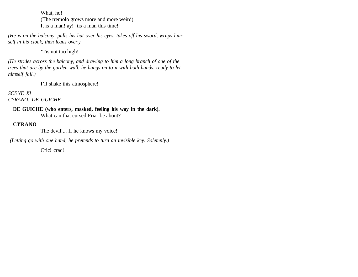What, ho!

(The tremolo grows more and more weird). It is a man! ay! 'tis a man this time!

*(He is on the balcony, pulls his hat over his eyes, takes off his sword, wraps himself in his cloak, then leans over.)*

'Tis not too high!

*(He strides across the balcony, and drawing to him a long branch of one of the trees that are by the garden wall, he hangs on to it with both hands, ready to let himself fall.)*

I'll shake this atmosphere!

*SCENE XI CYRANO, DE GUICHE.*

#### **DE GUICHE (who enters, masked, feeling his way in the dark).** What can that cursed Friar be about?

**CYRANO**

The devil!... If he knows my voice!

 *(Letting go with one hand, he pretends to turn an invisible key. Solemnly.)* 

Cric! crac!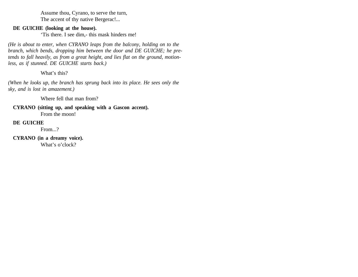Assume thou, Cyrano, to serve the turn, The accent of thy native Bergerac!...

#### **DE GUICHE (looking at the house).**

'Tis there. I see dim,- this mask hinders me!

*(He is about to enter, when CYRANO leaps from the balcony, holding on to the branch, which bends, dropping him between the door and DE GUICHE; he pretends to fall heavily, as from a great height, and lies flat on the ground, motionless, as if stunned. DE GUICHE starts back.)*

What's this?

*(When he looks up, the branch has sprung back into its place. He sees only the sky, and is lost in amazement.)*

Where fell that man from?

**CYRANO (sitting up, and speaking with a Gascon accent).** From the moon!

# **DE GUICHE**

From...?

**CYRANO (in a dreamy voice).** 

What's o'clock?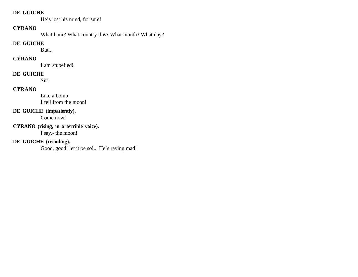#### **DE GUICHE**

He's lost his mind, for sure!

## **CYRANO**

What hour? What country this? What month? What day?

# **DE GUICHE**

But...

# **CYRANO**

I am stupefied!

# **DE GUICHE**

Sir!

# **CYRANO**

Like a bomb I fell from the moon!

# **DE GUICHE (impatiently).**

Come now!

# **CYRANO (rising, in a terrible voice).**

I say,- the moon!

# **DE GUICHE (recoiling).**

Good, good! let it be so!... He's raving mad!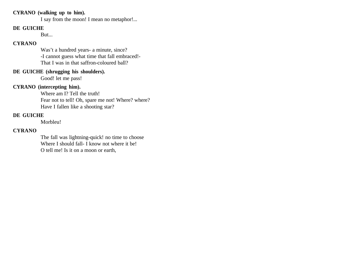# **CYRANO (walking up to him).**

I say from the moon! I mean no metaphor!...

## **DE GUICHE**

But...

## **CYRANO**

Was't a hundred years- a minute, since? -I cannot guess what time that fall embraced!- That I was in that saffron-coloured ball?

#### **DE GUICHE (shrugging his shoulders).**

Good! let me pass!

# **CYRANO (intercepting him).**

Where am I? Tell the truth! Fear not to tell! Oh, spare me not! Where? where? Have I fallen like a shooting star?

## **DE GUICHE**

Morbleu!

#### **CYRANO**

The fall was lightning-quick! no time to choose Where I should fall- I know not where it be! O tell me! Is it on a moon or earth,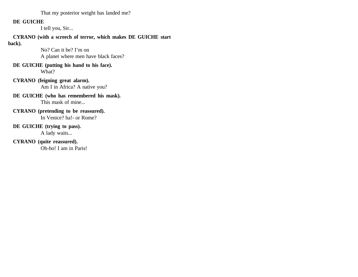That my posterior weight has landed me?

# **DE GUICHE**

I tell you, Sir...

**CYRANO (with a screech of terror, which makes DE GUICHE start back).** 

No? Can it be? I'm on

A planet where men have black faces?

**DE GUICHE (putting his hand to his face).**  What?

- **CYRANO (feigning great alarm).**  Am I in Africa? A native you?
- **DE GUICHE (who has remembered his mask).**  This mask of mine...
- **CYRANO (pretending to be reassured).** In Venice? ha!- or Rome?

# **DE GUICHE (trying to pass).**

A lady waits...

**CYRANO (quite reassured).** 

Oh-ho! I am in Paris!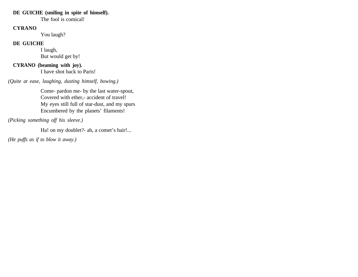#### **DE GUICHE (smiling in spite of himself).**

The fool is comical!

## **CYRANO**

You laugh?

#### **DE GUICHE**

I laugh, But would get by!

# **CYRANO (beaming with joy).**

I have shot back to Paris!

*(Quite at ease, laughing, dusting himself, bowing.)*

Come- pardon me- by the last water-spout, Covered with ether,- accident of travel! My eyes still full of star-dust, and my spurs Encumbered by the planets' filaments!

*(Picking something off his sleeve.)*

Ha! on my doublet?- ah, a comet's hair!...

*(He puffs as if to blow it away.)*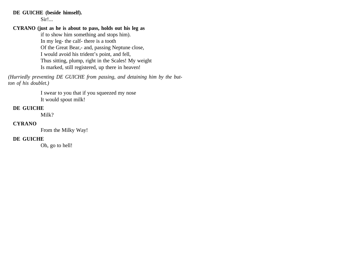#### **DE GUICHE (beside himself).**

Sir!...

#### **CYRANO (just as he is about to pass, holds out his leg as**

if to show him something and stops him). In my leg- the calf- there is a tooth Of the Great Bear,- and, passing Neptune close, I would avoid his trident's point, and fell, Thus sitting, plump, right in the Scales! My weight Is marked, still registered, up there in heaven!

*(Hurriedly preventing DE GUICHE from passing, and detaining him by the button of his doublet.)*

> I swear to you that if you squeezed my nose It would spout milk!

#### **DE GUICHE**

Milk?

## **CYRANO**

From the Milky Way!

# **DE GUICHE**

Oh, go to hell!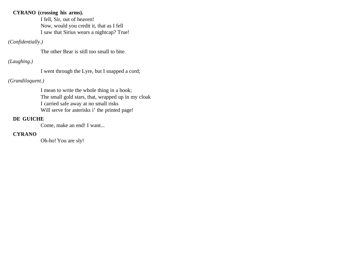# **CYRANO (crossing his arms).**

I fell, Sir, out of heaven! Now, would you credit it, that as I fell I saw that Sirius wears a nightcap? True!

## *(Confidentially.)*

The other Bear is still too small to bite.

# *(Laughing.)*

I went through the Lyre, but I snapped a cord;

# *(Grandiloquent.)*

I mean to write the whole thing in a book; The small gold stars, that, wrapped up in my cloak I carried safe away at no small risks Will serve for asterisks i' the printed page!

# **DE GUICHE**

Come, make an end! I want...

# **CYRANO**

Oh-ho! You are sly!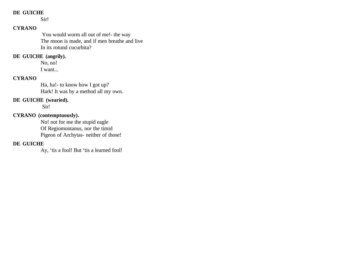# **DE GUICHE**

Sir!

# **CYRANO**

 You would worm all out of me!- the way The moon is made, and if men breathe and live In its rotund cucurbita?

#### **DE GUICHE (angrily).**

No, no! I want...

# **CYRANO**

Ha, ha!- to know how I got up? Hark! It was by a method all my own.

## **DE GUICHE (wearied).**

Sir!

# **CYRANO (contemptuously).**

No! not for me the stupid eagle Of Regiomontanus, nor the timid Pigeon of Archytas- neither of those!

# **DE GUICHE**

Ay, 'tis a fool! But 'tis a learned fool!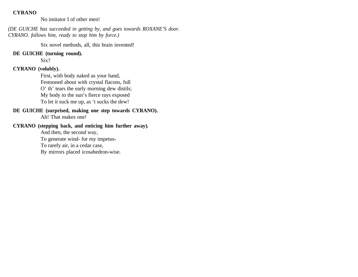No imitator I of other men!

*(DE GUICHE has succeeded in getting by, and goes towards ROXANE'S door. CYRANO. follows him, ready to stop him by force.)*

Six novel methods, all, this brain invented!

**DE GUICHE (turning round).** 

Six?

# **CYRANO (volubly).**

First, with body naked as your hand, Festooned about with crystal flacons, full O' th' tears the early morning dew distils; My body to the sun's fierce rays exposed To let it suck me up, as 't sucks the dew!

# **DE GUICHE (surprised, making one step towards CYRANO).**

Ah! That makes one!

#### **CYRANO (stepping back, and enticing him further away).**

And then, the second way, To generate wind- for my impetus-To rarefy air, in a cedar case, By mirrors placed icosahedron-wise.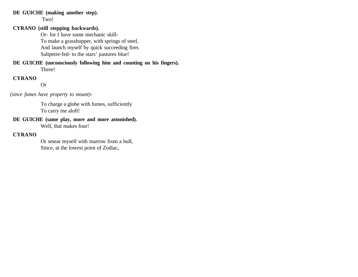#### **DE GUICHE (making another step).**

Two!

# **CYRANO (still stepping backwards).**

Or- for I have some mechanic skill-To make a grasshopper, with springs of steel, And launch myself by quick succeeding fires Saltpetre-fed- to the stars' pastures blue!

#### **DE GUICHE (unconsciously following him and counting on his fingers).**  Three!

**CYRANO**

Or

 *(since fumes have property to mount)-*

To charge a globe with fumes, sufficiently To carry me aloft!

# **DE GUICHE (same play, more and more astonished).**

Well, that makes four!

## **CYRANO**

Or smear myself with marrow from a bull, Since, at the lowest point of Zodiac,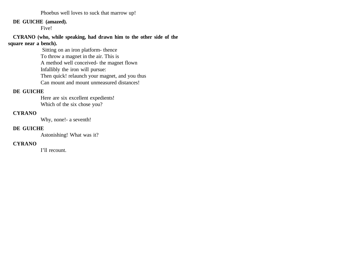Phoebus well loves to suck that marrow up!

#### **DE GUICHE (amazed).**

Five!

## **CYRANO (who, while speaking, had drawn him to the other side of the square near a bench).**

 Sitting on an iron platform- thence To throw a magnet in the air. This is A method well conceived- the magnet flown Infallibly the iron will pursue: Then quick! relaunch your magnet, and you thus Can mount and mount unmeasured distances!

#### **DE GUICHE**

Here are six excellent expedients! Which of the six chose you?

# **CYRANO**

Why, none!- a seventh!

#### **DE GUICHE**

Astonishing! What was it?

#### **CYRANO**

I'll recount.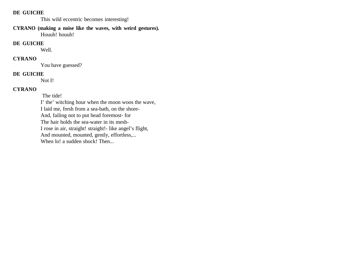#### **DE GUICHE**

This wild eccentric becomes interesting!

**CYRANO (making a noise like the waves, with weird gestures).** Houuh! houuh!

#### **DE GUICHE**

Well.

# **CYRANO**

You have guessed?

#### **DE GUICHE**

Not I!

## **CYRANO**

The tide!

I' the' witching hour when the moon woos the wave, I laid me, fresh from a sea-bath, on the shore-And, failing not to put head foremost- for The hair holds the sea-water in its mesh-I rose in air, straight! straight!- like angel's flight, And mounted, mounted, gently, effortless,... When  $\text{Io}$ ! a sudden shock! Then...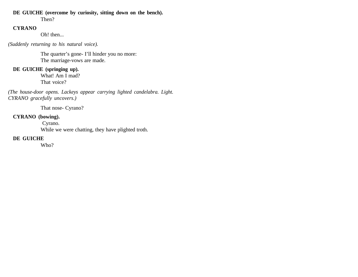#### **DE GUICHE (overcome by curiosity, sitting down on the bench).**

Then?

# **CYRANO**

Oh! then...

*(Suddenly returning to his natural voice).*

The quarter's gone- I'll hinder you no more: The marriage-vows are made.

# **DE GUICHE (springing up).**

What! Am I mad? That voice?

*(The house-door opens. Lackeys appear carrying lighted candelabra. Light. CYRANO gracefully uncovers.)*

That nose- Cyrano?

# **CYRANO (bowing).**

Cyrano.

While we were chatting, they have plighted troth.

#### **DE GUICHE**

Who?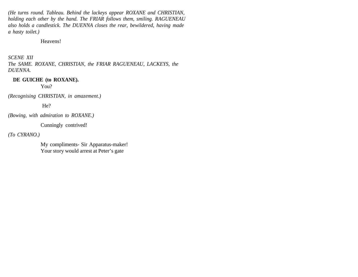*(He turns round. Tableau. Behind the lackeys appear ROXANE and CHRISTIAN, holding each other by the hand. The FRIAR follows them, smiling. RAGUENEAU also holds a candlestick. The DUENNA closes the rear, bewildered, having made a hasty toilet.)*

#### Heavens!

# *SCENE XII*

*The SAME. ROXANE, CHRISTIAN, the FRIAR RAGUENEAU, LACKEYS, the DUENNA.*

#### **DE GUICHE (to ROXANE).**

You?

*(Recognising CHRISTIAN, in amazement.)*

He?

*(Bowing, with admiration to ROXANE.)* 

Cunningly contrived!

*(To CYRANO.)* 

My compliments- Sir Apparatus-maker! Your story would arrest at Peter's gate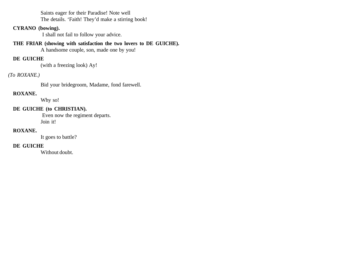Saints eager for their Paradise! Note well The details. 'Faith! They'd make a stirring book!

### **CYRANO (bowing).**

I shall not fail to follow your advice.

### **THE FRIAR (showing with satisfaction the two lovers to DE GUICHE).**

A handsome couple, son, made one by you!

## **DE GUICHE**

(with a freezing look) Ay!

## *(To ROXANE.)*

Bid your bridegroom, Madame, fond farewell.

## **ROXANE.**

Why so!

## **DE GUICHE (to CHRISTIAN).**

 Even now the regiment departs. Join it!

### **ROXANE.**

It goes to battle?

### **DE GUICHE**

Without doubt.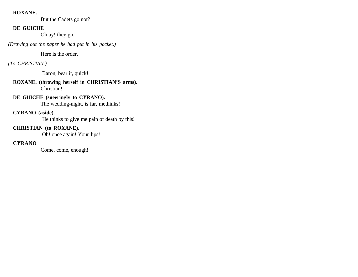### **ROXANE.**

But the Cadets go not?

## **DE GUICHE**

Oh ay! they go.

*(Drawing out the paper he had put in his pocket.)*

Here is the order.

## *(To CHRISTIAN.)*

Baron, bear it, quick!

### **ROXANE. (throwing herself in CHRISTIAN'S arms).**  Christian!

## **DE GUICHE (sneeringly to CYRANO).**

The wedding-night, is far, methinks!

### **CYRANO (aside).**

He thinks to give me pain of death by this!

## **CHRISTIAN (to ROXANE).**

Oh! once again! Your lips!

## **CYRANO**

Come, come, enough!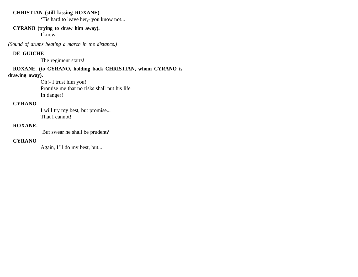### **CHRISTIAN (still kissing ROXANE).**

'Tis hard to leave her,- you know not...

### **CYRANO (trying to draw him away).**

I know.

*(Sound of drums beating a march in the distance.)*

## **DE GUICHE**

The regiment starts!

## **ROXANE. (to CYRANO, holding back CHRISTIAN, whom CYRANO is**

### **drawing away).**

Oh!- I trust him you! Promise me that no risks shall put his life In danger!

## **CYRANO**

I will try my best, but promise... That I cannot!

### **ROXANE.**

But swear he shall be prudent?

### **CYRANO**

Again, I'll do my best, but...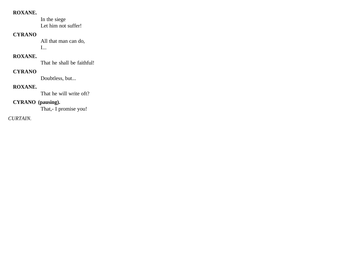### **ROXANE.**

In the siege Let him not suffer!

## **CYRANO**

All that man can do, I...

## **ROXANE.**

That he shall be faithful!

## **CYRANO**

Doubtless, but...

## **ROXANE.**

That he will write oft?

## **CYRANO (pausing).**

That,- I promise you!

## *CURTAIN.*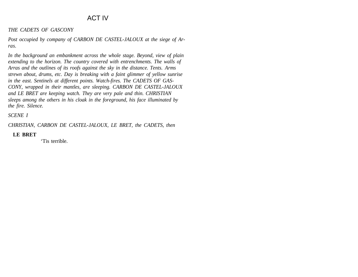# ACT IV

#### *THE CADETS OF GASCONY*

*Post occupied by company of CARBON DE CASTEL-JALOUX at the siege of Arras.*

*In the background an embankment across the whole stage. Beyond, view of plain extending to the horizon. The country covered with entrenchments. The walls of Arras and the outlines of its roofs against the sky in the distance. Tents. Arms strewn about, drums, etc. Day is breaking with a faint glimmer of yellow sunrise in the east. Sentinels at different points. Watch-fires. The CADETS OF GAS-CONY, wrapped in their mantles, are sleeping. CARBON DE CASTEL-JALOUX and LE BRET are keeping watch. They are very pale and thin. CHRISTIAN sleeps among the others in his cloak in the foreground, his face illuminated by the fire. Silence.*

### *SCENE I*

*CHRISTIAN, CARBON DE CASTEL-JALOUX, LE BRET, the CADETS, then*

### **LE BRET**

'Tis terrible.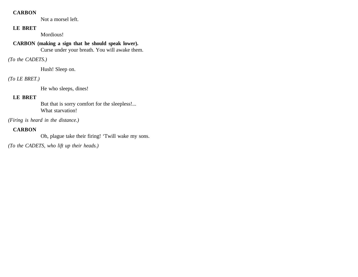### **CARBON**

Not a morsel left.

## **LE BRET**

Mordious!

## **CARBON (making a sign that he should speak lower).**

Curse under your breath. You will awake them.

## *(To the CADETS.)*

Hush! Sleep on.

## *(To LE BRET.)*

He who sleeps, dines!

## **LE BRET**

But that is sorry comfort for the sleepless!... What starvation!

*(Firing is heard in the distance.)*

## **CARBON**

Oh, plague take their firing! 'Twill wake my sons.

*(To the CADETS, who lift up their heads.)*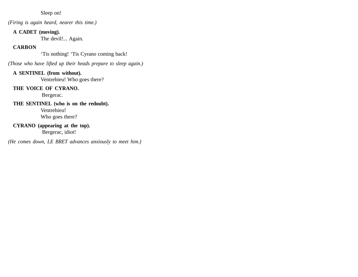Sleep on!

*(Firing is again heard, nearer this time.)*

### **A CADET (moving).**

The devil!... Again.

## **CARBON**

'Tis nothing! 'Tis Cyrano coming back!

*(Those who have lifted up their heads prepare to sleep again.)*

## **A SENTINEL (from without).**

Ventrebieu! Who goes there?

## **THE VOICE OF CYRANO.**

Bergerac.

# **THE SENTINEL (who is on the redoubt).**  Ventrebieu!

Who goes there?

# **CYRANO (appearing at the top).**

Bergerac, idiot!

*(He comes down, LE BRET advances anxiously to meet him.)*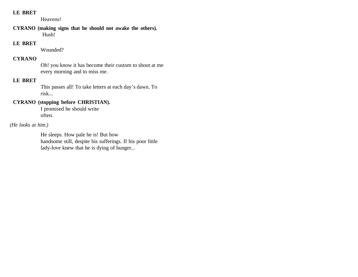### **LE BRET**

Heavens!

### **CYRANO (making signs that he should not awake the others).** Hush!

### **LE BRET**

Wounded?

## **CYRANO**

Oh! you know it has become their custom to shoot at me every morning and to miss me.

### **LE BRET**

This passes all! To take letters at each day's dawn. To risk...

## **CYRANO (stopping before CHRISTIAN).**

I promised he should write often.

### *(He looks at him.)*

He sleeps. How pale he is! But how handsome still, despite his sufferings. If his poor little lady-love knew that he is dying of hunger...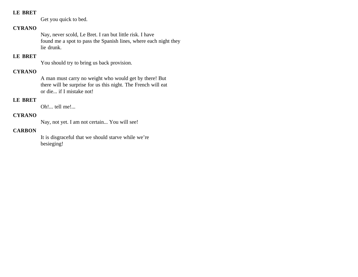### **LE BRET**

Get you quick to bed.

## **CYRANO**

Nay, never scold, Le Bret. I ran but little risk. I have found me a spot to pass the Spanish lines, where each night they lie drunk.

## **LE BRET**

You should try to bring us back provision.

## **CYRANO**

A man must carry no weight who would get by there! But there will be surprise for us this night. The French will eat or die... if I mistake not!

## **LE BRET**

Oh!... tell me!...

## **CYRANO**

Nay, not yet. I am not certain... You will see!

### **CARBON**

It is disgraceful that we should starve while we're besieging!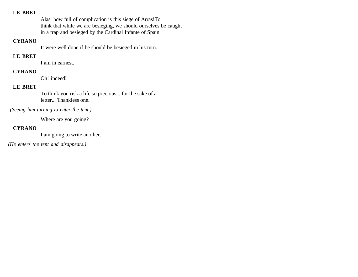### **LE BRET**

Alas, how full of complication is this siege of Arras!To think that while we are besieging, we should ourselves be caught in a trap and besieged by the Cardinal Infante of Spain.

### **CYRANO**

It were well done if he should be besieged in his turn.

## **LE BRET**

I am in earnest.

### **CYRANO**

Oh! indeed!

## **LE BRET**

To think you risk a life so precious... for the sake of a letter... Thankless one.

 *(Seeing him turning to enter the tent.)*

Where are you going?

## **CYRANO**

I am going to write another.

*(He enters the tent and disappears.)*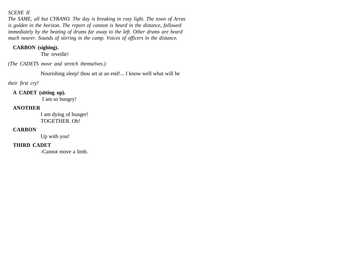### *SCENE II*

*The SAME, all but CYRANO. The day is breaking in rosy light. The town of Arras is golden in the horizon. The report of cannon is heard in the distance, followed immediately by the beating of drums far away to the left. Other drums are heard much nearer. Sounds of stirring in the camp. Voices of officers in the distance.*

### **CARBON (sighing).**

The reveille!

*(The CADETS move and stretch themselves.)*

Nourishing sleep! thou art at an end!... I know well what will be

*their first cry!*

### **A CADET (sitting up).**

I am so hungry!

## **ANOTHER**

I am dying of hunger! TOGETHER. Oh!

### **CARBON**

Up with you!

## **THIRD CADET**

-Cannot move a limb.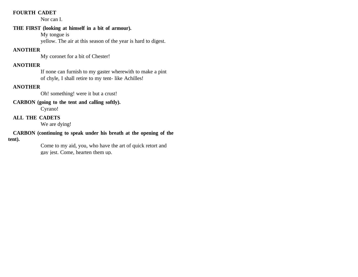### **FOURTH CADET**

Nor can I.

## **THE FIRST (looking at himself in a bit of armour).**

My tongue is

yellow. The air at this season of the year is hard to digest.

## **ANOTHER**

My coronet for a bit of Chester!

## **ANOTHER**

If none can furnish to my gaster wherewith to make a pint of chyle, I shall retire to my tent- like Achilles!

## **ANOTHER**

Oh! something! were it but a crust!

## **CARBON (going to the tent and calling softly).**

Cyrano!

## **ALL THE CADETS**

We are dying!

#### **CARBON (continuing to speak under his breath at the opening of the tent).**

Come to my aid, you, who have the art of quick retort and gay jest. Come, hearten them up.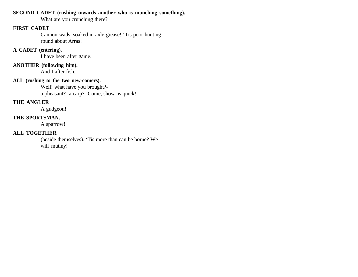### **SECOND CADET (rushing towards another who is munching something).**

What are you crunching there?

### **FIRST CADET**

Cannon-wads, soaked in axle-grease! 'Tis poor hunting round about Arras!

## **A CADET (entering).**

I have been after game.

#### **ANOTHER (following him).**

And I after fish.

## **ALL (rushing to the two new-comers).**

Well! what have you brought? a pheasant?- a carp?- Come, show us quick!

### **THE ANGLER**

A gudgeon!

### **THE SPORTSMAN.**

A sparrow!

## **ALL TOGETHER**

(beside themselves). 'Tis more than can be borne? We will mutiny!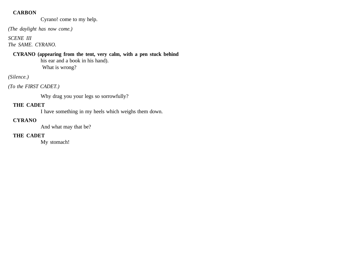### **CARBON**

Cyrano! come to my help.

*(The daylight has now come.)*

### *SCENE III The SAME. CYRANO.*

**CYRANO (appearing from the tent, very calm, with a pen stuck behind** his ear and a book in his hand). What is wrong?

## *(Silence.)*

*(To the FIRST CADET.)* 

Why drag you your legs so sorrowfully?

## **THE CADET**

I have something in my heels which weighs them down.

## **CYRANO**

And what may that be?

## **THE CADET**

My stomach!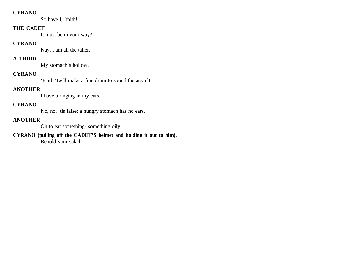### **CYRANO**

So have I, 'faith!

### **THE CADET**

It must be in your way?

### **CYRANO**

Nay, I am all the taller.

## **A THIRD**

My stomach's hollow.

## **CYRANO**

'Faith 'twill make a fine drum to sound the assault.

## **ANOTHER**

I have a ringing in my ears.

## **CYRANO**

No, no, 'tis false; a hungry stomach has no ears.

## **ANOTHER**

Oh to eat something- something oily!

**CYRANO (pulling off the CADET'S helmet and holding it out to him).** Behold your salad!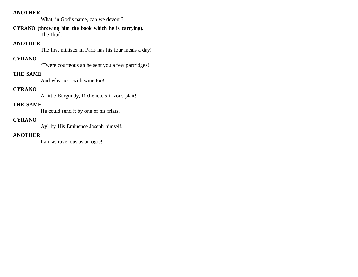### **ANOTHER**

What, in God's name, can we devour?

### **CYRANO (throwing him the book which he is carrying).**  The Iliad.

### **ANOTHER**

The first minister in Paris has his four meals a day!

## **CYRANO**

'Twere courteous an he sent you a few partridges!

### **THE SAME**

And why not? with wine too!

## **CYRANO**

A little Burgundy, Richelieu, s'il vous plait!

## **THE SAME**

He could send it by one of his friars.

#### **CYRANO**

Ay! by His Eminence Joseph himself.

## **ANOTHER**

I am as ravenous as an ogre!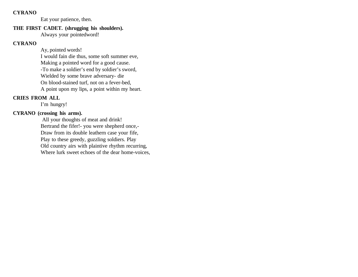#### **CYRANO**

Eat your patience, then.

# **THE FIRST CADET. (shrugging his shoulders).**

Always your pointedword!

## **CYRANO**

Ay, pointed words! I would fain die thus, some soft summer eve, Making a pointed word for a good cause. -To make a soldier's end by soldier's sword, Wielded by some brave adversary- die On blood-stained turf, not on a fever-bed, A point upon my lips, a point within my heart.

## **CRIES FROM ALL**

I'm hungry!

## **CYRANO (crossing his arms).**

 All your thoughts of meat and drink! Bertrand the fifer!- you were shepherd once,- Draw from its double leathern case your fife, Play to these greedy, guzzling soldiers. Play Old country airs with plaintive rhythm recurring, Where lurk sweet echoes of the dear home-voices,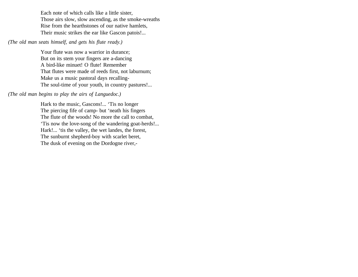Each note of which calls like a little sister, Those airs slow, slow ascending, as the smoke-wreaths Rise from the hearthstones of our native hamlets, Their music strikes the ear like Gascon patois!...

### *(The old man seats himself, and gets his flute ready.)*

Your flute was now a warrior in durance; But on its stem your fingers are a-dancing A bird-like minuet! O flute! Remember That flutes were made of reeds first, not laburnum; Make us a music pastoral days recalling-The soul-time of your youth, in country pastures!...

## *(The old man begins to play the airs of Languedoc.)*

Hark to the music, Gascons!... 'Tis no longer The piercing fife of camp- but 'neath his fingers The flute of the woods! No more the call to combat, 'Tis now the love-song of the wandering goat-herds!... Hark!... 'tis the valley, the wet landes, the forest, The sunburnt shepherd-boy with scarlet beret, The dusk of evening on the Dordogne river,-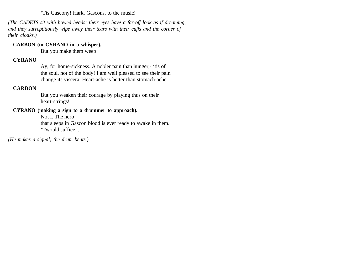'Tis Gascony! Hark, Gascons, to the music!

*(The CADETS sit with bowed heads; their eyes have a far-off look as if dreaming, and they surreptitiously wipe away their tears with their cuffs and the corner of their cloaks.)*

### **CARBON (to CYRANO in a whisper).**

But you make them weep!

### **CYRANO**

Ay, for home-sickness. A nobler pain than hunger,- 'tis of the soul, not of the body! I am well pleased to see their pain change its viscera. Heart-ache is better than stomach-ache.

## **CARBON**

But you weaken their courage by playing thus on their heart-strings!

### **CYRANO (making a sign to a drummer to approach).**

Not I. The hero

that sleeps in Gascon blood is ever ready to awake in them. 'Twould suffice...

*(He makes a signal; the drum beats.)*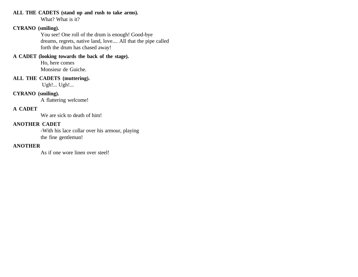#### **ALL THE CADETS (stand up and rush to take arms).**

What? What is it?

### **CYRANO (smiling).**

You see! One roll of the drum is enough! Good-bye dreams, regrets, native land, love.... All that the pipe called forth the drum has chased away!

## **A CADET (looking towards the back of the stage).**

Ho, here comes Monsieur de Guiche.

#### **ALL THE CADETS (muttering).**

Ugh!... Ugh!...

## **CYRANO (smiling).**

A flattering welcome!

## **A CADET**

We are sick to death of him!

## **ANOTHER CADET**

-With his lace collar over his armour, playing the fine gentleman!

## **ANOTHER**

As if one wore linen over steel!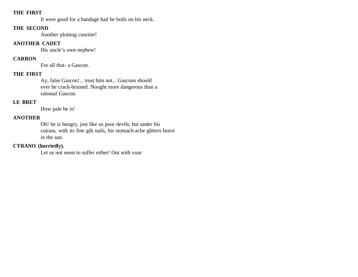### **THE FIRST**

It were good for a bandage had he boils on his neck.

#### **THE SECOND**

Another plotting courtier!

## **ANOTHER CADET**

His uncle's own nephew!

## **CARBON**

For all that- a Gascon.

### **THE FIRST**

Ay, false Gascon!... trust him not... Gascons should ever be crack-brained. Nought more dangerous than a rational Gascon.

## **LE BRET**

How pale he is!

## **ANOTHER**

Oh! he is hungry, just like us poor devils; but under his cuirass, with its fine gilt nails, his stomach-ache glitters brave in the sun.

## **CYRANO (hurriedly).**

Let us not seem to suffer either! Out with your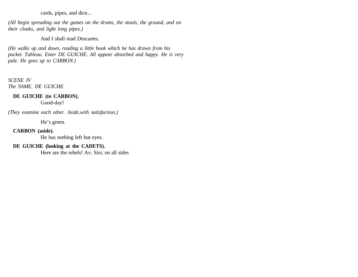cards, pipes, and dice...

*(All begin spreading out the games on the drums, the stools, the ground, and on their cloaks, and light long pipes.)*

And I shall read Descartes.

*(He walks up and down, reading a little book which he has drawn from his pocket. Tableau. Enter DE GUICHE. All appear absorbed and happy. He is very pale. He goes up to CARBON.)*

*SCENE IV The SAME. DE GUICHE.*

### **DE GUICHE (to CARBON).**

Good-day!

*(They examine each other. Aside,with satisfaction.)* 

He's green.

### **CARBON (aside).**

He has nothing left but eyes.

## **DE GUICHE (looking at the CADETS).**

Here are the rebels! Ay, Sirs, on all sides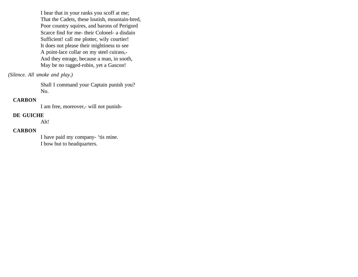I hear that in your ranks you scoff at me; That the Cadets, these loutish, mountain-bred, Poor country squires, and barons of Perigord Scarce find for me- their Colonel- a disdain Sufficient! call me plotter, wily courtier! It does not please their mightiness to see A point-lace collar on my steel cuirass,- And they enrage, because a man, in sooth, May be no ragged-robin, yet a Gascon!

*(Silence. All smoke and play.)*

Shall I command your Captain punish you? No.

### **CARBON**

I am free, moreover,- will not punish-

#### **DE GUICHE**

Ah!

#### **CARBON**

I have paid my company- 'tis mine. I bow but to headquarters.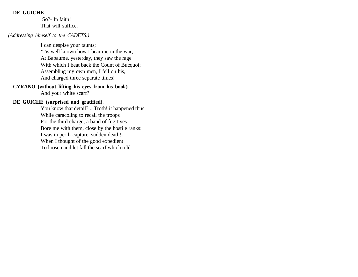### **DE GUICHE**

 So?- In faith! That will suffice.

#### *(Addressing himself to the CADETS.)*

I can despise your taunts; 'Tis well known how I bear me in the war; At Bapaume, yesterday, they saw the rage With which I beat back the Count of Bucquoi; Assembling my own men, I fell on his, And charged three separate times!

### **CYRANO (without lifting his eyes from his book).**

And your white scarf?

### **DE GUICHE (surprised and gratified).**

You know that detail?... Troth! it happened thus: While caracoling to recall the troops For the third charge, a band of fugitives Bore me with them, close by the hostile ranks: I was in peril- capture, sudden death!- When I thought of the good expedient To loosen and let fall the scarf which told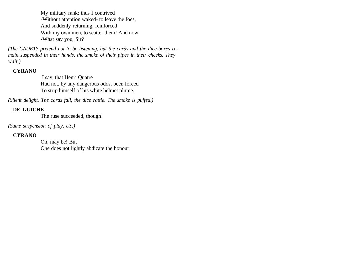My military rank; thus I contrived -Without attention waked- to leave the foes, And suddenly returning, reinforced With my own men, to scatter them! And now, -What say you, Sir?

*(The CADETS pretend not to be listening, but the cards and the dice-boxes remain suspended in their hands, the smoke of their pipes in their cheeks. They wait.)*

### **CYRANO**

 I say, that Henri Quatre Had not, by any dangerous odds, been forced To strip himself of his white helmet plume.

*(Silent delight. The cards fall, the dice rattle. The smoke is puffed.)*

## **DE GUICHE**

The ruse succeeded, though!

*(Same suspension of play, etc.)*

## **CYRANO**

Oh, may be! But One does not lightly abdicate the honour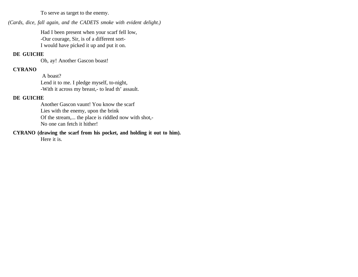To serve as target to the enemy.

*(Cards, dice, fall again, and the CADETS smoke with evident delight.)*

Had I been present when your scarf fell low, -Our courage, Sir, is of a different sort-I would have picked it up and put it on.

### **DE GUICHE**

Oh, ay! Another Gascon boast!

### **CYRANO**

 A boast? Lend it to me. I pledge myself, to-night, -With it across my breast,- to lead th' assault.

### **DE GUICHE**

Another Gascon vaunt! You know the scarf Lies with the enemy, upon the brink Of the stream,... the place is riddled now with shot,- No one can fetch it hither!

**CYRANO (drawing the scarf from his pocket, and holding it out to him).** 

Here it is.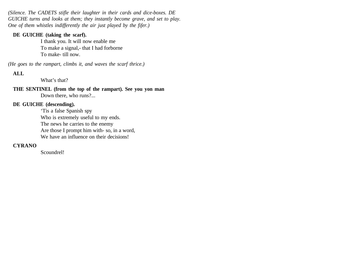*(Silence. The CADETS stifle their laughter in their cards and dice-boxes. DE GUICHE turns and looks at them; they instantly become grave, and set to play. One of them whistles indifferently the air just played by the fifer.)*

### **DE GUICHE (taking the scarf).**

I thank you. It will now enable me To make a signal,- that I had forborne To make- till now.

*(He goes to the rampart, climbs it, and waves the scarf thrice.)*

## **ALL**

What's that?

**THE SENTINEL (from the top of the rampart). See you yon man** Down there, who runs?...

## **DE GUICHE (descending).**

'Tis a false Spanish spy Who is extremely useful to my ends. The news he carries to the enemy Are those I prompt him with- so, in a word, We have an influence on their decisions!

## **CYRANO**

Scoundrel!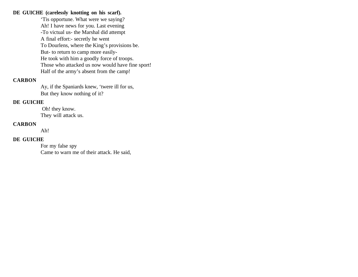#### **DE GUICHE (carelessly knotting on his scarf).**

'Tis opportune. What were we saying? Ah! I have news for you. Last evening -To victual us- the Marshal did attempt A final effort:- secretly he went To Dourlens, where the King's provisions be. But- to return to camp more easily-He took with him a goodly force of troops. Those who attacked us now would have fine sport! Half of the army's absent from the camp!

### **CARBON**

Ay, if the Spaniards knew, 'twere ill for us, But they know nothing of it?

### **DE GUICHE**

 Oh! they know. They will attack us.

### **CARBON**

Ah!

### **DE GUICHE**

For my false spy Came to warn me of their attack. He said,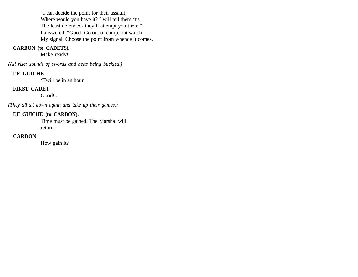"I can decide the point for their assault; Where would you have it? I will tell them 'tis The least defended- they'll attempt you there." I answered, "Good. Go out of camp, but watch My signal. Choose the point from whence it comes.

## **CARBON (to CADETS).**

Make ready!

*(All rise; sounds of swords and belts being buckled.)*

### **DE GUICHE**

'Twill be in an hour.

## **FIRST CADET**

Good!...

*(They all sit down again and take up their games.)*

## **DE GUICHE (to CARBON).**

Time must be gained. The Marshal will return.

### **CARBON**

How gain it?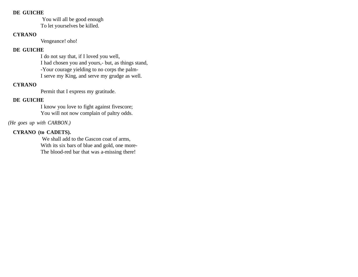#### **DE GUICHE**

 You will all be good enough To let yourselves be killed.

## **CYRANO**

Vengeance! oho!

## **DE GUICHE**

I do not say that, if I loved you well, I had chosen you and yours,- but, as things stand, -Your courage yielding to no corps the palm-I serve my King, and serve my grudge as well.

## **CYRANO**

Permit that I express my gratitude.

## **DE GUICHE**

I know you love to fight against fivescore; You will not now complain of paltry odds.

## *(He goes up with CARBON.)*

## **CYRANO (to CADETS).**

 We shall add to the Gascon coat of arms, With its six bars of blue and gold, one more-The blood-red bar that was a-missing there!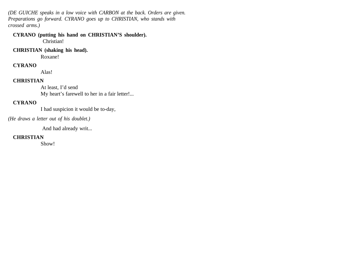*(DE GUICHE speaks in a low voice with CARBON at the back. Orders are given. Preparations go forward. CYRANO goes up to CHRISTIAN, who stands with crossed arms.)*

**CYRANO (putting his hand on CHRISTIAN'S shoulder).** Christian!

**CHRISTIAN (shaking his head).** 

Roxane!

### **CYRANO**

Alas!

### **CHRISTIAN**

At least, I'd send My heart's farewell to her in a fair letter!...

## **CYRANO**

I had suspicion it would be to-day,

*(He draws a letter out of his doublet.)*

And had already writ...

### **CHRISTIAN**

Show!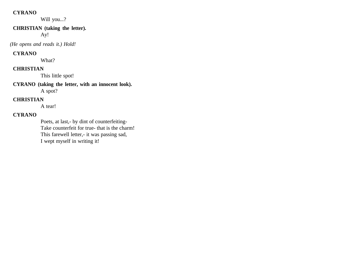### **CYRANO**

Will you...?

### **CHRISTIAN (taking the letter).**

Ay!

 *(He opens and reads it.) Hold!*

### **CYRANO**

What?

## **CHRISTIAN**

This little spot!

**CYRANO (taking the letter, with an innocent look).**  A spot?

## **CHRISTIAN**

A tear!

## **CYRANO**

Poets, at last,- by dint of counterfeiting-Take counterfeit for true- that is the charm! This farewell letter,- it was passing sad, I wept myself in writing it!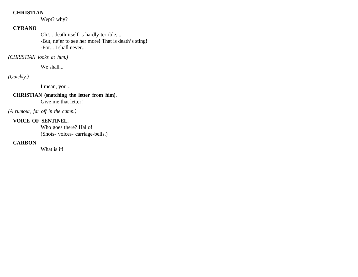### **CHRISTIAN**

Wept? why?

## **CYRANO**

Oh!... death itself is hardly terrible,... -But, ne'er to see her more! That is death's sting! -For... I shall never...

### *(CHRISTIAN looks at him.)*

We shall...

## *(Quickly.)*

I mean, you...

# **CHRISTIAN (snatching the letter from him).**

Give me that letter!

*(A rumour, far off in the camp.)*

### **VOICE OF SENTINEL.**

Who goes there? Hallo! (Shots- voices- carriage-bells.)

### **CARBON**

What is it!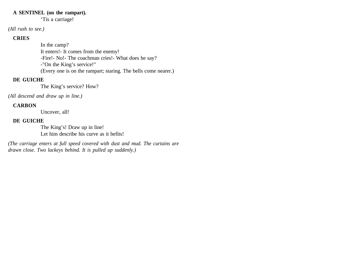#### **A SENTINEL (on the rampart).**

'Tis a carriage!

### *(All rush to see.)*

## **CRIES**

In the camp? It enters!- It comes from the enemy! -Fire!- No!- The coachman cries!- What does he say? -"On the King's service!" (Every one is on the rampart; staring. The bells come nearer.)

## **DE GUICHE**

The King's service? How?

*(All descend and draw up in line.)*

## **CARBON**

Uncover, all!

## **DE GUICHE**

The King's! Draw up in line! Let him describe his curve as it befits!

*(The carriage enters at full speed covered with dust and mud. The curtains are drawn close. Two lackeys behind. It is pulled up suddenly.)*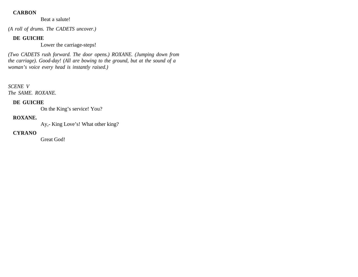### **CARBON**

Beat a salute!

*(A roll of drums. The CADETS uncover.)*

## **DE GUICHE**

Lower the carriage-steps!

*(Two CADETS rush forward. The door opens.) ROXANE. (Jumping down from the carriage). Good-day! (All are bowing to the ground, but at the sound of a woman's voice every head is instantly raised.)*

*SCENE V The SAME. ROXANE.*

## **DE GUICHE**

On the King's service! You?

## **ROXANE.**

Ay,- King Love's! What other king?

## **CYRANO**

Great God!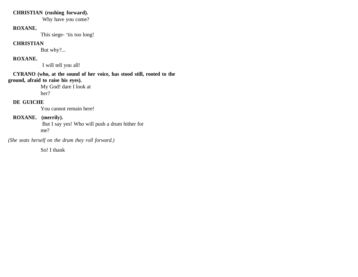### **CHRISTIAN (rushing forward).**

Why have you come?

### **ROXANE.**

This siege- 'tis too long!

### **CHRISTIAN**

But why?...

## **ROXANE.**

I will tell you all!

## **CYRANO (who, at the sound of her voice, has stood still, rooted to the ground, afraid to raise his eyes).**

My God! dare I look at her?

## **DE GUICHE**

You cannot remain here!

## **ROXANE. (merrily).**

 But I say yes! Who will push a drum hither for me?

*(She seats herself on the drum they roll forward.)* 

So! I thank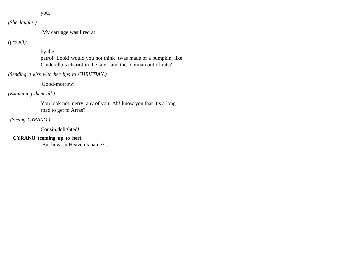you.

*(She laughs.)*

My carriage was fired at

# *(proudly*

#### by the

patrol! Look! would you not think 'twas made of a pumpkin, like Cinderella's chariot in the tale,- and the footman out of rats?

*(Sending a kiss with her lips to CHRISTIAN.)*

Good-morrow!

*(Examining them all.)* 

You look not merry, any of you! Ah! know you that 'tis a long road to get to Arras?

 *(Seeing CYRANO.)* 

Cousin,delighted!

# **CYRANO (coming up to her).**

But how, in Heaven's name?...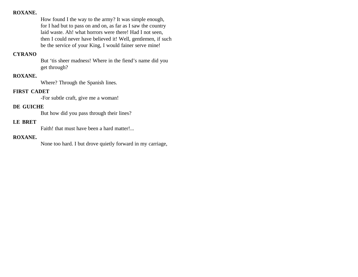How found I the way to the army? It was simple enough, for I had but to pass on and on, as far as I saw the country laid waste. Ah! what horrors were there! Had I not seen, then I could never have believed it! Well, gentlemen, if such be the service of your King, I would fainer serve mine!

### **CYRANO**

But 'tis sheer madness! Where in the fiend's name did you get through?

### **ROXANE.**

Where? Through the Spanish lines.

### **FIRST CADET**

-For subtle craft, give me a woman!

### **DE GUICHE**

But how did you pass through their lines?

### **LE BRET**

Faith! that must have been a hard matter!...

#### **ROXANE.**

None too hard. I but drove quietly forward in my carriage,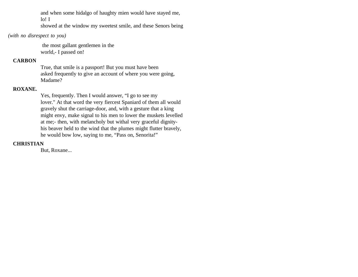and when some hidalgo of haughty mien would have stayed me, lo! I

showed at the window my sweetest smile, and these Senors being

### *(with no disrespect to you)*

 the most gallant gentlemen in the world,- I passed on!

# **CARBON**

True, that smile is a passport! But you must have been asked frequently to give an account of where you were going, Madame?

### **ROXANE.**

Yes, frequently. Then I would answer, "I go to see my lover." At that word the very fiercest Spaniard of them all would gravely shut the carriage-door, and, with a gesture that a king might envy, make signal to his men to lower the muskets levelled at me;- then, with melancholy but withal very graceful dignityhis beaver held to the wind that the plumes might flutter bravely, he would bow low, saying to me, "Pass on, Senorita!"

### **CHRISTIAN**

But, Roxane...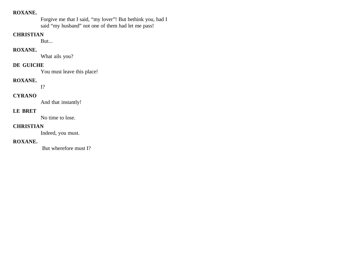Forgive me that I said, "my lover"! But bethink you, had I said "my husband" not one of them had let me pass!

#### **CHRISTIAN**

But...

### **ROXANE.**

What ails you?

# **DE GUICHE**

You must leave this place!

#### **ROXANE.**

I?

### **CYRANO**

And that instantly!

### **LE BRET**

No time to lose.

### **CHRISTIAN**

Indeed, you must.

### **ROXANE.**

But wherefore must I?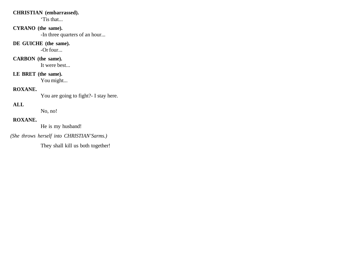### **CHRISTIAN (embarrassed).**

'Tis that...

### **CYRANO (the same).**

-In three quarters of an hour...

### **DE GUICHE (the same).**

-Or four...

# **CARBON (the same).**

It were best...

# **LE BRET (the same).**

You might...

# **ROXANE.**

You are going to fight?- I stay here.

# **ALL**

No, no!

# **ROXANE.**

He is my husband!

 *(She throws herself into CHRISTIAN'Sarms.)* 

They shall kill us both together!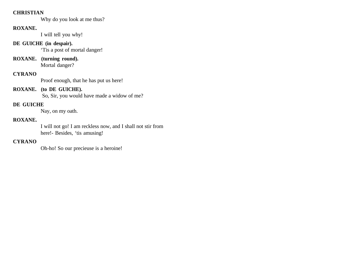### **CHRISTIAN**

Why do you look at me thus?

### **ROXANE.**

I will tell you why!

# **DE GUICHE (in despair).**

'Tis a post of mortal danger!

# **ROXANE. (turning round).**

Mortal danger?

# **CYRANO**

Proof enough, that he has put us here!

### **ROXANE. (to DE GUICHE).**

So, Sir, you would have made a widow of me?

# **DE GUICHE**

Nay, on my oath.

### **ROXANE.**

I will not go! I am reckless now, and I shall not stir from here!- Besides, 'tis amusing!

### **CYRANO**

Oh-ho! So our precieuse is a heroine!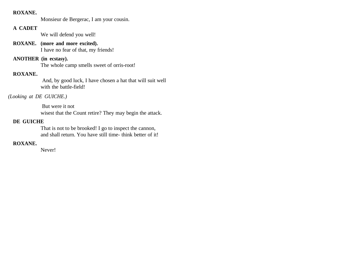Monsieur de Bergerac, I am your cousin.

### **A CADET**

We will defend you well!

# **ROXANE. (more and more excited).**

I have no fear of that, my friends!

# **ANOTHER (in ecstasy).**

The whole camp smells sweet of orris-root!

#### **ROXANE.**

 And, by good luck, I have chosen a hat that will suit well with the battle-field!

#### *(Looking at DE GUICHE.)*

 But were it not wisest that the Count retire? They may begin the attack.

#### **DE GUICHE**

That is not to be brooked! I go to inspect the cannon, and shall return. You have still time- think better of it!

# **ROXANE.**

Never!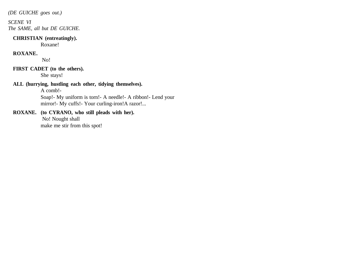*(DE GUICHE goes out.)*

*SCENE VI The SAME, all but DE GUICHE.*

#### **CHRISTIAN (entreatingly).**

Roxane!

### **ROXANE.**

No!

### **FIRST CADET (to the others).**

She stays!

### **ALL (hurrying, hustling each other, tidying themselves).**

A comb!-

Soap!- My uniform is torn!- A needle!- A ribbon!- Lend your mirror!- My cuffs!- Your curling-iron!A razor!...

### **ROXANE. (to CYRANO, who still pleads with her).**

 No! Nought shall make me stir from this spot!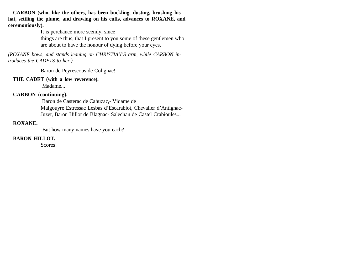**CARBON (who, like the others, has been buckling, dusting, brushing his hat, settling the plume, and drawing on his cuffs, advances to ROXANE, and ceremoniously).** 

It is perchance more seemly, since

things are thus, that I present to you some of these gentlemen who are about to have the honour of dying before your eyes.

*(ROXANE bows, and stands leaning on CHRISTIAN'S arm, while CARBON introduces the CADETS to her.)*

Baron de Peyrescous de Colignac!

#### **THE CADET (with a low reverence).**

Madame...

#### **CARBON (continuing).**

 Baron de Casterac de Cahuzac,- Vidame de Malgouyre Estressac Lesbas d'Escarabiot, Chevalier d'Antignac-Juzet, Baron Hillot de Blagnac- Salechan de Castel Crabioules...

### **ROXANE.**

But how many names have you each?

### **BARON HILLOT.**

Scores!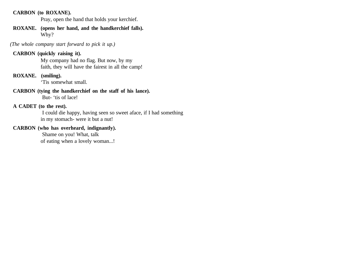#### **CARBON (to ROXANE).**

Pray, open the hand that holds your kerchief.

#### **ROXANE. (opens her hand, and the handkerchief falls).**  Why?

 *(The whole company start forward to pick it up.)*

# **CARBON (quickly raising it).**

My company had no flag. But now, by my faith, they will have the fairest in all the camp!

### **ROXANE. (smiling).**

'Tis somewhat small.

### **CARBON (tying the handkerchief on the staff of his lance).**

But- 'tis of lace!

### **A CADET (to the rest).**

 I could die happy, having seen so sweet aface, if I had something in my stomach- were it but a nut!

# **CARBON (who has overheard, indignantly).**

 Shame on you! What, talk of eating when a lovely woman...!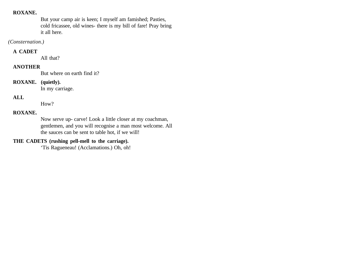But your camp air is keen; I myself am famished; Pasties, cold fricassee, old wines- there is my bill of fare! Pray bring it all here.

### *(Consternation.)*

### **A CADET**

All that?

### **ANOTHER**

But where on earth find it?

# **ROXANE. (quietly).**

In my carriage.

# **ALL**

How?

### **ROXANE.**

Now serve up- carve! Look a little closer at my coachman, gentlemen, and you will recognise a man most welcome. All the sauces can be sent to table hot, if we will!

### **THE CADETS (rushing pell-mell to the carriage).**

'Tis Ragueneau! (Acclamations.) Oh, oh!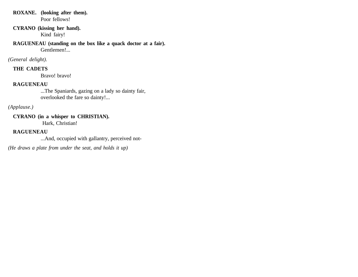**ROXANE. (looking after them).**  Poor fellows!

### **CYRANO (kissing her hand).**  Kind fairy!

**RAGUENEAU (standing on the box like a quack doctor at a fair).** Gentlemen!...

*(General delight).*

# **THE CADETS**

Bravo! bravo!

### **RAGUENEAU**

...The Spaniards, gazing on a lady so dainty fair, overlooked the fare so dainty!...

# *(Applause.)*

**CYRANO (in a whisper to CHRISTIAN).** Hark, Christian!

# **RAGUENEAU**

...And, occupied with gallantry, perceived not-

*(He draws a plate from under the seat, and holds it up)*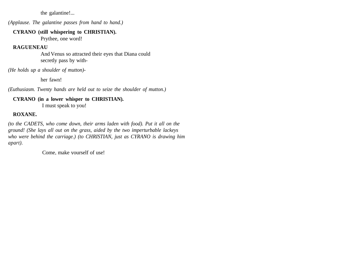the galantine!...

*(Applause. The galantine passes from hand to hand.)*

#### **CYRANO (still whispering to CHRISTIAN).**

Prythee, one word!

# **RAGUENEAU**

And Venus so attracted their eyes that Diana could secretly pass by with-

*(He holds up a shoulder of mutton)-* 

her fawn!

*(Euthusiasm. Twenty hands are held out to seize the shoulder of mutton.)*

### **CYRANO (in a lower whisper to CHRISTIAN).** I must speak to you!

# **ROXANE.**

*(to the CADETS, who come down, their arms laden with food). Put it all on the ground! (She lays all out on the grass, aided by the two imperturbable lackeys who were behind the carriage.) (to CHRISTIAN, just as CYRANO is drawing him apart).*

Come, make yourself of use!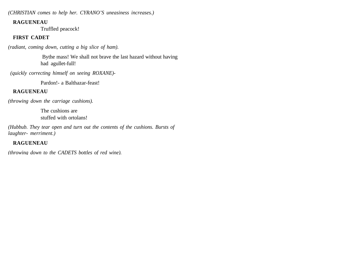*(CHRISTIAN comes to help her. CYRANO'S uneasiness increases.)*

#### **RAGUENEAU**

Truffled peacock!

# **FIRST CADET**

*(radiant, coming down, cutting a big slice of ham).*

 Bythe mass! We shall not brave the last hazard without having had agullet-full!

 *(quickly correcting himself on seeing ROXANE)-*

Pardon!- a Balthazar-feast!

# **RAGUENEAU**

*(throwing down the carriage cushions).* 

The cushions are stuffed with ortolans!

*(Hubbub. They tear open and turn out the contents of the cushions. Bursts of laughter- merriment.)*

# **RAGUENEAU**

*(throwing down to the CADETS bottles of red wine).*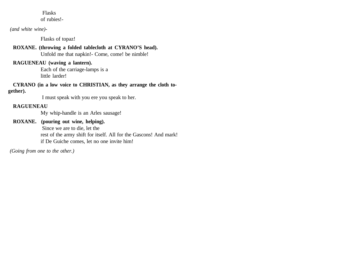# Flasks

of rubies!-

### *(and white wine)-*

Flasks of topaz!

# **ROXANE. (throwing a folded tablecloth at CYRANO'S head).**

Unfold me that napkin!- Come, come! be nimble!

# **RAGUENEAU (waving a lantern).**

Each of the carriage-lamps is a little larder!

#### **CYRANO (in a low voice to CHRISTIAN, as they arrange the cloth together).**

I must speak with you ere you speak to her.

# **RAGUENEAU**

My whip-handle is an Arles sausage!

# **ROXANE. (pouring out wine, helping).**

 Since we are to die, let the rest of the army shift for itself. All for the Gascons! And mark! if De Guiche comes, let no one invite him!

 *(Going from one to the other.)*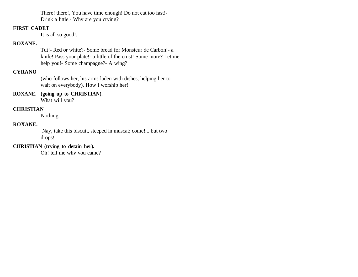There! there!, You have time enough! Do not eat too fast!- Drink a little.- Why are you crying?

### **FIRST CADET**

It is all so good!.

#### **ROXANE.**

Tut!- Red or white?- Some bread for Monsieur de Carbon!- a knife! Pass your plate!- a little of the crust! Some more? Let me help you!- Some champagne?- A wing?

# **CYRANO**

(who follows her, his arms laden with dishes, helping her to wait on everybody). How I worship her!

# **ROXANE. (going up to CHRISTIAN).**

What will you?

# **CHRISTIAN**

Nothing.

### **ROXANE.**

 Nay, take this biscuit, steeped in muscat; come!... but two drops!

# **CHRISTIAN (trying to detain her).**

Oh! tell me why you came?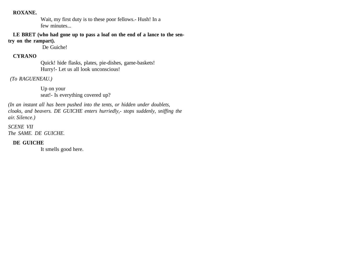Wait, my first duty is to these poor fellows.- Hush! In a few minutes...

**LE BRET (who had gone up to pass a loaf on the end of a lance to the sentry on the rampart).**

De Guiche!

#### **CYRANO**

Quick! hide flasks, plates, pie-dishes, game-baskets! Hurry!- Let us all look unconscious!

 *(To RAGUENEAU.)* 

Up on your seat!- Is everything covered up?

*(In an instant all has been pushed into the tents, or hidden under doublets, cloaks, and beavers. DE GUICHE enters hurriedly,- stops suddenly, sniffing the air. Silence.)*

*SCENE VII The SAME. DE GUICHE.*

### **DE GUICHE**

It smells good here.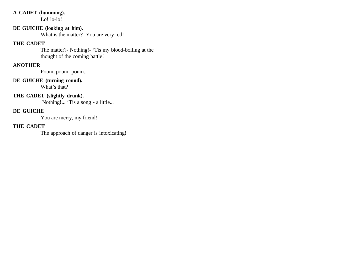### **A CADET (humming).**

Lo! lo-lo!

# **DE GUICHE (looking at him).**

What is the matter?- You are very red!

### **THE CADET**

The matter?- Nothing!- 'Tis my blood-boiling at the thought of the coming battle!

# **ANOTHER**

Poum, poum- poum...

# **DE GUICHE (turning round).**

What's that?

### **THE CADET (slightly drunk).**

Nothing!... 'Tis a song!- a little...

# **DE GUICHE**

You are merry, my friend!

# **THE CADET**

The approach of danger is intoxicating!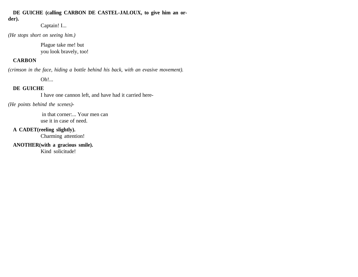### **DE GUICHE (calling CARBON DE CASTEL-JALOUX, to give him an order).**

Captain! I...

*(He stops short on seeing him.)* 

Plague take me! but you look bravely, too!

# **CARBON**

*(crimson in the face, hiding a bottle behind his back, with an evasive movement).* 

Oh!...

# **DE GUICHE**

I have one cannon left, and have had it carried here-

*(He points behind the scenes)-*

 in that corner:... Your men can use it in case of need.

# **A CADET(reeling slightly).**

Charming attention!

**ANOTHER(with a gracious smile).**  Kind solicitude!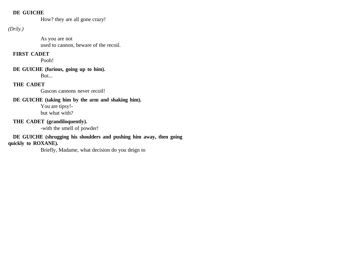### **DE GUICHE**

How? they are all gone crazy!

# *(Drily.)*

As you are not used to cannon, beware of the recoil.

# **FIRST CADET**

Pooh!

# **DE GUICHE (furious, going up to him).**

But...

# **THE CADET**

Gascon cannons never recoil!

# **DE GUICHE (taking him by the arm and shaking him).**

You are tipsy! but what with?

# **THE CADET (grandiloquently).**

-with the smell of powder!

# **DE GUICHE (shrugging his shoulders and pushing him away, then going**

**quickly to ROXANE).** 

Briefly, Madame, what decision do you deign to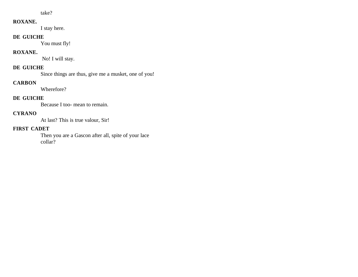take?

### **ROXANE.**

I stay here.

# **DE GUICHE**

You must fly!

# **ROXANE.**

No! I will stay.

# **DE GUICHE**

Since things are thus, give me a musket, one of you!

# **CARBON**

Wherefore?

# **DE GUICHE**

Because I too- mean to remain.

# **CYRANO**

At last? This is true valour, Sir!

# **FIRST CADET**

Then you are a Gascon after all, spite of your lace collar?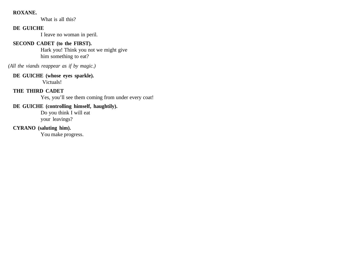What is all this?

### **DE GUICHE**

I leave no woman in peril.

# **SECOND CADET (to the FIRST).**

Hark you! Think you not we might give him something to eat?

*(All the viands reappear as if by magic.)*

# **DE GUICHE (whose eyes sparkle).**

Victuals!

# **THE THIRD CADET**

Yes, you'll see them coming from under every coat!

# **DE GUICHE (controlling himself, haughtily).**

Do you think I will eat your leavings?

# **CYRANO (saluting him).**

You make progress.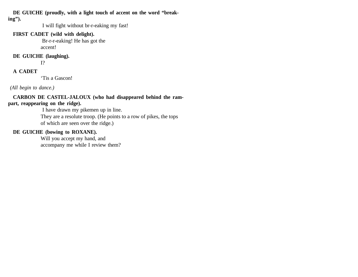**DE GUICHE (proudly, with a light touch of accent on the word "breaking").**

I will fight without br-r-eaking my fast!

# **FIRST CADET (wild with delight).**

 Br-r-r-eaking! He has got the accent!

# **DE GUICHE (laughing).**

I?

# **A CADET**

'Tis a Gascon!

 *(All begin to dance.)*

#### **CARBON DE CASTEL-JALOUX (who had disappeared behind the rampart, reappearing on the ridge).**

I have drawn my pikemen up in line.

They are a resolute troop. (He points to a row of pikes, the tops of which are seen over the ridge.)

# **DE GUICHE (bowing to ROXANE).**

Will you accept my hand, and accompany me while I review them?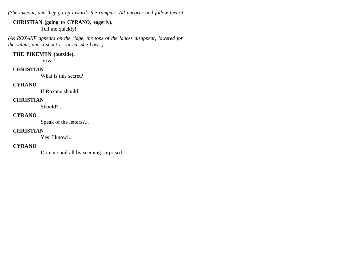*(She takes it, and they go up towards the rampart. All uncover and follow them.)*

# **CHRISTIAN (going to CYRANO, eagerly).**

Tell me quickly!

*(As ROXANE appears on the ridge, the tops of the lances disappear, lowered for the salute, and a shout is raised. She bows.)*

#### **THE PIKEMEN (outside).**

Vivat!

### **CHRISTIAN**

What is this secret?

### **CYRANO**

If Roxane should...

### **CHRISTIAN**

Should?...

### **CYRANO**

Speak of the letters?...

### **CHRISTIAN**

Yes! I know!...

### **CYRANO**

Do not spoil all by seeming surprised...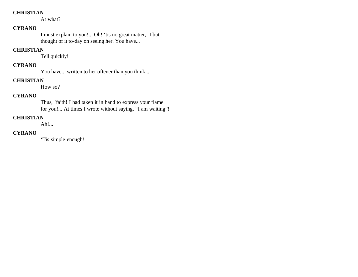### **CHRISTIAN**

At what?

# **CYRANO**

I must explain to you!... Oh! 'tis no great matter,- I but thought of it to-day on seeing her. You have...

### **CHRISTIAN**

Tell quickly!

# **CYRANO**

You have... written to her oftener than you think...

# **CHRISTIAN**

How so?

# **CYRANO**

Thus, 'faith! I had taken it in hand to express your flame for you!... At times I wrote without saying, "I am waiting"!

# **CHRISTIAN**

Ah!...

# **CYRANO**

'Tis simple enough!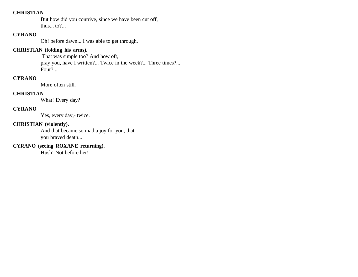#### **CHRISTIAN**

But how did you contrive, since we have been cut off, thus... to?...

### **CYRANO**

Oh! before dawn... I was able to get through.

## **CHRISTIAN (folding his arms).**

 That was simple too? And how oft, pray you, have I written?... Twice in the week?... Three times?... Four?...

### **CYRANO**

More often still.

# **CHRISTIAN**

What! Every day?

### **CYRANO**

Yes, every day,- twice.

### **CHRISTIAN (violently).**

And that became so mad a joy for you, that you braved death...

# **CYRANO (seeing ROXANE returning).**

Hush! Not before her!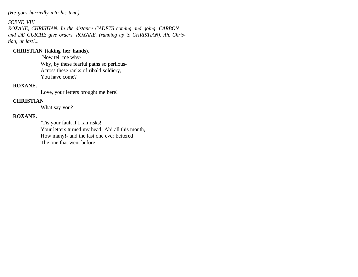*(He goes hurriedly into his tent.)*

*SCENE VIII ROXANE, CHRISTIAN. In the distance CADETS coming and going. CARBON and DE GUICHE give orders. ROXANE. (running up to CHRISTIAN). Ah, Christian, at last!...*

### **CHRISTIAN (taking her hands).**

 Now tell me why-Why, by these fearful paths so perilous-Across these ranks of ribald soldiery, You have come?

### **ROXANE.**

Love, your letters brought me here!

# **CHRISTIAN**

What say you?

### **ROXANE.**

'Tis your fault if I ran risks! Your letters turned my head! Ah! all this month, How many!- and the last one ever bettered The one that went before!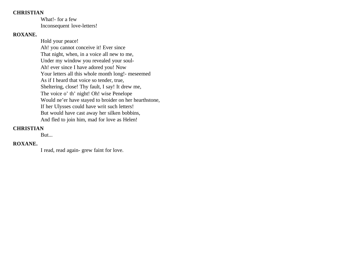#### **CHRISTIAN**

What!- for a few Inconsequent love-letters!

# **ROXANE.**

Hold your peace! Ah! you cannot conceive it! Ever since That night, when, in a voice all new to me, Under my window you revealed your soul-Ah! ever since I have adored you! Now Your letters all this whole month long!- meseemed As if I heard that voice so tender, true, Sheltering, close! Thy fault, I say! It drew me, The voice o' th' night! Oh! wise Penelope Would ne'er have stayed to broider on her hearthstone, If her Ulysses could have writ such letters! But would have cast away her silken bobbins, And fled to join him, mad for love as Helen!

### **CHRISTIAN**

But...

# **ROXANE.**

I read, read again- grew faint for love.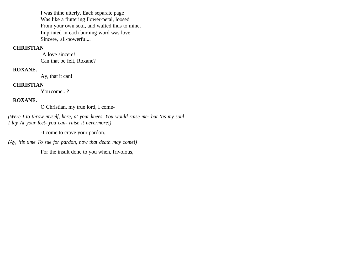I was thine utterly. Each separate page Was like a fluttering flower-petal, loosed From your own soul, and wafted thus to mine. Imprinted in each burning word was love Sincere, all-powerful...

### **CHRISTIAN**

 A love sincere! Can that be felt, Roxane?

### **ROXANE.**

Ay, that it can!

#### **CHRISTIAN**

You come...?

### **ROXANE.**

O Christian, my true lord, I come-

*(Were I to throw myself, here, at your knees, You would raise me- but 'tis my soul I lay At your feet- you can- raise it nevermore!)*

-I come to crave your pardon.

*(Ay, 'tis time To sue for pardon, now that death may come!)*

For the insult done to you when, frivolous,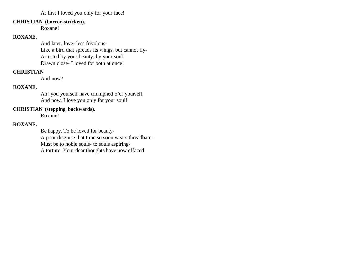At first I loved you only for your face!

#### **CHRISTIAN (horror-stricken).**

Roxane!

### **ROXANE.**

And later, love- less frivolous-Like a bird that spreads its wings, but cannot fly-Arrested by your beauty, by your soul Drawn close- I loved for both at once!

### **CHRISTIAN**

And now?

### **ROXANE.**

Ah! you yourself have triumphed o'er yourself, And now, I love you only for your soul!

### **CHRISTIAN (stepping backwards).**

Roxane!

### **ROXANE.**

Be happy. To be loved for beauty-A poor disguise that time so soon wears threadbare-Must be to noble souls- to souls aspiring-A torture. Your dear thoughts have now effaced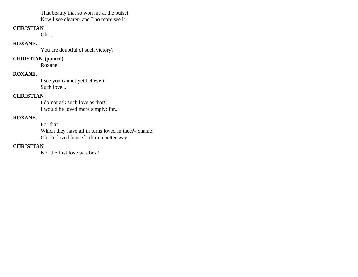That beauty that so won me at the outset.

Now I see clearer- and I no more see it!

### **CHRISTIAN**

Oh!...

### **ROXANE.**

You are doubtful of such victory?

### **CHRISTIAN (pained).**

Roxane!

## **ROXANE.**

I see you cannot yet believe it. Such love...

### **CHRISTIAN**

I do not ask such love as that! I would be loved more simply; for...

# **ROXANE.**

For that Which they have all in turns loved in thee?- Shame! Oh! be loved henceforth in a better way!

# **CHRISTIAN**

No! the first love was best!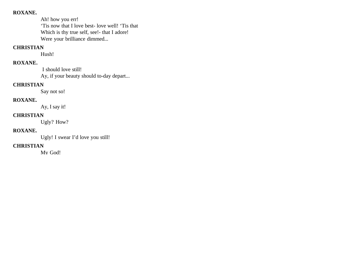Ah! how you err! 'Tis now that I love best- love well! 'Tis that Which is thy true self, see!- that I adore! Were your brilliance dimmed...

### **CHRISTIAN**

Hush!

# **ROXANE.**

 I should love still! Ay, if your beauty should to-day depart...

### **CHRISTIAN**

Say not so!

# **ROXANE.**

Ay, I say it!

### **CHRISTIAN**

Ugly? How?

### **ROXANE.**

Ugly! I swear I'd love you still!

# **CHRISTIAN**

My God!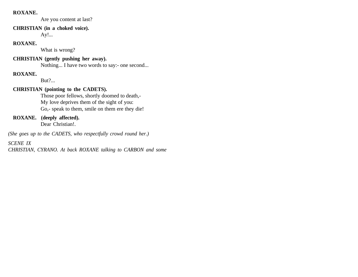Are you content at last?

### **CHRISTIAN (in a choked voice).**

Ay!...

### **ROXANE.**

What is wrong?

# **CHRISTIAN (gently pushing her away).**

Nothing... I have two words to say:- one second...

# **ROXANE.**

But?...

# **CHRISTIAN (pointing to the CADETS).**

Those poor fellows, shortly doomed to death,- My love deprives them of the sight of you: Go,- speak to them, smile on them ere they die!

# **ROXANE. (deeply affected).**

Dear Christian!.

*(She goes up to the CADETS, who respectfully crowd round her.)*

# *SCENE IX*

*CHRISTIAN, CYRANO. At back ROXANE talking to CARBON and some*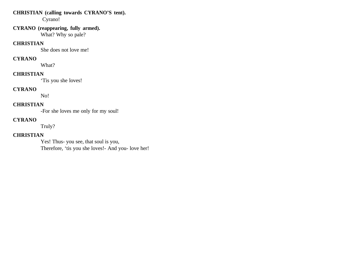# **CHRISTIAN (calling towards CYRANO'S tent).**

Cyrano!

### **CYRANO (reappearing, fully armed).**  What? Why so pale?

#### **CHRISTIAN**

She does not love me!

### **CYRANO**

What?

# **CHRISTIAN**

'Tis you she loves!

# **CYRANO**

No!

# **CHRISTIAN**

-For she loves me only for my soul!

# **CYRANO**

Truly?

# **CHRISTIAN**

Yes! Thus- you see, that soul is you, Therefore, 'tis you she loves!- And you- love her!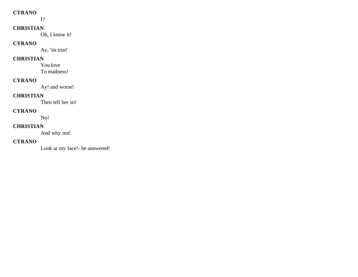#### **CYRANO**

I?

# **CHRISTIAN**

Oh, I know it!

### **CYRANO**

Ay, 'tis true!

### **CHRISTIAN**

You love To madness!

### **CYRANO**

Ay! and worse!

# **CHRISTIAN**

Then tell her so!

### **CYRANO**

No!

### **CHRISTIAN**

And why not!

### **CYRANO**

Look at my face!- be answered!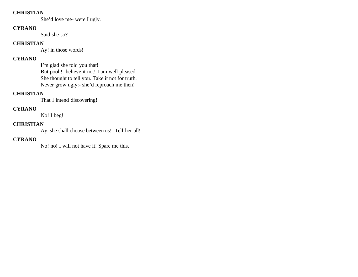### **CHRISTIAN**

She'd love me- were I ugly.

### **CYRANO**

Said she so?

### **CHRISTIAN**

Ay! in those words!

# **CYRANO**

I'm glad she told you that! But pooh!- believe it not! I am well pleased She thought to tell you. Take it not for truth. Never grow ugly:- she'd reproach me then!

# **CHRISTIAN**

That I intend discovering!

# **CYRANO**

No! I beg!

# **CHRISTIAN**

Ay, she shall choose between us!- Tell her all!

# **CYRANO**

No! no! I will not have it! Spare me this.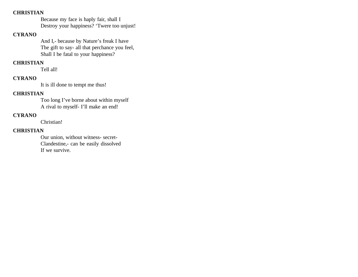#### **CHRISTIAN**

Because my face is haply fair, shall I Destroy your happiness? 'Twere too unjust!

#### **CYRANO**

And I,- because by Nature's freak I have The gift to say- all that perchance you feel, Shall I be fatal to your happiness?

#### **CHRISTIAN**

Tell all!

### **CYRANO**

It is ill done to tempt me thus!

### **CHRISTIAN**

Too long I've borne about within myself A rival to myself- I'll make an end!

#### **CYRANO**

Christian!

#### **CHRISTIAN**

Our union, without witness- secret-Clandestine,- can be easily dissolved If we survive.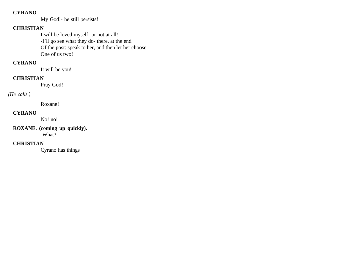### **CYRANO**

My God!- he still persists!

# **CHRISTIAN**

I will be loved myself- or not at all! -I'll go see what they do- there, at the end Of the post: speak to her, and then let her choose One of us two!

# **CYRANO**

It will be you!

### **CHRISTIAN**

Pray God!

### *(He calls.)*

Roxane!

### **CYRANO**

No! no!

### **ROXANE. (coming up quickly).** What?

#### **CHRISTIAN**

Cyrano has things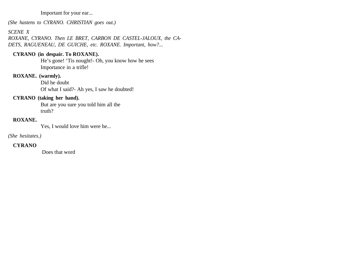#### Important for your ear...

*(She hastens to CYRANO. CHRISTIAN goes out.)*

### *SCENE X*

*ROXANE, CYRANO. Then LE BRET, CARBON DE CASTEL-JALOUX, the CA-DETS, RAGUENEAU, DE GUICHE, etc. ROXANE. Important, how?...*

### **CYRANO (in despair. To ROXANE).**

He's gone! 'Tis nought!- Oh, you know how he sees Importance in a trifle!

# **ROXANE. (warmly).**

Did he doubt Of what I said?- Ah yes, I saw he doubted!

## **CYRANO (taking her hand).**

But are you sure you told him all the truth?

# **ROXANE.**

Yes, I would love him were he...

### *(She hesitates.)*

# **CYRANO**

Does that word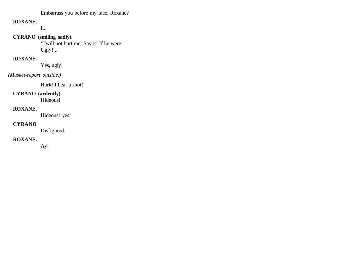Embarrass you before my face, Roxane?

### **ROXANE.**

I...

### **CYRANO (smiling sadly).**

'Twill not hurt me! Say it! If he were Ugly!...

# **ROXANE.**

Yes, ugly!

### *(Musket-report outside.)*

Hark! I hear a shot!

### **CYRANO (ardently).**

Hideous!

#### **ROXANE.**

Hideous! yes!

### **CYRANO**

Disfigured.

### **ROXANE.**

Ay!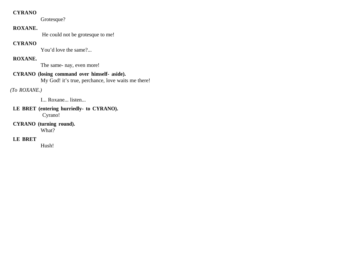#### **CYRANO**

Grotesque?

### **ROXANE.**

He could not be grotesque to me!

### **CYRANO**

You'd love the same?...

# **ROXANE.**

The same- nay, even more!

# **CYRANO (losing command over himself- aside).**

My God! it's true, perchance, love waits me there!

# *(To ROXANE.)*

I... Roxane... listen...

### **LE BRET (entering hurriedly- to CYRANO).** Cyrano!

**CYRANO (turning round).**  What?

# **LE BRET**

Hush!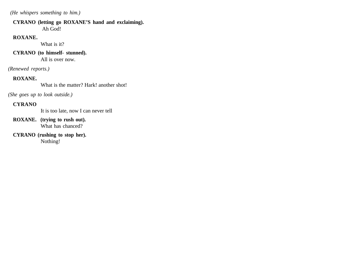*(He whispers something to him.)*

# **CYRANO (letting go ROXANE'S hand and exclaiming).**

Ah God!

# **ROXANE.**

What is it?

# **CYRANO (to himself- stunned).**

All is over now.

*(Renewed reports.)*

# **ROXANE.**

What is the matter? Hark! another shot!

*(She goes up to look outside.)*

# **CYRANO**

It is too late, now I can never tell

- **ROXANE. (trying to rush out).**  What has chanced?
- **CYRANO (rushing to stop her).**  Nothing!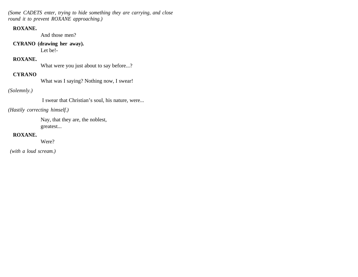*(Some CADETS enter, trying to hide something they are carrying, and close round it to prevent ROXANE approaching.)*

### **ROXANE.**

And those men?

### **CYRANO (drawing her away).**

Let be!-

# **ROXANE.**

What were you just about to say before...?

### **CYRANO**

What was I saying? Nothing now, I swear!

### *(Solemnly.)*

I swear that Christian's soul, his nature, were...

### *(Hastily correcting himself.)*

Nay, that they are, the noblest, greatest...

### **ROXANE.**

Were?

 *(with a loud scream.)*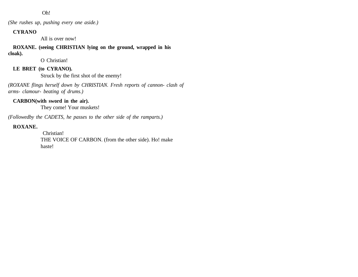#### Oh!

*(She rushes up, pushing every one aside.)*

#### **CYRANO**

All is over now!

**ROXANE. (seeing CHRISTIAN lying on the ground, wrapped in his cloak).** 

O Christian!

# **LE BRET (to CYRANO).**

Struck by the first shot of the enemy!

*(ROXANE flings herself down by CHRISTIAN. Fresh reports of cannon- clash of arms- clamour- beating of drums.)*

### **CARBON(with sword in the air).**

They come! Your muskets!

*(Followedby the CADETS, he passes to the other side of the ramparts.)*

#### **ROXANE.**

 Christian! THE VOICE OF CARBON. (from the other side). Ho! make haste!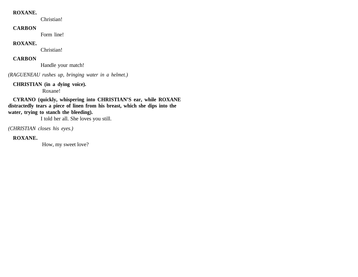#### **ROXANE.**

Christian!

#### **CARBON**

Form line!

#### **ROXANE.**

Christian!

### **CARBON**

Handle your match!

*(RAGUENEAU rushes up, bringing water in a helmet.)*

#### **CHRISTIAN (in a dying voice).**

Roxane!

**CYRANO (quickly, whispering into CHRISTIAN'S ear, while ROXANE distractedly tears a piece of linen from his breast, which she dips into the water, trying to stanch the bleeding).**

I told her all. She loves you still.

*(CHRISTIAN closes his eyes.)*

#### **ROXANE.**

How, my sweet love?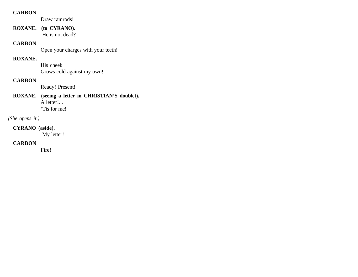#### **CARBON**

Draw ramrods!

**ROXANE. (to CYRANO).** He is not dead?

#### **CARBON**

Open your charges with your teeth!

### **ROXANE.**

His cheek Grows cold against my own!

#### **CARBON**

Ready! Present!

# **ROXANE. (seeing a letter in CHRISTIAN'S doublet).** A letter!...

'Tis for me!

### *(She opens it.)*

### **CYRANO (aside).**

My letter!

### **CARBON**

Fire!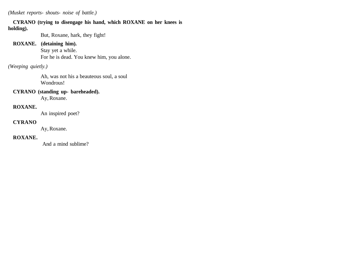*(Musket reports- shouts- noise of battle.)*

# **CYRANO (trying to disengage his hand, which ROXANE on her knees is**

### **holding).**

But, Roxane, hark, they fight!

### **ROXANE. (detaining him).**

Stay yet a while. For he is dead. You knew him, you alone.

# *(Weeping quietly.)*

Ah, was not his a beauteous soul, a soul Wondrous!

### **CYRANO (standing up- bareheaded).**

Ay, Roxane.

# **ROXANE.**

An inspired poet?

### **CYRANO**

Ay, Roxane.

### **ROXANE.**

And a mind sublime?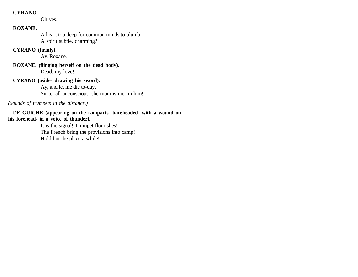#### **CYRANO**

Oh yes.

# **ROXANE.**

A heart too deep for common minds to plumb, A spirit subtle, charming?

### **CYRANO (firmly).**

Ay, Roxane.

**ROXANE. (flinging herself on the dead body).**  Dead, my love!

# **CYRANO (aside- drawing his sword).**

Ay, and let me die to-day, Since, all unconscious, she mourns me- in him!

### *(Sounds of trumpets in the distance.)*

**DE GUICHE (appearing on the ramparts- bareheaded- with a wound on his forehead- in a voice of thunder).**

It is the signal! Trumpet flourishes! The French bring the provisions into camp! Hold but the place a while!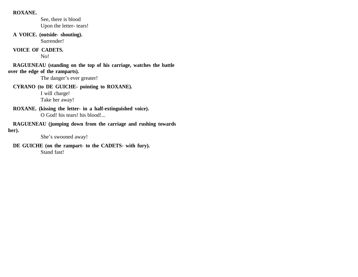#### **ROXANE.**

See, there is blood Upon the letter- tears!

**A VOICE. (outside- shouting).**  Surrender!

#### **VOICE OF CADETS.**

No!

**RAGUENEAU (standing on the top of his carriage, watches the battle over the edge of the ramparts).** 

The danger's ever greater!

**CYRANO (to DE GUICHE- pointing to ROXANE).** 

I will charge! Take her away!

**ROXANE. (kissing the letter- in a half-extinguished voice).** O God! his tears! his blood!...

**RAGUENEAU (jumping down from the carriage and rushing towards her).**

She's swooned away!

**DE GUICHE (on the rampart- to the CADETS- with fury).** Stand fast!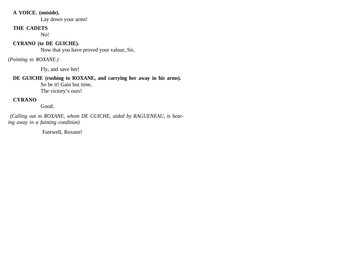#### **A VOICE. (outside).**

Lay down your arms!

#### **THE CADETS**

No!

### **CYRANO (to DE GUICHE).**

Now that you have proved your valour, Sir,

*(Pointing to ROXANE.)* 

Fly, and save her!

# **DE GUICHE (rushing to ROXANE, and carrying her away in his arms).**

So be it! Gain but time,

The victory's ours!

# **CYRANO**

Good.

 *(Calling out to ROXANE, whom DE GUICHE, aided by RAGUENEAU, is bearing away in a fainting condition)*

Farewell, Roxane!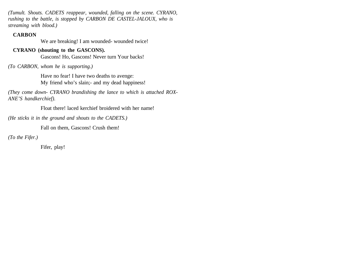*(Tumult. Shouts. CADETS reappear, wounded, falling on the scene. CYRANO, rushing to the battle, is stopped by CARBON DE CASTEL-JALOUX, who is streaming with blood.)*

### **CARBON**

We are breaking! I am wounded- wounded twice!

# **CYRANO (shouting to the GASCONS).**

Gascons! Ho, Gascons! Never turn Your backs!

# *(To CARBON, whom he is supporting.)*

Have no fear! I have two deaths to avenge: My friend who's slain;- and my dead happiness!

*(They come down- CYRANO brandishing the lance to which is attached ROX-ANE'S handkerchief).*

Float there! laced kerchief broidered with her name!

*(He sticks it in the ground and shouts to the CADETS.)*

Fall on them, Gascons! Crush them!

*(To the Fifer.)* 

Fifer, play!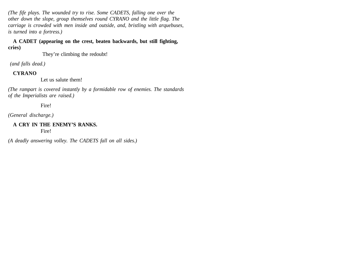*(The fife plays. The wounded try to rise. Some CADETS, falling one over the other down the slope, group themselves round CYRANO and the little flag. The carriage is crowded with men inside and outside, and, bristling with arquebuses, is turned into a fortress.)*

**A CADET (appearing on the crest, beaten backwards, but still fighting, cries)**

They're climbing the redoubt!

 *(and falls dead.)*

# **CYRANO**

Let us salute them!

*(The rampart is covered instantly by a formidable row of enemies. The standards of the Imperialists are raised.)*

Fire!

*(General discharge.)*

### **A CRY IN THE ENEMY'S RANKS.**  Fire!

*(A deadly answering volley. The CADETS fall on all sides.)*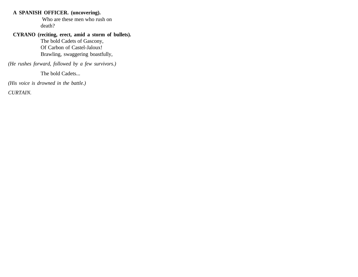#### **A SPANISH OFFICER. (uncovering).**

 Who are these men who rush on death?

#### **CYRANO (reciting, erect, amid a storm of bullets).**

The bold Cadets of Gascony, Of Carbon of Castel-Jaloux! Brawling, swaggering boastfully,

*(He rushes forward, followed by a few survivors.)*

The bold Cadets...

*(His voice is drowned in the battle.)*

*CURTAIN.*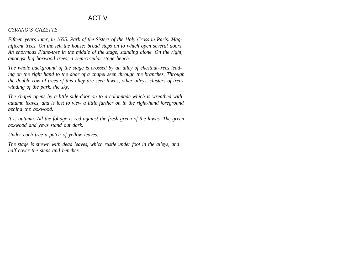# ACT V

#### *CYRANO'S GAZETTE.*

*Fifteen years later, in 1655. Park of the Sisters of the Holy Cross in Paris. Magnificent trees. On the left the house: broad steps on to which open several doors. An enormous Plane-tree in the middle of the stage, standing alone. On the right, amongst big boxwood trees, a semicircular stone bench.*

*The whole background of the stage is crossed by an alley of chestnut-trees leading on the right hand to the door of a chapel seen through the branches. Through the double row of trees of this alley are seen lawns, other alleys, clusters of trees, winding of the park, the sky.*

*The chapel opens by a little side-door on to a colonnade which is wreathed with autumn leaves, and is lost to view a little further on in the right-hand foreground behind the boxwood.*

*It is autumn. All the foliage is red against the fresh green of the lawns. The green boxwood and yews stand out dark.*

*Under each tree a patch of yellow leaves.*

*The stage is strewn with dead leaves, which rustle under foot in the alleys, and half cover the steps and benches.*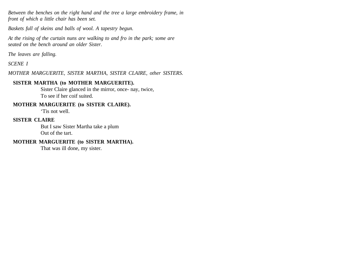*Between the benches on the right hand and the tree a large embroidery frame, in front of which a little chair has been set.*

*Baskets full of skeins and balls of wool. A tapestry begun.*

*At the rising of the curtain nuns are walking to and fro in the park; some are seated on the bench around an older Sister.*

*The leaves are falling.*

*SCENE I*

*MOTHER MARGUERITE, SISTER MARTHA, SISTER CLAIRE, other SISTERS.*

### **SISTER MARTHA (to MOTHER MARGUERITE).**

Sister Claire glanced in the mirror, once- nay, twice, To see if her coif suited.

#### **MOTHER MARGUERITE (to SISTER CLAIRE).**

'Tis not well.

#### **SISTER CLAIRE**

But I saw Sister Martha take a plum Out of the tart.

#### **MOTHER MARGUERITE (to SISTER MARTHA).**

That was ill done, my sister.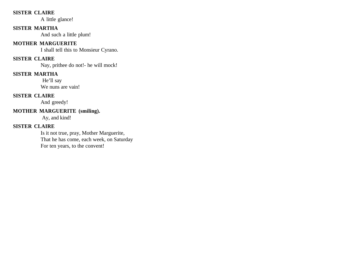### **SISTER CLAIRE**

A little glance!

### **SISTER MARTHA**

And such a little plum!

### **MOTHER MARGUERITE**

I shall tell this to Monsieur Cyrano.

# **SISTER CLAIRE**

Nay, prithee do not!- he will mock!

### **SISTER MARTHA**

 He'll say We nuns are vain!

### **SISTER CLAIRE**

And greedy!

# **MOTHER MARGUERITE (smiling).**

Ay, and kind!

# **SISTER CLAIRE**

Is it not true, pray, Mother Marguerite, That he has come, each week, on Saturday For ten years, to the convent!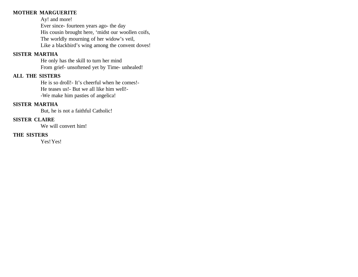### **MOTHER MARGUERITE**

Ay! and more! Ever since- fourteen years ago- the day His cousin brought here, 'midst our woollen coifs, The worldly mourning of her widow's veil, Like a blackbird's wing among the convent doves!

### **SISTER MARTHA**

He only has the skill to turn her mind From grief- unsoftened yet by Time- unhealed!

### **ALL THE SISTERS**

He is so droll!- It's cheerful when he comes!- He teases us!- But we all like him well!- -We make him pasties of angelica!

### **SISTER MARTHA**

But, he is not a faithful Catholic!

#### **SISTER CLAIRE**

We will convert him!

### **THE SISTERS**

Yes! Yes!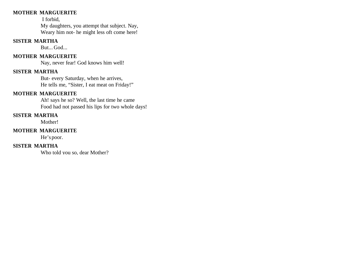### **MOTHER MARGUERITE**

I forbid,

My daughters, you attempt that subject. Nay, Weary him not- he might less oft come here!

### **SISTER MARTHA**

But... God...

### **MOTHER MARGUERITE**

Nay, never fear! God knows him well!

# **SISTER MARTHA**

But- every Saturday, when he arrives, He tells me, "Sister, I eat meat on Friday!"

# **MOTHER MARGUERITE**

Ah! says he so? Well, the last time he came Food had not passed his lips for two whole days!

### **SISTER MARTHA**

Mother!

### **MOTHER MARGUERITE**

He's poor.

# **SISTER MARTHA**

Who told you so, dear Mother?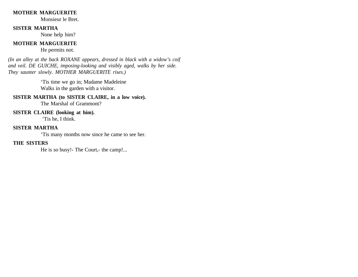#### **MOTHER MARGUERITE**

Monsieur le Bret.

#### **SISTER MARTHA**

None help him?

### **MOTHER MARGUERITE**

He permits not.

*(In an alley at the back ROXANE appears, dressed in black with a widow's coif and veil. DE GUICHE, imposing-looking and visibly aged, walks by her side. They saunter slowly. MOTHER MARGUERITE rises.)*

> 'Tis time we go in; Madame Madeleine Walks in the garden with a visitor.

### **SISTER MARTHA (to SISTER CLAIRE, in a low voice).**

The Marshal of Grammont?

#### **SISTER CLAIRE (looking at him).**

'Tis he, I think.

### **SISTER MARTHA**

'Tis many months now since he came to see her.

#### **THE SISTERS**

He is so busy!- The Court,- the camp!...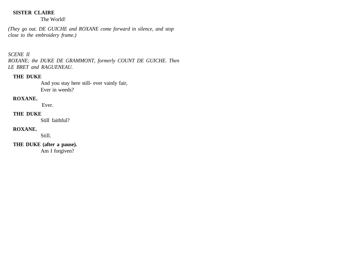### **SISTER CLAIRE**

The World!

*(They go out. DE GUICHE and ROXANE come forward in silence, and stop close to the embroidery frame.)*

### *SCENE II*

*ROXANE; the DUKE DE GRAMMONT, formerly COUNT DE GUICHE. Then LE BRET and RAGUENEAU.*

# **THE DUKE**

And you stay here still- ever vainly fair, Ever in weeds?

### **ROXANE.**

Ever.

### **THE DUKE**

Still faithful?

#### **ROXANE.**

Still.

**THE DUKE (after a pause).** 

Am I forgiven?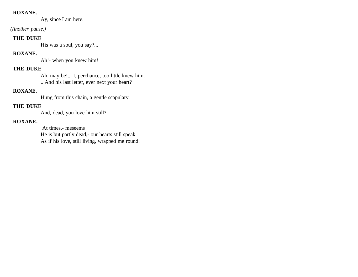#### **ROXANE.**

Ay, since I am here.

 *(Another pause.)*

### **THE DUKE**

His was a soul, you say?...

# **ROXANE.**

Ah!- when you knew him!

# **THE DUKE**

Ah, may be!... I, perchance, too little knew him. ...And his last letter, ever next your heart?

# **ROXANE.**

Hung from this chain, a gentle scapulary.

# **THE DUKE**

And, dead, you love him still?

# **ROXANE.**

 At times,- meseems He is but partly dead,- our hearts still speak As if his love, still living, wrapped me round!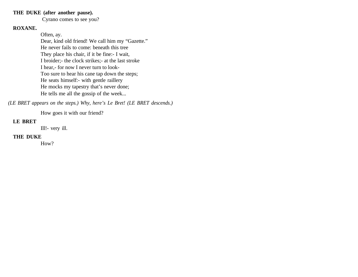#### **THE DUKE (after another pause).**

Cyrano comes to see you?

### **ROXANE.**

Often, ay.

Dear, kind old friend! We call him my "Gazette." He never fails to come: beneath this tree They place his chair, if it be fine:- I wait, I broider;- the clock strikes;- at the last stroke I hear,- for now I never turn to look-Too sure to hear his cane tap down the steps; He seats himself:- with gentle raillery He mocks my tapestry that's never done; He tells me all the gossip of the week...

*(LE BRET appears on the steps.) Why, here's Le Bret! (LE BRET descends.)*

How goes it with our friend?

### **LE BRET**

Ill!- very ill.

#### **THE DUKE**

How?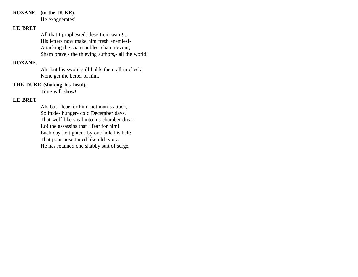#### **ROXANE. (to the DUKE).**

He exaggerates!

### **LE BRET**

All that I prophesied: desertion, want!... His letters now make him fresh enemies!- Attacking the sham nobles, sham devout, Sham brave,- the thieving authors,- all the world!

### **ROXANE.**

Ah! but his sword still holds them all in check; None get the better of him.

#### **THE DUKE (shaking his head).**

Time will show!

## **LE BRET**

Ah, but I fear for him- not man's attack,- Solitude- hunger- cold December days, That wolf-like steal into his chamber drear:- Lo! the assassins that I fear for him! Each day he tightens by one hole his belt: That poor nose tinted like old ivory: He has retained one shabby suit of serge.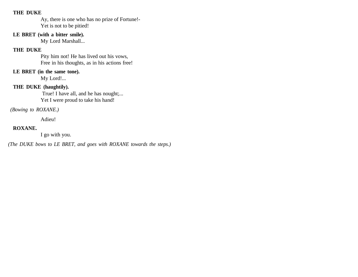#### **THE DUKE**

Ay, there is one who has no prize of Fortune!- Yet is not to be pitied!

### **LE BRET (with a bitter smile).**

My Lord Marshall...

### **THE DUKE**

Pity him not! He has lived out his vows, Free in his thoughts, as in his actions free!

# **LE BRET (in the same tone).**

My Lord!...

### **THE DUKE (haughtily).**

 True! I have all, and he has nought;... Yet I were proud to take his hand!

 *(Bowing to ROXANE.)*

Adieu!

### **ROXANE.**

I go with you.

*(The DUKE bows to LE BRET, and goes with ROXANE towards the steps.)*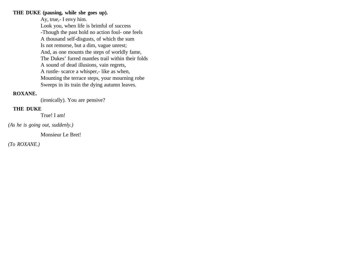#### **THE DUKE (pausing, while she goes up).**

Ay, true,- I envy him. Look you, when life is brimful of success -Though the past hold no action foul- one feels A thousand self-disgusts, of which the sum Is not remorse, but a dim, vague unrest; And, as one mounts the steps of worldly fame, The Dukes' furred mantles trail within their folds A sound of dead illusions, vain regrets, A rustle- scarce a whisper,- like as when, Mounting the terrace steps, your mourning robe Sweeps in its train the dying autumn leaves.

#### **ROXANE.**

(ironically). You are pensive?

#### **THE DUKE**

True! I am!

*(As he is going out, suddenly.)* 

Monsieur Le Bret!

*(To ROXANE.)*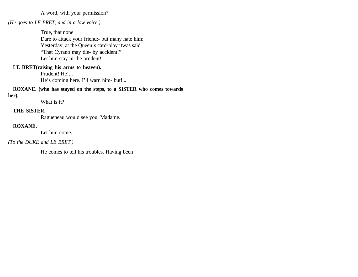A word, with your permission?

#### *(He goes to LE BRET, and in a low voice.)*

True, that none Dare to attack your friend;- but many hate him; Yesterday, at the Queen's card-play 'twas said "That Cyrano may die- by accident!" Let him stay in- be prudent!

#### **LE BRET(raising his arms to heaven).**

Prudent! He!... He's coming here. I'll warn him- but!...

#### **ROXANE. (who has stayed on the steps, to a SISTER who comes towards her).**

What is it?

#### **THE SISTER.**

Ragueneau would see you, Madame.

#### **ROXANE.**

Let him come.

#### *(To the DUKE and LE BRET.)*

He comes to tell his troubles. Having been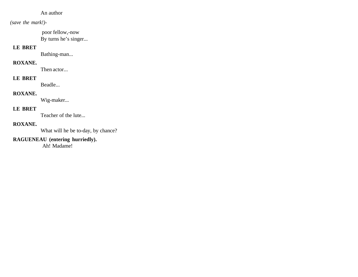### An author

### *(save the mark!)-*

 poor fellow,-now By turns he's singer...

# **LE BRET**

Bathing-man...

### **ROXANE.**

Then actor...

## **LE BRET**

Beadle...

### **ROXANE.**

Wig-maker...

#### **LE BRET**

Teacher of the lute...

### **ROXANE.**

What will he be to-day, by chance?

# **RAGUENEAU (entering hurriedly).**

Ah! Madame!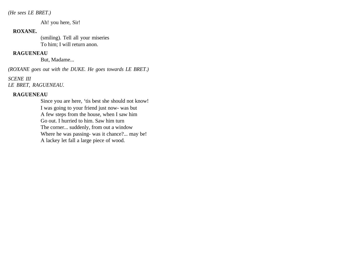*(He sees LE BRET.)* 

Ah! you here, Sir!

#### **ROXANE.**

(smiling). Tell all your miseries To him; I will return anon.

### **RAGUENEAU**

But, Madame...

*(ROXANE goes out with the DUKE. He goes towards LE BRET.)*

*SCENE III LE BRET, RAGUENEAU.*

### **RAGUENEAU**

Since you are here, 'tis best she should not know! I was going to your friend just now- was but A few steps from the house, when I saw him Go out. I hurried to him. Saw him turn The corner... suddenly, from out a window Where he was passing- was it chance?... may be! A lackey let fall a large piece of wood.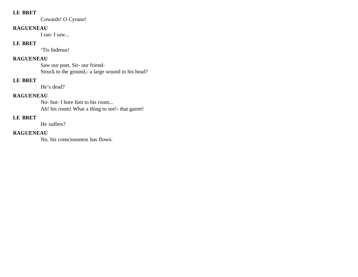#### **LE BRET**

Cowards! O Cyrano!

### **RAGUENEAU**

I ran- I saw...

### **LE BRET**

'Tis hideous!

# **RAGUENEAU**

Saw our poet, Sir- our friend-Struck to the ground,- a large wound in his head?

### **LE BRET**

He's dead?

### **RAGUENEAU**

No- but- I bore him to his room... Ah! his room! What a thing to see!- that garret!

# **LE BRET**

He suffers?

### **RAGUENEAU**

No, his consciousness has flown.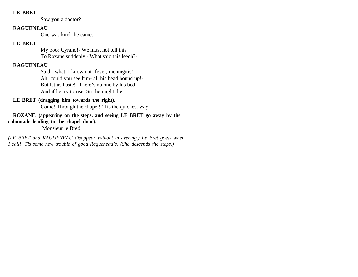#### **LE BRET**

Saw you a doctor?

#### **RAGUENEAU**

One was kind- he came.

### **LE BRET**

My poor Cyrano!- We must not tell this To Roxane suddenly.- What said this leech?-

# **RAGUENEAU**

Said,- what, I know not- fever, meningitis!- Ah! could you see him- all his head bound up!- But let us haste!- There's no one by his bed!- And if he try to rise, Sir, he might die!

# **LE BRET (dragging him towards the right).**

Come! Through the chapel! 'Tis the quickest way.

### **ROXANE. (appearing on the steps, and seeing LE BRET go away by the colonnade leading to the chapel door).**

Monsieur le Bret!

*(LE BRET and RAGUENEAU disappear without answering.) Le Bret goes- when I call! 'Tis some new trouble of good Ragueneau's. (She descends the steps.)*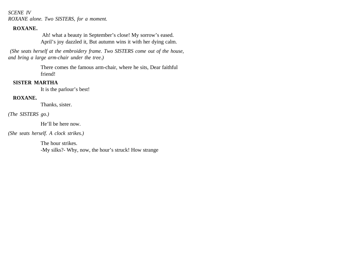*SCENE IV ROXANE alone. Two SISTERS, for a moment.* 

#### **ROXANE.**

 Ah! what a beauty in September's close! My sorrow's eased. April's joy dazzled it, But autumn wins it with her dying calm.

 *(She seats herself at the embroidery frame. Two SISTERS come out of the house, and bring a large arm-chair under the tree.)* 

> There comes the famous arm-chair, where he sits, Dear faithful friend!

### **SISTER MARTHA**

It is the parlour's best!

### **ROXANE.**

Thanks, sister.

*(The SISTERS go.)*

He'll be here now.

*(She seats herself. A clock strikes.)*

The hour strikes. -My silks?- Why, now, the hour's struck! How strange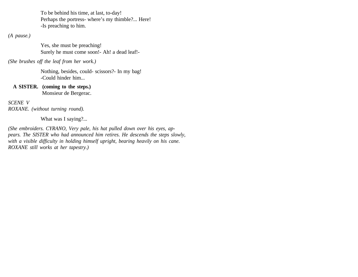To be behind his time, at last, to-day! Perhaps the portress- where's my thimble?... Here! -Is preaching to him.

*(A pause.)*

Yes, she must be preaching! Surely he must come soon!- Ah! a dead leaf!-

*(She brushes off the leaf from her work.)*

Nothing, besides, could- scissors?- In my bag! -Could hinder him...

**A SISTER. (coming to the steps.)** Monsieur de Bergerac.

*SCENE V ROXANE. (without turning round).*

What was I saying?...

*(She embroiders. CYRANO, Very pale, his hat pulled down over his eyes, appears. The SISTER who had announced him retires. He descends the steps slowly, with a visible difficulty in holding himself upright, bearing heavily on his cane. ROXANE still works at her tapestry.)*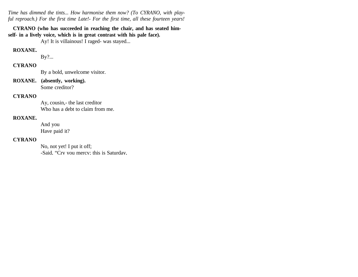*Time has dimmed the tints... How harmonise them now? (To CYRANO, with playful reproach.) For the first time Late!- For the first time, all these fourteen years!*

**CYRANO (who has succeeded in reaching the chair, and has seated himself- in a lively voice, which is in great contrast with his pale face).**

Ay! It is villainous! I raged- was stayed...

#### **ROXANE.**

By?...

#### **CYRANO**

By a bold, unwelcome visitor.

**ROXANE. (absently, working).**  Some creditor?

#### **CYRANO**

Ay, cousin,- the last creditor Who has a debt to claim from me.

#### **ROXANE.**

And you Have paid it?

### **CYRANO**

No, not yet! I put it off; -Said, "Cry you mercy; this is Saturday,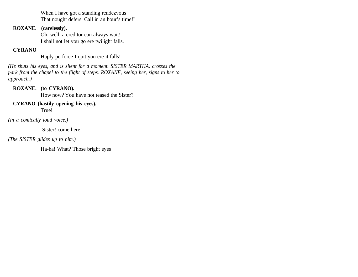When I have got a standing rendezvous That nought defers. Call in an hour's time!"

### **ROXANE. (carelessly).**

Oh, well, a creditor can always wait! I shall not let you go ere twilight falls.

### **CYRANO**

Haply perforce I quit you ere it falls!

*(He shuts his eyes, and is silent for a moment. SISTER MARTHA. crosses the park from the chapel to the flight of steps. ROXANE, seeing her, signs to her to approach.)*

# **ROXANE. (to CYRANO).**

How now? You have not teased the Sister?

#### **CYRANO (hastily opening his eyes).**  True!

*(In a comically loud voice.)*

Sister! come here!

*(The SISTER glides up to him.)*

Ha-ha! What? Those bright eyes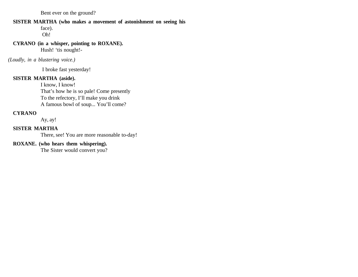Bent ever on the ground?

#### **SISTER MARTHA (who makes a movement of astonishment on seeing his**

face).

Oh!

### **CYRANO (in a whisper, pointing to ROXANE).**

Hush! 'tis nought!-

*(Loudly, in a blustering voice.)*

I broke fast yesterday!

#### **SISTER MARTHA (aside).**

I know, I know! That's how he is so pale! Come presently To the refectory, I'll make you drink A famous bowl of soup... You'll come?

## **CYRANO**

Ay, ay!

### **SISTER MARTHA**

There, see! You are more reasonable to-day!

# **ROXANE. (who hears them whispering).**

The Sister would convert you?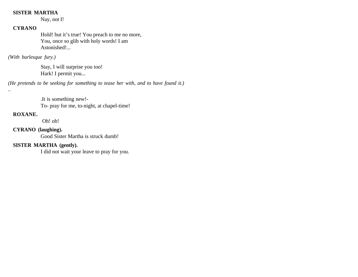# **SISTER MARTHA**

Nay, not I!

# **CYRANO**

Hold! but it's true! You preach to me no more, You, once so glib with holy words! I am Astonished!...

*(With burlesque fury.)*

Stay, I will surprise you too! Hark! I permit you...

*(He pretends to be seeking for something to tease her with, and to have found it.)*

.It is something new!- To- pray for me, to-night, at chapel-time!

### **ROXANE.**

*..*

Oh! oh!

## **CYRANO (laughing).**

Good Sister Martha is struck dumb!

# **SISTER MARTHA (gently).**

I did not wait your leave to pray for you.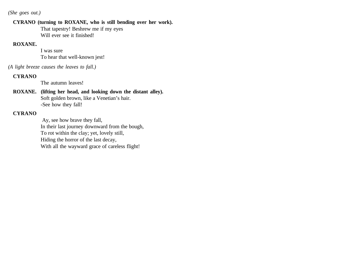*(She goes out.)*

#### **CYRANO (turning to ROXANE, who is still bending over her work).**

That tapestry! Beshrew me if my eyes Will ever see it finished!

## **ROXANE.**

I was sure To hear that well-known jest!

*(A light breeze causes the leaves to fall.)*

### **CYRANO**

The autumn leaves!

#### **ROXANE. (lifting her head, and looking down the distant alley).** Soft golden brown, like a Venetian's hair. -See how they fall!

### **CYRANO**

 Ay, see how brave they fall, In their last journey downward from the bough, To rot within the clay; yet, lovely still, Hiding the horror of the last decay, With all the wayward grace of careless flight!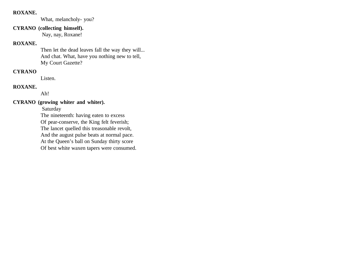#### **ROXANE.**

What, melancholy- you?

### **CYRANO (collecting himself).**

Nay, nay, Roxane!

### **ROXANE.**

Then let the dead leaves fall the way they will... And chat. What, have you nothing new to tell, My Court Gazette?

### **CYRANO**

Listen.

### **ROXANE.**

Ah!

### **CYRANO (growing whiter and whiter).**

Saturday

The nineteenth: having eaten to excess Of pear-conserve, the King felt feverish; The lancet quelled this treasonable revolt, And the august pulse beats at normal pace. At the Queen's ball on Sunday thirty score Of best white waxen tapers were consumed.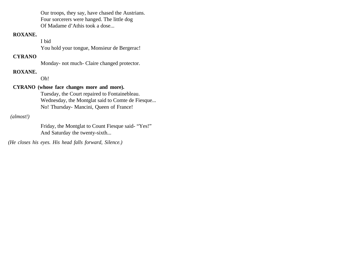Our troops, they say, have chased the Austrians. Four sorcerers were hanged. The little dog Of Madame d'Athis took a dose...

# **ROXANE.**

I bid

You hold your tongue, Monsieur de Bergerac!

#### **CYRANO**

Monday- not much- Claire changed protector.

#### **ROXANE.**

Oh!

### **CYRANO (whose face changes more and more).**

Tuesday, the Court repaired to Fontainebleau. Wednesday, the Montglat said to Comte de Fiesque... No! Thursday- Mancini, Queen of France!

 *(almost!)*

Friday, the Montglat to Count Fiesque said- "Yes!" And Saturday the twenty-sixth...

*(He closes his eyes. His head falls forward, Silence.)*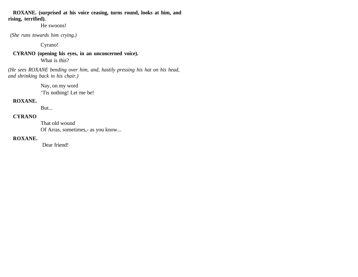**ROXANE. (surprised at his voice ceasing, turns round, looks at him, and rising, terrified).** 

He swoons!

 *(She runs towards him crying.)*

Cyrano!

**CYRANO (opening his eyes, in an unconcerned voice).**  What is this?

*(He sees ROXANE bending over him, and, hastily pressing his hat on his head, and shrinking back in his chair.)* 

> Nay, on my word 'Tis nothing! Let me be!

## **ROXANE.**

But...

### **CYRANO**

That old wound Of Arras, sometimes,- as you know...

#### **ROXANE.**

Dear friend!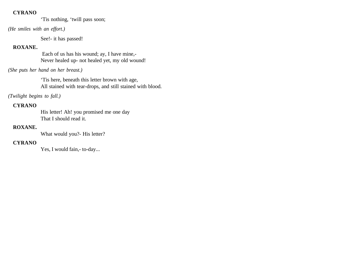'Tis nothing, 'twill pass soon;

*(He smiles with an effort.)*

See!- it has passed!

# **ROXANE.**

 Each of us has his wound; ay, I have mine,- Never healed up- not healed yet, my old wound!

#### *(She puts her hand on her breast.)*

'Tis here, beneath this letter brown with age, All stained with tear-drops, and still stained with blood.

*(Twilight begins to fall.)*

## **CYRANO**

His letter! Ah! you promised me one day That I should read it.

### **ROXANE.**

What would you?- His letter?

# **CYRANO**

Yes, I would fain,- to-day...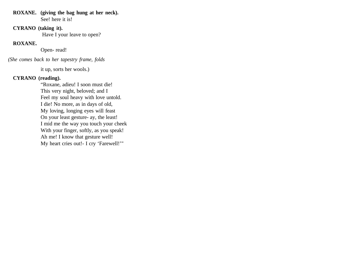#### **ROXANE. (giving the bag hung at her neck).** See! here it is!

### **CYRANO (taking it).**

Have I your leave to open?

### **ROXANE.**

Open- read!

*(She comes back to her tapestry frame, folds*

it up, sorts her wools.)

#### **CYRANO (reading).**

"Roxane, adieu! I soon must die! This very night, beloved; and I Feel my soul heavy with love untold. I die! No more, as in days of old, My loving, longing eyes will feast On your least gesture- ay, the least! I mid me the way you touch your cheek With your finger, softly, as you speak! Ah me! I know that gesture well! My heart cries out!- I cry 'Farewell!'"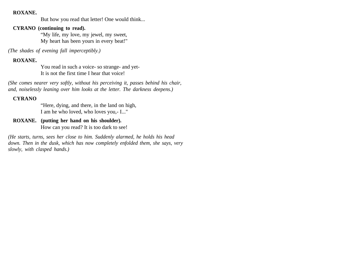#### **ROXANE.**

But how you read that letter! One would think...

#### **CYRANO (continuing to read).**

"My life, my love, my jewel, my sweet, My heart has been yours in every beat!"

*(The shades of evening fall imperceptibly.)*

#### **ROXANE.**

You read in such a voice- so strange- and yet-It is not the first time I hear that voice!

*(She comes nearer very softly, without his perceiving it, passes behind his chair, and, noiselessly leaning over him looks at the letter. The darkness deepens.)*

#### **CYRANO**

"Here, dying, and there, in the land on high, I am he who loved, who loves you,- I..."

**ROXANE. (putting her hand on his shoulder).** How can you read? It is too dark to see!

*(He starts, turns, sees her close to him. Suddenly alarmed, he holds his head down. Then in the dusk, which has now completely enfolded them, she says, very slowly, with clasped hands.)*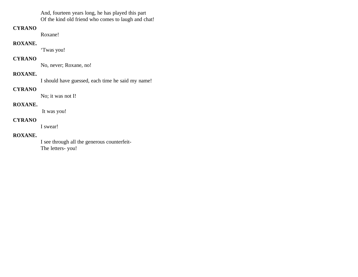And, fourteen years long, he has played this part Of the kind old friend who comes to laugh and chat!

#### **CYRANO**

Roxane!

#### **ROXANE.**

'Twas you!

### **CYRANO**

No, never; Roxane, no!

#### **ROXANE.**

I should have guessed, each time he said my name!

### **CYRANO**

No; it was not I!

# **ROXANE.**

It was you!

# **CYRANO**

I swear!

## **ROXANE.**

I see through all the generous counterfeit-The letters- you!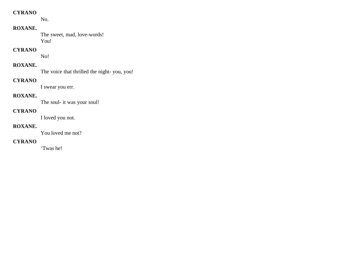No.

# **ROXANE.**

The sweet, mad, love-words! You!

#### **CYRANO**

No!

# **ROXANE.**

The voice that thrilled the night- you, you!

# **CYRANO**

I swear you err.

## **ROXANE.**

The soul- it was your soul!

### **CYRANO**

I loved you not.

### **ROXANE.**

You loved me not?

### **CYRANO**

'Twas he!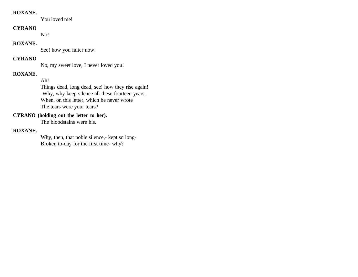#### **ROXANE.**

You loved me!

### **CYRANO**

No!

#### **ROXANE.**

See! how you falter now!

### **CYRANO**

No, my sweet love, I never loved you!

### **ROXANE.**

Ah!

Things dead, long dead, see! how they rise again! -Why, why keep silence all these fourteen years, When, on this letter, which he never wrote The tears were your tears?

## **CYRANO (holding out the letter to her).**

The bloodstains were his.

#### **ROXANE.**

Why, then, that noble silence,- kept so long-Broken to-day for the first time- why?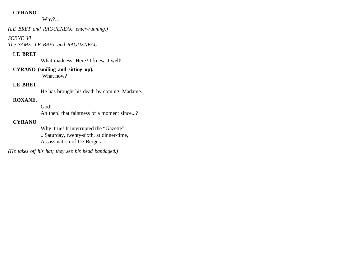Why?...

*(LE BRET and RAGUENEAU enter-running.)*

*SCENE VI*

*The SAME. LE BRET and RAGUENEAU.*

## **LE BRET**

What madness! Here? I knew it well!

**CYRANO (smiling and sitting up).** What now?

### **LE BRET**

He has brought his death by coming, Madame.

## **ROXANE.**

God! Ah then! that faintness of a moment since...?

### **CYRANO**

Why, true! It interrupted the "Gazette": ...Saturday, twenty-sixth, at dinner-time, Assassination of De Bergerac.

*(He takes off his hat; they see his head bandaged.)*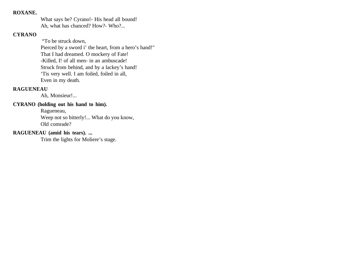#### **ROXANE.**

What says he? Cyrano!- His head all bound! Ah, what has chanced? How?- Who?...

### **CYRANO**

 "To be struck down, Pierced by a sword i' the heart, from a hero's hand!" That I had dreamed. O mockery of Fate! -Killed, I! of all men- in an ambuscade! Struck from behind, and by a lackey's hand! 'Tis very well. I am foiled, foiled in all, Even in my death.

#### **RAGUENEAU**

Ah, Monsieur!...

### **CYRANO (holding out his hand to him).**

Ragueneau, Weep not so bitterly!... What do you know, Old comrade?

### **RAGUENEAU (amid his tears). ...**

Trim the lights for Moliere's stage.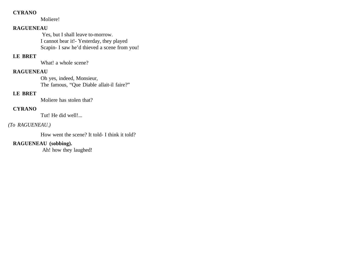Moliere!

### **RAGUENEAU**

 Yes, but I shall leave to-morrow. I cannot bear it!- Yesterday, they played Scapin- I saw he'd thieved a scene from you!

### **LE BRET**

What! a whole scene?

#### **RAGUENEAU**

Oh yes, indeed, Monsieur, The famous, "Que Diable allait-il faire?"

### **LE BRET**

Moliere has stolen that?

#### **CYRANO**

Tut! He did well!...

## *(To RAGUENEAU.)*

How went the scene? It told- I think it told?

## **RAGUENEAU (sobbing).**

Ah! how they laughed!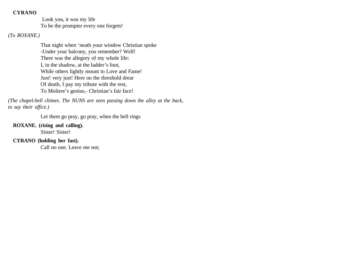Look you, it was my life To be the prompter every one forgets!

### *(To ROXANE.)*

That night when 'neath your window Christian spoke -Under your balcony, you remember? Well! There was the allegory of my whole life: I, in the shadow, at the ladder's foot, While others lightly mount to Love and Fame! Just! very just! Here on the threshold drear Of death, I pay my tribute with the rest, To Moliere's genius,- Christian's fair face!

*(The chapel-bell chimes. The NUNS are seen passing down the alley at the back, to say their office.)*

Let them go pray, go pray, when the bell rings

#### **ROXANE. (rising and calling).**

Sister! Sister!

### **CYRANO (holding her fast).**

Call no one. Leave me not;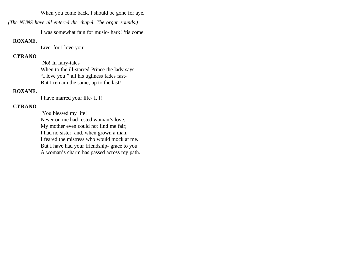When you come back, I should be gone for aye.

*(The NUNS have all entered the chapel. The organ sounds.)*

I was somewhat fain for music- hark! 'tis come.

### **ROXANE.**

Live, for I love you!

# **CYRANO**

 No! In fairy-tales When to the ill-starred Prince the lady says "I love you!" all his ugliness fades fast-But I remain the same, up to the last!

## **ROXANE.**

I have marred your life- I, I!

# **CYRANO**

 You blessed my life! Never on me had rested woman's love. My mother even could not find me fair; I had no sister; and, when grown a man, I feared the mistress who would mock at me. But I have had your friendship- grace to you A woman's charm has passed across my path.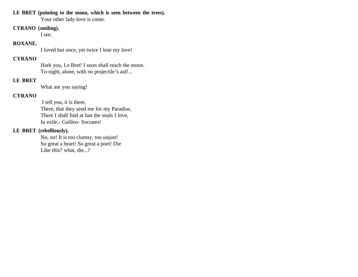### **LE BRET (pointing to the moon, which is seen between the trees).**

Your other lady-love is come.

#### **CYRANO (smiling).**

I see.

### **ROXANE.**

I loved but once, yet twice I lose my love!

### **CYRANO**

Hark you, Le Bret! I soon shall reach the moon. To-night, alone, with no projectile's aid!...

### **LE BRET**

What are you saying!

### **CYRANO**

 I tell you, it is there, There, that they send me for my Paradise, There I shall find at last the souls I love, In exile,- Galileo- Socrates!

### **LE BRET (rebelliously).**

No, no! It is too clumsy, too unjust! So great a heart! So great a poet! Die Like this? what, die...?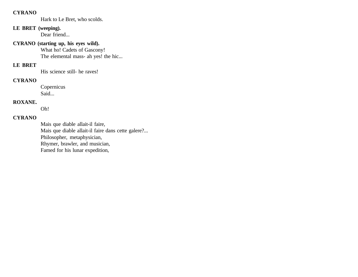Hark to Le Bret, who scolds.

# **LE BRET (weeping).**

Dear friend...

# **CYRANO (starting up, his eyes wild).**  What ho! Cadets of Gascony!

The elemental mass- ah yes! the hic...

# **LE BRET**

His science still- he raves!

### **CYRANO**

Copernicus Said...

#### **ROXANE.**

Oh!

### **CYRANO**

Mais que diable allait-il faire, Mais que diable allait-il faire dans cette galere?... Philosopher, metaphysician, Rhymer, brawler, and musician, Famed for his lunar expedition,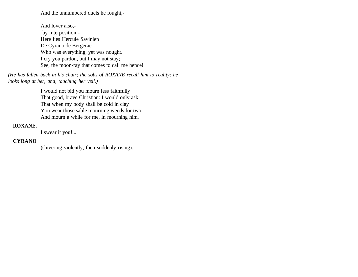And the unnumbered duels he fought,-

And lover also, by interposition!- Here lies Hercule Savinien De Cyrano de Bergerac. Who was everything, yet was nought. I cry you pardon, but I may not stay; See, the moon-ray that comes to call me hence!

*(He has fallen back in his chair; the sobs of ROXANE recall him to reality; he looks long at her, and, touching her veil.)*

> I would not bid you mourn less faithfully That good, brave Christian: I would only ask That when my body shall be cold in clay You wear those sable mourning weeds for two, And mourn a while for me, in mourning him.

#### **ROXANE.**

I swear it you!...

#### **CYRANO**

(shivering violently, then suddenly rising).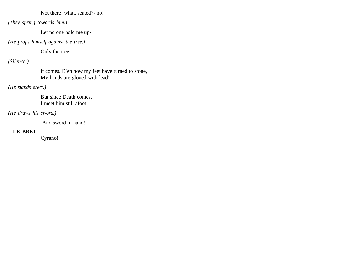Not there! what, seated?- no!

*(They spring towards him.)*

Let no one hold me up-

*(He props himself against the tree.)*

Only the tree!

*(Silence.)*

It comes. E'en now my feet have turned to stone, My hands are gloved with lead!

*(He stands erect.)* 

But since Death comes, I meet him still afoot,

*(He draws his sword.)*

And sword in hand!

# **LE BRET**

Cyrano!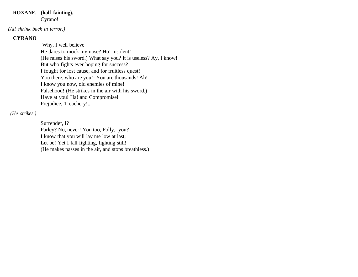#### **ROXANE. (half fainting).**  Cyrano!

*(All shrink back in terror.)*

# **CYRANO**

 Why, I well believe He dares to mock my nose? Ho! insolent! (He raises his sword.) What say you? It is useless? Ay, I know! But who fights ever hoping for success? I fought for lost cause, and for fruitless quest! You there, who are you! - You are thousands! Ah! I know you now, old enemies of mine! Falsehood! (He strikes in the air with his sword.) Have at you! Ha! and Compromise! Prejudice, Treachery!...

# *(He strikes.)*

Surrender, I? Parley? No, never! You too, Folly,- you? I know that you will lay me low at last; Let be! Yet I fall fighting, fighting still! (He makes passes in the air, and stops breathless.)